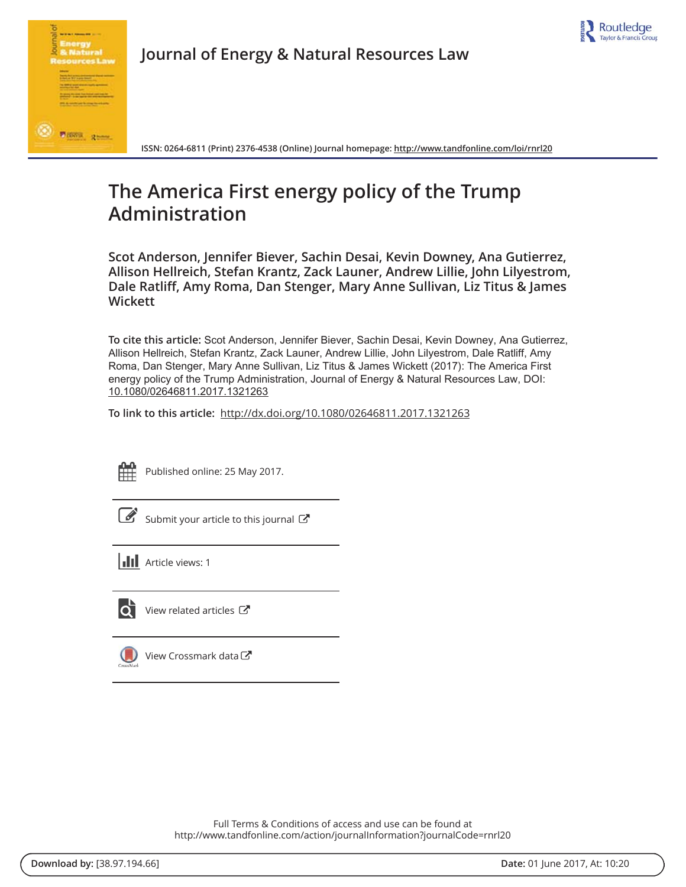



Journal of Energy & Natural Resources Law

ISSN: 0264-6811 (Print) 2376-4538 (Online) Journal homepage: http://www.tandfonline.com/loi/rnrl20

# The America First energy policy of the Trump Administration

Scot Anderson, Jennifer Biever, Sachin Desai, Kevin Downey, Ana Gutierrez, Allison Hellreich, Stefan Krantz, Zack Launer, Andrew Lillie, John Lilyestrom, Dale Ratliff, Amy Roma, Dan Stenger, Mary Anne Sullivan, Liz Titus & James **Wickett** 

To cite this article: Scot Anderson, Jennifer Biever, Sachin Desai, Kevin Downey, Ana Gutierrez, Allison Hellreich, Stefan Krantz, Zack Launer, Andrew Lillie, John Lilyestrom, Dale Ratliff, Amy Roma, Dan Stenger, Mary Anne Sullivan, Liz Titus & James Wickett (2017): The America First energy policy of the Trump Administration, Journal of Energy & Natural Resources Law, DOI: 10.1080/02646811.2017.1321263

To link to this article: http://dx.doi.org/10.1080/02646811.2017.1321263



Published online: 25 May 2017.



Submit your article to this journal  $\mathbb{C}$ 

**III** Article views: 1



View related articles  $\mathbb{Z}$ 

View Crossmark data  $\mathbb{Z}$ 

Full Terms & Conditions of access and use can be found at http://www.tandfonline.com/action/journalInformation?journalCode=rnrl20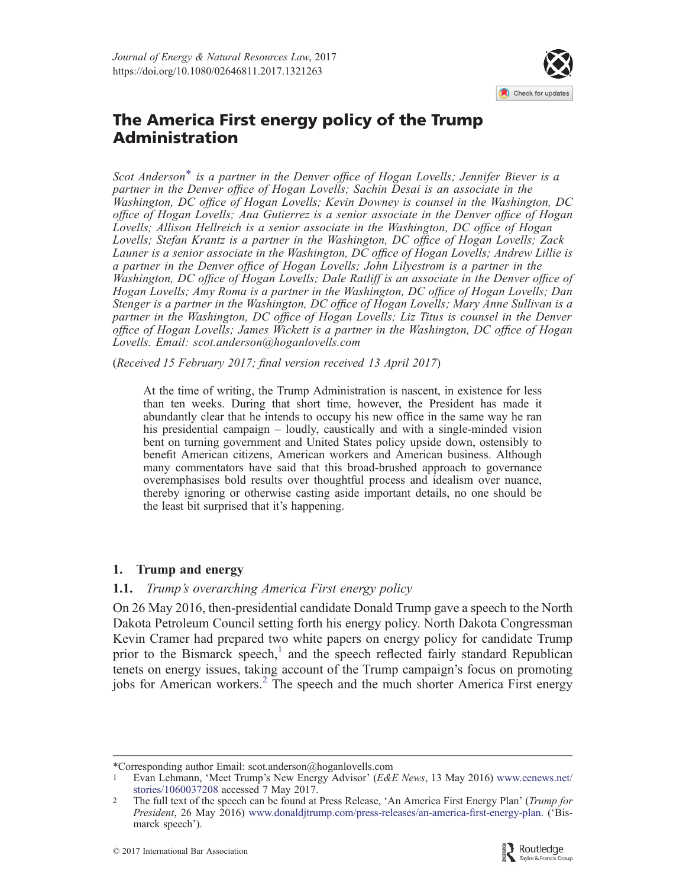

## The America First energy policy of the Trump Administration

Scot Anderson<sup>\*</sup> is a partner in the Denver office of Hogan Lovells; Jennifer Biever is a partner in the Denver office of Hogan Lovells; Sachin Desai is an associate in the Washington, DC office of Hogan Lovells; Kevin Downey is counsel in the Washington, DC office of Hogan Lovells; Ana Gutierrez is a senior associate in the Denver office of Hogan Lovells; Allison Hellreich is a senior associate in the Washington, DC office of Hogan Lovells; Stefan Krantz is a partner in the Washington, DC office of Hogan Lovells; Zack Launer is a senior associate in the Washington, DC office of Hogan Lovells; Andrew Lillie is a partner in the Denver office of Hogan Lovells; John Lilyestrom is a partner in the Washington, DC office of Hogan Lovells; Dale Ratliff is an associate in the Denver office of Hogan Lovells; Amy Roma is a partner in the Washington, DC office of Hogan Lovells; Dan Stenger is a partner in the Washington, DC office of Hogan Lovells; Mary Anne Sullivan is a partner in the Washington, DC office of Hogan Lovells; Liz Titus is counsel in the Denver office of Hogan Lovells; James Wickett is a partner in the Washington, DC office of Hogan Lovells. Email: scot.anderson@hoganlovells.com

(Received 15 February 2017; final version received 13 April 2017)

At the time of writing, the Trump Administration is nascent, in existence for less than ten weeks. During that short time, however, the President has made it abundantly clear that he intends to occupy his new office in the same way he ran his presidential campaign – loudly, caustically and with a single-minded vision bent on turning government and United States policy upside down, ostensibly to benefit American citizens, American workers and American business. Although many commentators have said that this broad-brushed approach to governance overemphasises bold results over thoughtful process and idealism over nuance, thereby ignoring or otherwise casting aside important details, no one should be the least bit surprised that it's happening.

## 1. Trump and energy

## 1.1. Trump's overarching America First energy policy

On 26 May 2016, then-presidential candidate Donald Trump gave a speech to the North Dakota Petroleum Council setting forth his energy policy. North Dakota Congressman Kevin Cramer had prepared two white papers on energy policy for candidate Trump prior to the Bismarck speech,<sup>1</sup> and the speech reflected fairly standard Republican tenets on energy issues, taking account of the Trump campaign's focus on promoting jobs for American workers.2 The speech and the much shorter America First energy

<sup>\*</sup>Corresponding author Email: scot.anderson@hoganlovells.com

Evan Lehmann, 'Meet Trump's New Energy Advisor' (E&E News, 13 May 2016) www.eenews.net/ stories/1060037208 accessed 7 May 2017.

<sup>2</sup> The full text of the speech can be found at Press Release, 'An America First Energy Plan' (Trump for President, 26 May 2016) www.donaldjtrump.com/press-releases/an-america-first-energy-plan. ('Bismarck speech').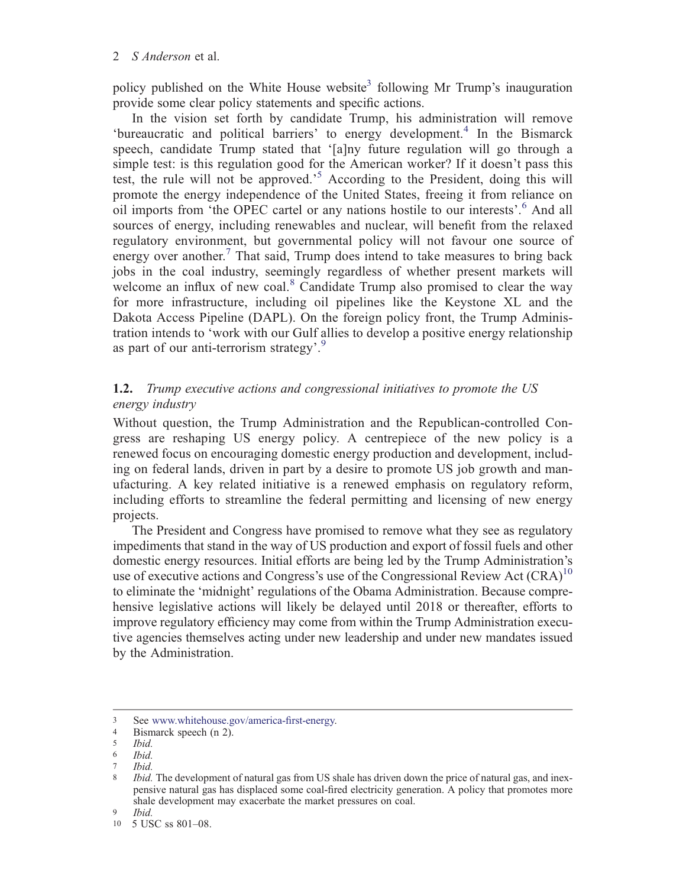policy published on the White House website<sup>3</sup> following Mr Trump's inauguration provide some clear policy statements and specific actions.

In the vision set forth by candidate Trump, his administration will remove 'bureaucratic and political barriers' to energy development.<sup>4</sup> In the Bismarck speech, candidate Trump stated that '[a]ny future regulation will go through a simple test: is this regulation good for the American worker? If it doesn't pass this test, the rule will not be approved.' <sup>5</sup> According to the President, doing this will promote the energy independence of the United States, freeing it from reliance on oil imports from 'the OPEC cartel or any nations hostile to our interests'.<sup>6</sup> And all sources of energy, including renewables and nuclear, will benefit from the relaxed regulatory environment, but governmental policy will not favour one source of energy over another.<sup>7</sup> That said, Trump does intend to take measures to bring back jobs in the coal industry, seemingly regardless of whether present markets will welcome an influx of new coal. $8$  Candidate Trump also promised to clear the way for more infrastructure, including oil pipelines like the Keystone XL and the Dakota Access Pipeline (DAPL). On the foreign policy front, the Trump Administration intends to 'work with our Gulf allies to develop a positive energy relationship as part of our anti-terrorism strategy'.<sup>9</sup>

## 1.2. Trump executive actions and congressional initiatives to promote the US energy industry

Without question, the Trump Administration and the Republican-controlled Congress are reshaping US energy policy. A centrepiece of the new policy is a renewed focus on encouraging domestic energy production and development, including on federal lands, driven in part by a desire to promote US job growth and manufacturing. A key related initiative is a renewed emphasis on regulatory reform, including efforts to streamline the federal permitting and licensing of new energy projects.

The President and Congress have promised to remove what they see as regulatory impediments that stand in the way of US production and export of fossil fuels and other domestic energy resources. Initial efforts are being led by the Trump Administration's use of executive actions and Congress's use of the Congressional Review Act  $(CRA)^{10}$ to eliminate the 'midnight' regulations of the Obama Administration. Because comprehensive legislative actions will likely be delayed until 2018 or thereafter, efforts to improve regulatory efficiency may come from within the Trump Administration executive agencies themselves acting under new leadership and under new mandates issued by the Administration.

<sup>3</sup> See www.whitehouse.gov/america-first-energy.<br>4 Bismarck speech (n 2)

Bismarck speech (n 2).

<sup>5</sup> Ibid.

<sup>6</sup> Ibid.

<sup>7</sup> Ibid.

Ibid. The development of natural gas from US shale has driven down the price of natural gas, and inexpensive natural gas has displaced some coal-fired electricity generation. A policy that promotes more shale development may exacerbate the market pressures on coal.

<sup>9</sup> Ibid.

<sup>10</sup> 5 USC ss 801–08.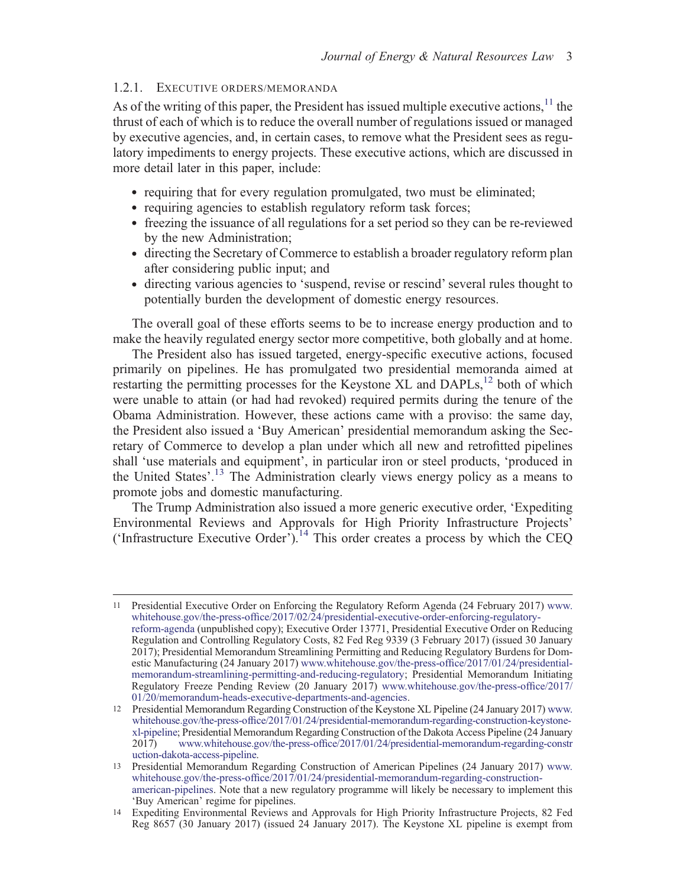### 1.2.1. EXECUTIVE ORDERS/MEMORANDA

As of the writing of this paper, the President has issued multiple executive actions,<sup>11</sup> the thrust of each of which is to reduce the overall number of regulations issued or managed by executive agencies, and, in certain cases, to remove what the President sees as regulatory impediments to energy projects. These executive actions, which are discussed in more detail later in this paper, include:

- . requiring that for every regulation promulgated, two must be eliminated;
- . requiring agencies to establish regulatory reform task forces;
- . freezing the issuance of all regulations for a set period so they can be re-reviewed by the new Administration;
- . directing the Secretary of Commerce to establish a broader regulatory reform plan after considering public input; and
- . directing various agencies to 'suspend, revise or rescind' several rules thought to potentially burden the development of domestic energy resources.

The overall goal of these efforts seems to be to increase energy production and to make the heavily regulated energy sector more competitive, both globally and at home.

The President also has issued targeted, energy-specific executive actions, focused primarily on pipelines. He has promulgated two presidential memoranda aimed at restarting the permitting processes for the Keystone XL and DAPLs,  $^{12}$  both of which were unable to attain (or had had revoked) required permits during the tenure of the Obama Administration. However, these actions came with a proviso: the same day, the President also issued a 'Buy American' presidential memorandum asking the Secretary of Commerce to develop a plan under which all new and retrofitted pipelines shall 'use materials and equipment', in particular iron or steel products, 'produced in the United States'. <sup>13</sup> The Administration clearly views energy policy as a means to promote jobs and domestic manufacturing.

The Trump Administration also issued a more generic executive order, 'Expediting Environmental Reviews and Approvals for High Priority Infrastructure Projects' ('Infrastructure Executive Order').<sup>14</sup> This order creates a process by which the CEQ

<sup>11</sup> Presidential Executive Order on Enforcing the Regulatory Reform Agenda (24 February 2017) www. whitehouse.gov/the-press-office/2017/02/24/presidential-executive-order-enforcing-regulatoryreform-agenda (unpublished copy); Executive Order 13771, Presidential Executive Order on Reducing Regulation and Controlling Regulatory Costs, 82 Fed Reg 9339 (3 February 2017) (issued 30 January 2017); Presidential Memorandum Streamlining Permitting and Reducing Regulatory Burdens for Domestic Manufacturing (24 January 2017) www.whitehouse.gov/the-press-office/2017/01/24/presidentialmemorandum-streamlining-permitting-and-reducing-regulatory; Presidential Memorandum Initiating Regulatory Freeze Pending Review (20 January 2017) www.whitehouse.gov/the-press-office/2017/ 01/20/memorandum-heads-executive-departments-and-agencies.

<sup>12</sup> Presidential Memorandum Regarding Construction of the Keystone XL Pipeline (24 January 2017) www. whitehouse.gov/the-press-office/2017/01/24/presidential-memorandum-regarding-construction-keystonexl-pipeline; Presidential Memorandum Regarding Construction of the Dakota Access Pipeline (24 January 2017) www.whitehouse.gov/the-press-office/2017/01/24/presidential-memorandum-regarding-constr uction-dakota-access-pipeline.

<sup>13</sup> Presidential Memorandum Regarding Construction of American Pipelines (24 January 2017) www. whitehouse.gov/the-press-office/2017/01/24/presidential-memorandum-regarding-constructionamerican-pipelines. Note that a new regulatory programme will likely be necessary to implement this 'Buy American' regime for pipelines.

<sup>14</sup> Expediting Environmental Reviews and Approvals for High Priority Infrastructure Projects, 82 Fed Reg 8657 (30 January 2017) (issued 24 January 2017). The Keystone XL pipeline is exempt from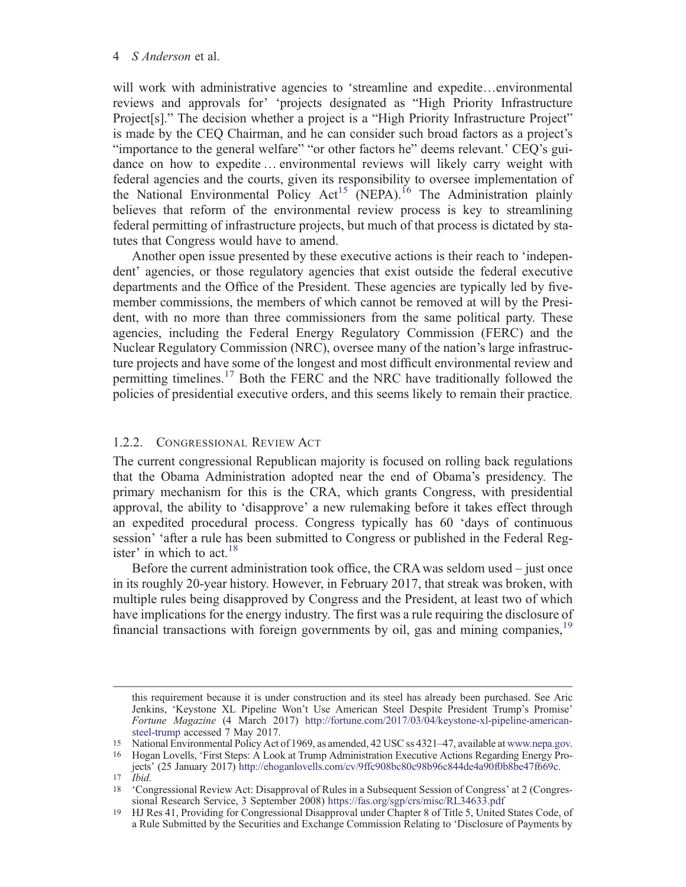## 4 S Anderson et al.

will work with administrative agencies to 'streamline and expedite...environmental reviews and approvals for' 'projects designated as "High Priority Infrastructure Project<sup>[s]</sup>." The decision whether a project is a "High Priority Infrastructure Project" is made by the CEQ Chairman, and he can consider such broad factors as a project's "importance to the general welfare" "or other factors he" deems relevant.' CEQ's guidance on how to expedite … environmental reviews will likely carry weight with federal agencies and the courts, given its responsibility to oversee implementation of the National Environmental Policy  $Act^{15}$  (NEPA).<sup>16</sup> The Administration plainly believes that reform of the environmental review process is key to streamlining federal permitting of infrastructure projects, but much of that process is dictated by statutes that Congress would have to amend.

Another open issue presented by these executive actions is their reach to 'independent' agencies, or those regulatory agencies that exist outside the federal executive departments and the Office of the President. These agencies are typically led by fivemember commissions, the members of which cannot be removed at will by the President, with no more than three commissioners from the same political party. These agencies, including the Federal Energy Regulatory Commission (FERC) and the Nuclear Regulatory Commission (NRC), oversee many of the nation's large infrastructure projects and have some of the longest and most difficult environmental review and permitting timelines.<sup>17</sup> Both the FERC and the NRC have traditionally followed the policies of presidential executive orders, and this seems likely to remain their practice.

## 1.2.2. CONGRESSIONAL REVIEW ACT

The current congressional Republican majority is focused on rolling back regulations that the Obama Administration adopted near the end of Obama's presidency. The primary mechanism for this is the CRA, which grants Congress, with presidential approval, the ability to 'disapprove' a new rulemaking before it takes effect through an expedited procedural process. Congress typically has 60 'days of continuous session' 'after a rule has been submitted to Congress or published in the Federal Register' in which to act.<sup>18</sup>

Before the current administration took office, the CRA was seldom used – just once in its roughly 20-year history. However, in February 2017, that streak was broken, with multiple rules being disapproved by Congress and the President, at least two of which have implications for the energy industry. The first was a rule requiring the disclosure of financial transactions with foreign governments by oil, gas and mining companies,<sup>19</sup>

this requirement because it is under construction and its steel has already been purchased. See Aric Jenkins, 'Keystone XL Pipeline Won't Use American Steel Despite President Trump's Promise' Fortune Magazine (4 March 2017) http://fortune.com/2017/03/04/keystone-xl-pipeline-americansteel-trump accessed 7 May 2017.

<sup>15</sup> National Environmental Policy Act of 1969, as amended, 42 USC ss 4321–47, available at www.nepa.gov.

<sup>16</sup> Hogan Lovells, 'First Steps: A Look at Trump Administration Executive Actions Regarding Energy Projects' (25 January 2017) http://ehoganlovells.com/cv/9ffc908bc80c98b96c844de4a90f0b8be47f669c.

<sup>17</sup> Ibid.

<sup>18</sup> 'Congressional Review Act: Disapproval of Rules in a Subsequent Session of Congress' at 2 (Congressional Research Service, 3 September 2008) https://fas.org/sgp/crs/misc/RL34633.pdf

<sup>19</sup> HJ Res 41, Providing for Congressional Disapproval under Chapter 8 of Title 5, United States Code, of a Rule Submitted by the Securities and Exchange Commission Relating to 'Disclosure of Payments by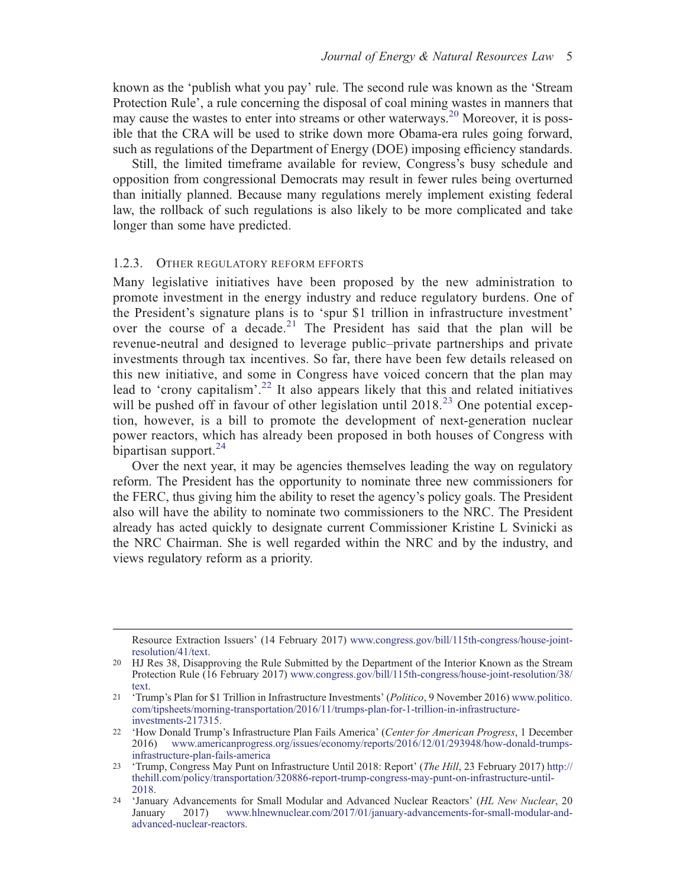known as the 'publish what you pay' rule. The second rule was known as the 'Stream Protection Rule', a rule concerning the disposal of coal mining wastes in manners that may cause the wastes to enter into streams or other waterways.<sup>20</sup> Moreover, it is possible that the CRA will be used to strike down more Obama-era rules going forward, such as regulations of the Department of Energy (DOE) imposing efficiency standards.

Still, the limited timeframe available for review, Congress's busy schedule and opposition from congressional Democrats may result in fewer rules being overturned than initially planned. Because many regulations merely implement existing federal law, the rollback of such regulations is also likely to be more complicated and take longer than some have predicted.

#### 1.2.3. OTHER REGULATORY REFORM EFFORTS

Many legislative initiatives have been proposed by the new administration to promote investment in the energy industry and reduce regulatory burdens. One of the President's signature plans is to 'spur \$1 trillion in infrastructure investment' over the course of a decade.<sup>21</sup> The President has said that the plan will be revenue-neutral and designed to leverage public–private partnerships and private investments through tax incentives. So far, there have been few details released on this new initiative, and some in Congress have voiced concern that the plan may lead to 'crony capitalism'.<sup>22</sup> It also appears likely that this and related initiatives will be pushed off in favour of other legislation until  $2018<sup>23</sup>$  One potential exception, however, is a bill to promote the development of next-generation nuclear power reactors, which has already been proposed in both houses of Congress with bipartisan support. $24$ 

Over the next year, it may be agencies themselves leading the way on regulatory reform. The President has the opportunity to nominate three new commissioners for the FERC, thus giving him the ability to reset the agency's policy goals. The President also will have the ability to nominate two commissioners to the NRC. The President already has acted quickly to designate current Commissioner Kristine L Svinicki as the NRC Chairman. She is well regarded within the NRC and by the industry, and views regulatory reform as a priority.

Resource Extraction Issuers' (14 February 2017) www.congress.gov/bill/115th-congress/house-jointresolution/41/text.

<sup>20</sup> HJ Res 38, Disapproving the Rule Submitted by the Department of the Interior Known as the Stream Protection Rule (16 February 2017) www.congress.gov/bill/115th-congress/house-joint-resolution/38/ text.

<sup>21</sup> 'Trump's Plan for \$1 Trillion in Infrastructure Investments' (Politico, 9 November 2016) www.politico. com/tipsheets/morning-transportation/2016/11/trumps-plan-for-1-trillion-in-infrastructureinvestments-217315.

<sup>&</sup>lt;sup>22</sup> 'How Donald Trump's Infrastructure Plan Fails America' (Center for American Progress, 1 December 2016) www.americanprogress.org/issues/economy/reports/2016/12/01/293948/how-donald-trumps-2016) www.americanprogress.org/issues/economy/reports/2016/12/01/293948/how-donald-trumpsinfrastructure-plan-fails-america

<sup>23</sup> 'Trump, Congress May Punt on Infrastructure Until 2018: Report' (The Hill, 23 February 2017) http:// thehill.com/policy/transportation/320886-report-trump-congress-may-punt-on-infrastructure-until-2018.

<sup>&</sup>lt;sup>24</sup> 'January Advancements for Small Modular and Advanced Nuclear Reactors' (*HL New Nuclear*, 20<br>January 2017) www.hlnewnuclear.com/2017/01/january-advancements-for-small-modular-and-January 2017) www.hlnewnuclear.com/2017/01/january-advancements-for-small-modular-andadvanced-nuclear-reactors.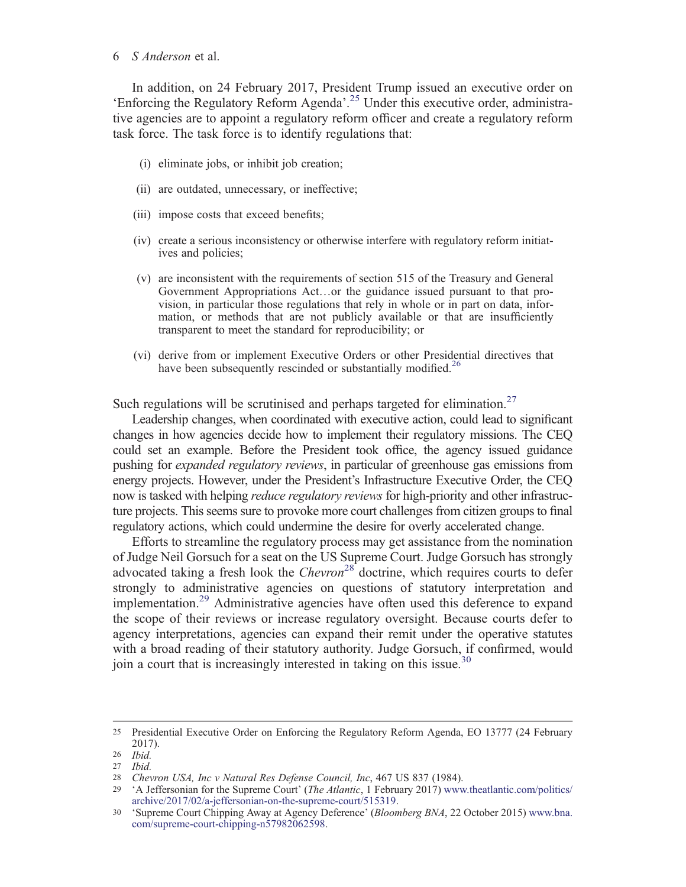#### 6 S Anderson et al.

In addition, on 24 February 2017, President Trump issued an executive order on 'Enforcing the Regulatory Reform Agenda'. <sup>25</sup> Under this executive order, administrative agencies are to appoint a regulatory reform officer and create a regulatory reform task force. The task force is to identify regulations that:

- (i) eliminate jobs, or inhibit job creation;
- (ii) are outdated, unnecessary, or ineffective;
- (iii) impose costs that exceed benefits;
- (iv) create a serious inconsistency or otherwise interfere with regulatory reform initiatives and policies;
- (v) are inconsistent with the requirements of section 515 of the Treasury and General Government Appropriations Act…or the guidance issued pursuant to that provision, in particular those regulations that rely in whole or in part on data, information, or methods that are not publicly available or that are insufficiently transparent to meet the standard for reproducibility; or
- (vi) derive from or implement Executive Orders or other Presidential directives that have been subsequently rescinded or substantially modified.<sup>26</sup>

Such regulations will be scrutinised and perhaps targeted for elimination.<sup>27</sup>

Leadership changes, when coordinated with executive action, could lead to significant changes in how agencies decide how to implement their regulatory missions. The CEQ could set an example. Before the President took office, the agency issued guidance pushing for expanded regulatory reviews, in particular of greenhouse gas emissions from energy projects. However, under the President's Infrastructure Executive Order, the CEQ now is tasked with helping reduce regulatory reviews for high-priority and other infrastructure projects. This seems sure to provoke more court challenges from citizen groups to final regulatory actions, which could undermine the desire for overly accelerated change.

Efforts to streamline the regulatory process may get assistance from the nomination of Judge Neil Gorsuch for a seat on the US Supreme Court. Judge Gorsuch has strongly advocated taking a fresh look the Chevron<sup>28</sup> doctrine, which requires courts to defer strongly to administrative agencies on questions of statutory interpretation and implementation.29 Administrative agencies have often used this deference to expand the scope of their reviews or increase regulatory oversight. Because courts defer to agency interpretations, agencies can expand their remit under the operative statutes with a broad reading of their statutory authority. Judge Gorsuch, if confirmed, would join a court that is increasingly interested in taking on this issue.<sup>30</sup>

<sup>25</sup> Presidential Executive Order on Enforcing the Regulatory Reform Agenda, EO 13777 (24 February 2017).

<sup>26</sup> Ibid.

<sup>27</sup> Ibid.

<sup>28</sup> Chevron USA, Inc v Natural Res Defense Council, Inc, 467 US 837 (1984).

<sup>&</sup>lt;sup>29</sup> 'A Jeffersonian for the Supreme Court' (*The Atlantic*, 1 February 2017) www.theatlantic.com/politics/ archive/2017/02/a-jeffersonian-on-the-supreme-court/515319.

<sup>30</sup> 'Supreme Court Chipping Away at Agency Deference' (Bloomberg BNA, 22 October 2015) www.bna. com/supreme-court-chipping-n57982062598.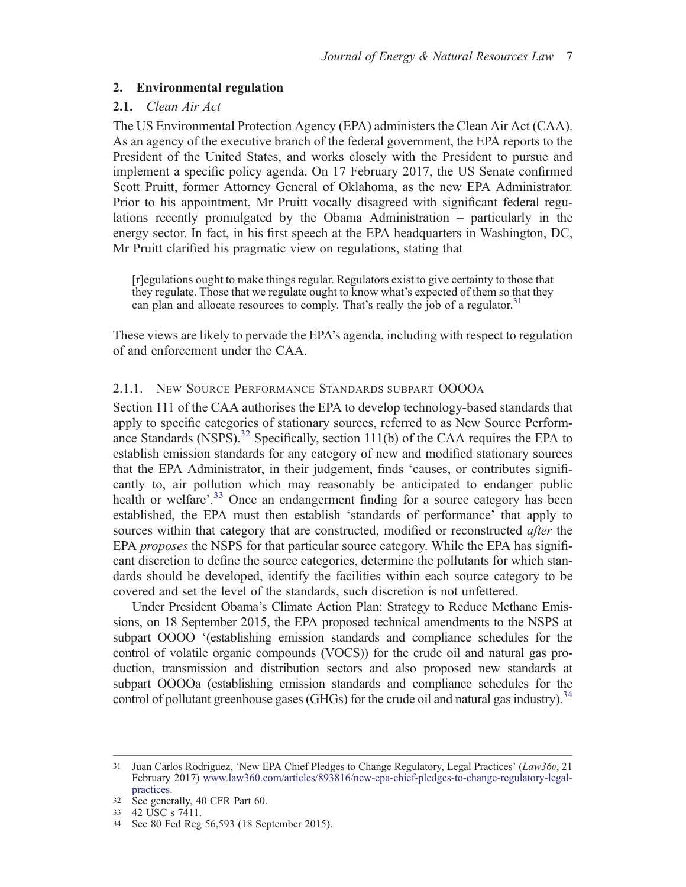## 2. Environmental regulation

## 2.1. Clean Air Act

The US Environmental Protection Agency (EPA) administers the Clean Air Act (CAA). As an agency of the executive branch of the federal government, the EPA reports to the President of the United States, and works closely with the President to pursue and implement a specific policy agenda. On 17 February 2017, the US Senate confirmed Scott Pruitt, former Attorney General of Oklahoma, as the new EPA Administrator. Prior to his appointment, Mr Pruitt vocally disagreed with significant federal regulations recently promulgated by the Obama Administration – particularly in the energy sector. In fact, in his first speech at the EPA headquarters in Washington, DC, Mr Pruitt clarified his pragmatic view on regulations, stating that

[r]egulations ought to make things regular. Regulators exist to give certainty to those that they regulate. Those that we regulate ought to know what's expected of them so that they can plan and allocate resources to comply. That's really the job of a regulator.<sup>3</sup>

These views are likely to pervade the EPA's agenda, including with respect to regulation of and enforcement under the CAA.

## 2.1.1. NEW SOURCE PERFORMANCE STANDARDS SUBPART OOOOA

Section 111 of the CAA authorises the EPA to develop technology-based standards that apply to specific categories of stationary sources, referred to as New Source Performance Standards (NSPS).<sup>32</sup> Specifically, section 111(b) of the CAA requires the EPA to establish emission standards for any category of new and modified stationary sources that the EPA Administrator, in their judgement, finds 'causes, or contributes significantly to, air pollution which may reasonably be anticipated to endanger public health or welfare'. <sup>33</sup> Once an endangerment finding for a source category has been established, the EPA must then establish 'standards of performance' that apply to sources within that category that are constructed, modified or reconstructed *after* the EPA proposes the NSPS for that particular source category. While the EPA has significant discretion to define the source categories, determine the pollutants for which standards should be developed, identify the facilities within each source category to be covered and set the level of the standards, such discretion is not unfettered.

Under President Obama's Climate Action Plan: Strategy to Reduce Methane Emissions, on 18 September 2015, the EPA proposed technical amendments to the NSPS at subpart OOOO '(establishing emission standards and compliance schedules for the control of volatile organic compounds (VOCS)) for the crude oil and natural gas production, transmission and distribution sectors and also proposed new standards at subpart OOOOa (establishing emission standards and compliance schedules for the control of pollutant greenhouse gases (GHGs) for the crude oil and natural gas industry).<sup>34</sup>

<sup>31</sup> Juan Carlos Rodriguez, 'New EPA Chief Pledges to Change Regulatory, Legal Practices' (Law360, 21 February 2017) www.law360.com/articles/893816/new-epa-chief-pledges-to-change-regulatory-legalpractices.

<sup>32</sup> See generally, 40 CFR Part 60.

<sup>33</sup> 42 USC s 7411.

<sup>34</sup> See 80 Fed Reg 56,593 (18 September 2015).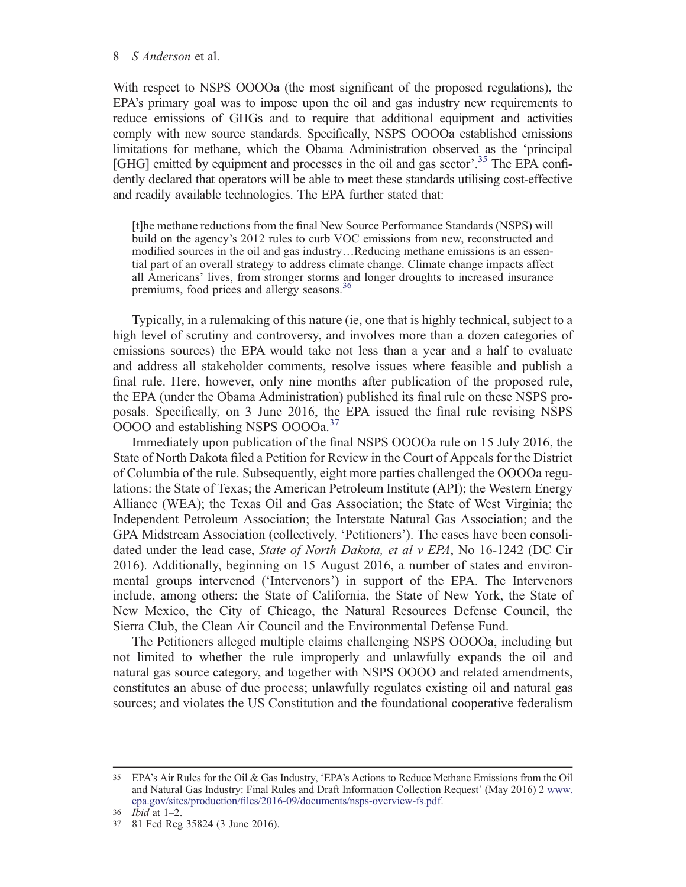#### 8 S Anderson et al.

With respect to NSPS OOOOa (the most significant of the proposed regulations), the EPA's primary goal was to impose upon the oil and gas industry new requirements to reduce emissions of GHGs and to require that additional equipment and activities comply with new source standards. Specifically, NSPS OOOOa established emissions limitations for methane, which the Obama Administration observed as the 'principal [GHG] emitted by equipment and processes in the oil and gas sector'.<sup>35</sup> The EPA confidently declared that operators will be able to meet these standards utilising cost-effective and readily available technologies. The EPA further stated that:

[t]he methane reductions from the final New Source Performance Standards (NSPS) will build on the agency's 2012 rules to curb VOC emissions from new, reconstructed and modified sources in the oil and gas industry…Reducing methane emissions is an essential part of an overall strategy to address climate change. Climate change impacts affect all Americans' lives, from stronger storms and longer droughts to increased insurance premiums, food prices and allergy seasons.<sup>36</sup>

Typically, in a rulemaking of this nature (ie, one that is highly technical, subject to a high level of scrutiny and controversy, and involves more than a dozen categories of emissions sources) the EPA would take not less than a year and a half to evaluate and address all stakeholder comments, resolve issues where feasible and publish a final rule. Here, however, only nine months after publication of the proposed rule, the EPA (under the Obama Administration) published its final rule on these NSPS proposals. Specifically, on 3 June 2016, the EPA issued the final rule revising NSPS OOOO and establishing NSPS OOOOa.<sup>37</sup>

Immediately upon publication of the final NSPS OOOOa rule on 15 July 2016, the State of North Dakota filed a Petition for Review in the Court of Appeals for the District of Columbia of the rule. Subsequently, eight more parties challenged the OOOOa regulations: the State of Texas; the American Petroleum Institute (API); the Western Energy Alliance (WEA); the Texas Oil and Gas Association; the State of West Virginia; the Independent Petroleum Association; the Interstate Natural Gas Association; and the GPA Midstream Association (collectively, 'Petitioners'). The cases have been consolidated under the lead case, State of North Dakota, et al v EPA, No 16-1242 (DC Cir 2016). Additionally, beginning on 15 August 2016, a number of states and environmental groups intervened ('Intervenors') in support of the EPA. The Intervenors include, among others: the State of California, the State of New York, the State of New Mexico, the City of Chicago, the Natural Resources Defense Council, the Sierra Club, the Clean Air Council and the Environmental Defense Fund.

The Petitioners alleged multiple claims challenging NSPS OOOOa, including but not limited to whether the rule improperly and unlawfully expands the oil and natural gas source category, and together with NSPS OOOO and related amendments, constitutes an abuse of due process; unlawfully regulates existing oil and natural gas sources; and violates the US Constitution and the foundational cooperative federalism

<sup>35</sup> EPA's Air Rules for the Oil & Gas Industry, 'EPA's Actions to Reduce Methane Emissions from the Oil and Natural Gas Industry: Final Rules and Draft Information Collection Request' (May 2016) 2 www. epa.gov/sites/production/files/2016-09/documents/nsps-overview-fs.pdf.

<sup>36</sup> Ibid at 1–2.

<sup>37</sup> 81 Fed Reg 35824 (3 June 2016).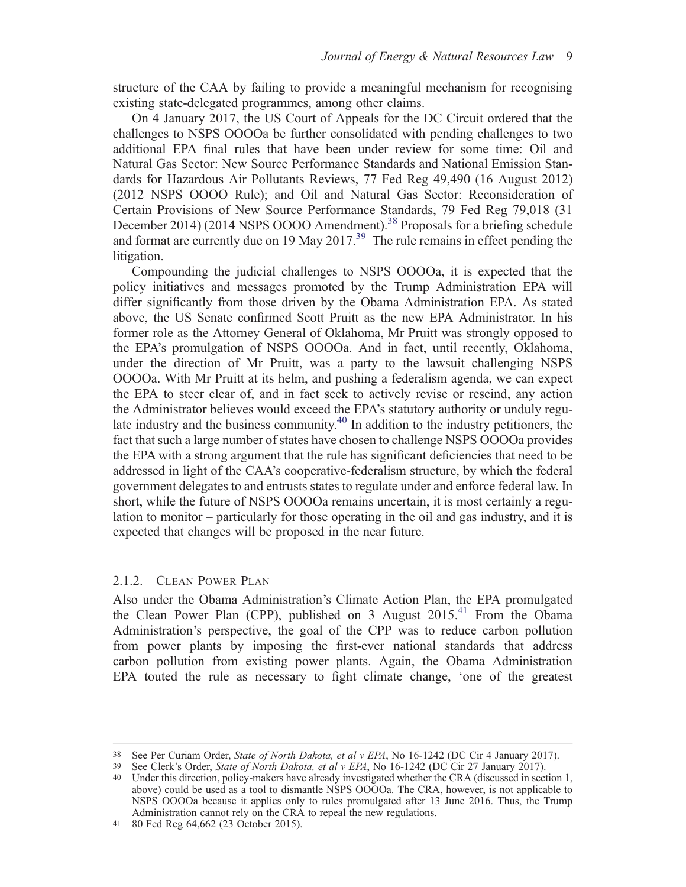structure of the CAA by failing to provide a meaningful mechanism for recognising existing state-delegated programmes, among other claims.

On 4 January 2017, the US Court of Appeals for the DC Circuit ordered that the challenges to NSPS OOOOa be further consolidated with pending challenges to two additional EPA final rules that have been under review for some time: Oil and Natural Gas Sector: New Source Performance Standards and National Emission Standards for Hazardous Air Pollutants Reviews, 77 Fed Reg 49,490 (16 August 2012) (2012 NSPS OOOO Rule); and Oil and Natural Gas Sector: Reconsideration of Certain Provisions of New Source Performance Standards, 79 Fed Reg 79,018 (31 December 2014) (2014 NSPS OOOO Amendment).<sup>38</sup> Proposals for a briefing schedule and format are currently due on 19 May 2017. $39$  The rule remains in effect pending the litigation.

Compounding the judicial challenges to NSPS OOOOa, it is expected that the policy initiatives and messages promoted by the Trump Administration EPA will differ significantly from those driven by the Obama Administration EPA. As stated above, the US Senate confirmed Scott Pruitt as the new EPA Administrator. In his former role as the Attorney General of Oklahoma, Mr Pruitt was strongly opposed to the EPA's promulgation of NSPS OOOOa. And in fact, until recently, Oklahoma, under the direction of Mr Pruitt, was a party to the lawsuit challenging NSPS OOOOa. With Mr Pruitt at its helm, and pushing a federalism agenda, we can expect the EPA to steer clear of, and in fact seek to actively revise or rescind, any action the Administrator believes would exceed the EPA's statutory authority or unduly regulate industry and the business community.<sup>40</sup> In addition to the industry petitioners, the fact that such a large number of states have chosen to challenge NSPS OOOOa provides the EPA with a strong argument that the rule has significant deficiencies that need to be addressed in light of the CAA's cooperative-federalism structure, by which the federal government delegates to and entrusts states to regulate under and enforce federal law. In short, while the future of NSPS OOOOa remains uncertain, it is most certainly a regulation to monitor – particularly for those operating in the oil and gas industry, and it is expected that changes will be proposed in the near future.

### 2.1.2. CLEAN POWER PLAN

Also under the Obama Administration's Climate Action Plan, the EPA promulgated the Clean Power Plan (CPP), published on 3 August  $2015<sup>41</sup>$  From the Obama Administration's perspective, the goal of the CPP was to reduce carbon pollution from power plants by imposing the first-ever national standards that address carbon pollution from existing power plants. Again, the Obama Administration EPA touted the rule as necessary to fight climate change, 'one of the greatest

40 Under this direction, policy-makers have already investigated whether the CRA (discussed in section 1, above) could be used as a tool to dismantle NSPS OOOOa. The CRA, however, is not applicable to NSPS OOOOa because it applies only to rules promulgated after 13 June 2016. Thus, the Trump Administration cannot rely on the CRA to repeal the new regulations.

<sup>38</sup> See Per Curiam Order, State of North Dakota, et al v EPA, No 16-1242 (DC Cir 4 January 2017).

<sup>39</sup> See Clerk's Order, State of North Dakota, et al v EPA, No 16-1242 (DC Cir 27 January 2017).

<sup>41</sup> 80 Fed Reg 64,662 (23 October 2015).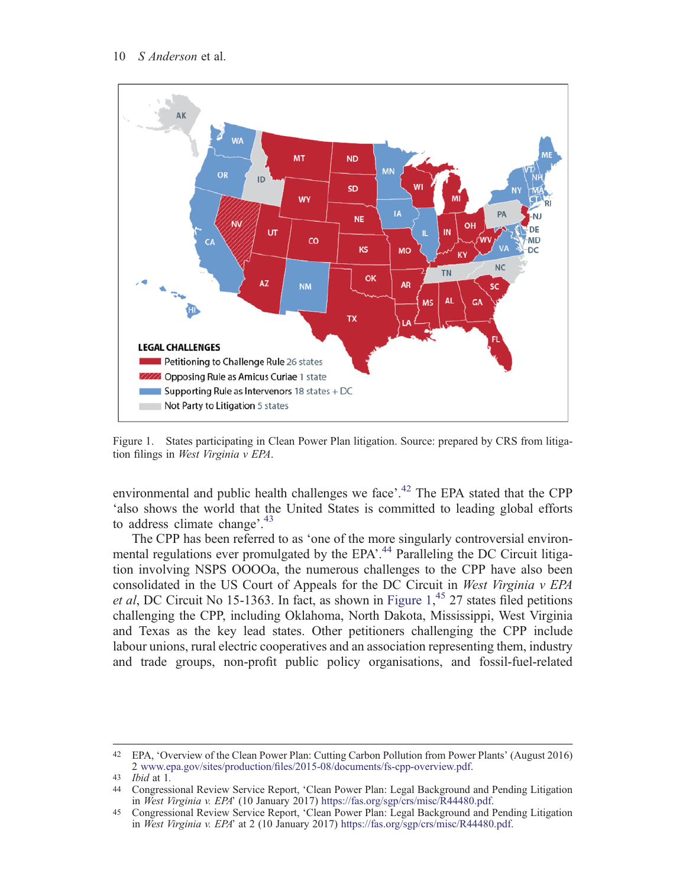

Figure 1. States participating in Clean Power Plan litigation. Source: prepared by CRS from litigation filings in West Virginia v EPA.

environmental and public health challenges we face'.<sup>42</sup> The EPA stated that the CPP 'also shows the world that the United States is committed to leading global efforts to address climate change'.<sup>43</sup>

The CPP has been referred to as 'one of the more singularly controversial environmental regulations ever promulgated by the EPA'.<sup>44</sup> Paralleling the DC Circuit litigation involving NSPS OOOOa, the numerous challenges to the CPP have also been consolidated in the US Court of Appeals for the DC Circuit in West Virginia v EPA et al, DC Circuit No 15-1363. In fact, as shown in Figure  $1,^{45}$  27 states filed petitions challenging the CPP, including Oklahoma, North Dakota, Mississippi, West Virginia and Texas as the key lead states. Other petitioners challenging the CPP include labour unions, rural electric cooperatives and an association representing them, industry and trade groups, non-profit public policy organisations, and fossil-fuel-related

<sup>42</sup> EPA, 'Overview of the Clean Power Plan: Cutting Carbon Pollution from Power Plants' (August 2016) 2 www.epa.gov/sites/production/files/2015-08/documents/fs-cpp-overview.pdf.

<sup>43</sup> Ibid at 1.

<sup>44</sup> Congressional Review Service Report, 'Clean Power Plan: Legal Background and Pending Litigation in West Virginia v. EPA' (10 January 2017) https://fas.org/sgp/crs/misc/R44480.pdf.

<sup>45</sup> Congressional Review Service Report, 'Clean Power Plan: Legal Background and Pending Litigation in West Virginia v. EPA' at 2 (10 January 2017) https://fas.org/sgp/crs/misc/R44480.pdf.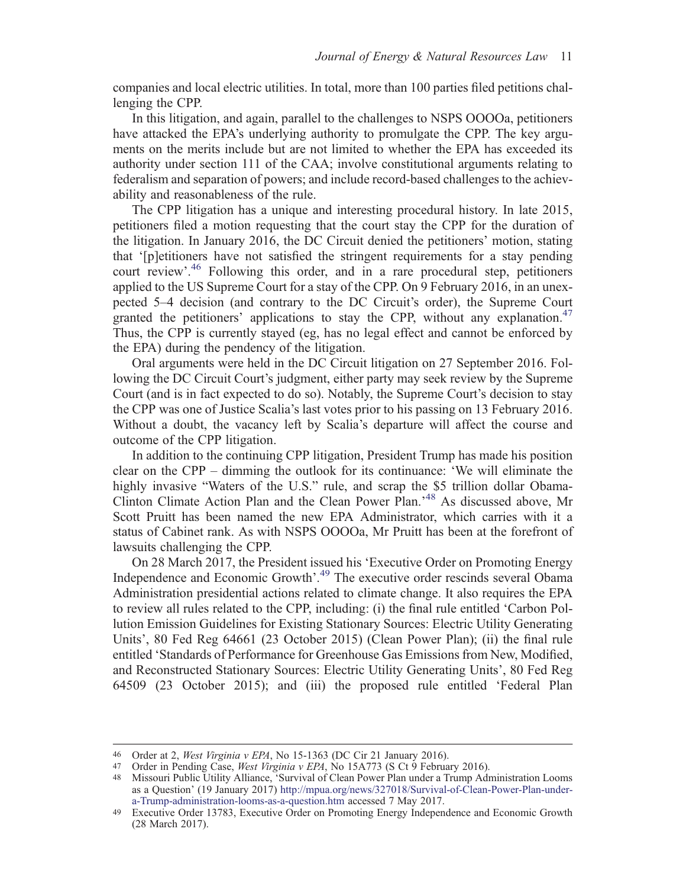companies and local electric utilities. In total, more than 100 parties filed petitions challenging the CPP.

In this litigation, and again, parallel to the challenges to NSPS OOOOa, petitioners have attacked the EPA's underlying authority to promulgate the CPP. The key arguments on the merits include but are not limited to whether the EPA has exceeded its authority under section 111 of the CAA; involve constitutional arguments relating to federalism and separation of powers; and include record-based challenges to the achievability and reasonableness of the rule.

The CPP litigation has a unique and interesting procedural history. In late 2015, petitioners filed a motion requesting that the court stay the CPP for the duration of the litigation. In January 2016, the DC Circuit denied the petitioners' motion, stating that '[p]etitioners have not satisfied the stringent requirements for a stay pending court review'.<sup>46</sup> Following this order, and in a rare procedural step, petitioners applied to the US Supreme Court for a stay of the CPP. On 9 February 2016, in an unexpected 5–4 decision (and contrary to the DC Circuit's order), the Supreme Court granted the petitioners' applications to stay the CPP, without any explanation.<sup>47</sup> Thus, the CPP is currently stayed (eg, has no legal effect and cannot be enforced by the EPA) during the pendency of the litigation.

Oral arguments were held in the DC Circuit litigation on 27 September 2016. Following the DC Circuit Court's judgment, either party may seek review by the Supreme Court (and is in fact expected to do so). Notably, the Supreme Court's decision to stay the CPP was one of Justice Scalia's last votes prior to his passing on 13 February 2016. Without a doubt, the vacancy left by Scalia's departure will affect the course and outcome of the CPP litigation.

In addition to the continuing CPP litigation, President Trump has made his position clear on the CPP – dimming the outlook for its continuance: 'We will eliminate the highly invasive "Waters of the U.S." rule, and scrap the \$5 trillion dollar Obama-Clinton Climate Action Plan and the Clean Power Plan.' <sup>48</sup> As discussed above, Mr Scott Pruitt has been named the new EPA Administrator, which carries with it a status of Cabinet rank. As with NSPS OOOOa, Mr Pruitt has been at the forefront of lawsuits challenging the CPP.

On 28 March 2017, the President issued his 'Executive Order on Promoting Energy Independence and Economic Growth'. <sup>49</sup> The executive order rescinds several Obama Administration presidential actions related to climate change. It also requires the EPA to review all rules related to the CPP, including: (i) the final rule entitled 'Carbon Pollution Emission Guidelines for Existing Stationary Sources: Electric Utility Generating Units', 80 Fed Reg 64661 (23 October 2015) (Clean Power Plan); (ii) the final rule entitled 'Standards of Performance for Greenhouse Gas Emissions from New, Modified, and Reconstructed Stationary Sources: Electric Utility Generating Units', 80 Fed Reg 64509 (23 October 2015); and (iii) the proposed rule entitled 'Federal Plan

<sup>46</sup> Order at 2, West Virginia v EPA, No 15-1363 (DC Cir 21 January 2016).<br>47 Order in Pending Case West Virginia v EPA No 15A773 (S Ct 9 Februa

Order in Pending Case, West Virginia v EPA, No 15A773 (S Ct 9 February 2016).

<sup>48</sup> Missouri Public Utility Alliance, 'Survival of Clean Power Plan under a Trump Administration Looms as a Question' (19 January 2017) http://mpua.org/news/327018/Survival-of-Clean-Power-Plan-undera-Trump-administration-looms-as-a-question.htm accessed 7 May 2017.

<sup>49</sup> Executive Order 13783, Executive Order on Promoting Energy Independence and Economic Growth (28 March 2017).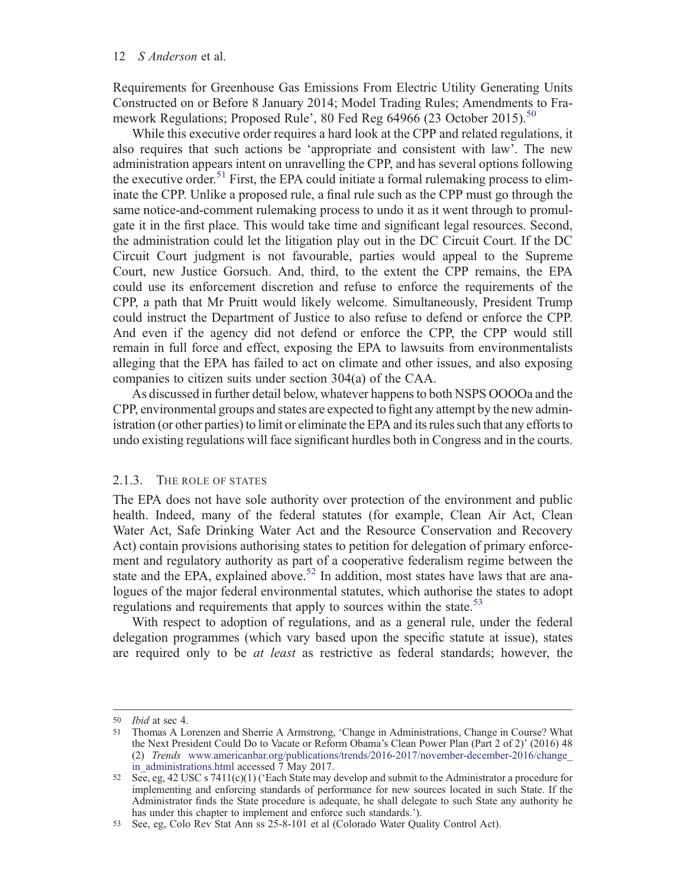Requirements for Greenhouse Gas Emissions From Electric Utility Generating Units Constructed on or Before 8 January 2014; Model Trading Rules; Amendments to Framework Regulations; Proposed Rule', 80 Fed Reg 64966 (23 October 2015).<sup>50</sup>

While this executive order requires a hard look at the CPP and related regulations, it also requires that such actions be 'appropriate and consistent with law'. The new administration appears intent on unravelling the CPP, and has several options following the executive order.<sup>51</sup> First, the EPA could initiate a formal rulemaking process to eliminate the CPP. Unlike a proposed rule, a final rule such as the CPP must go through the same notice-and-comment rulemaking process to undo it as it went through to promulgate it in the first place. This would take time and significant legal resources. Second, the administration could let the litigation play out in the DC Circuit Court. If the DC Circuit Court judgment is not favourable, parties would appeal to the Supreme Court, new Justice Gorsuch. And, third, to the extent the CPP remains, the EPA could use its enforcement discretion and refuse to enforce the requirements of the CPP, a path that Mr Pruitt would likely welcome. Simultaneously, President Trump could instruct the Department of Justice to also refuse to defend or enforce the CPP. And even if the agency did not defend or enforce the CPP, the CPP would still remain in full force and effect, exposing the EPA to lawsuits from environmentalists alleging that the EPA has failed to act on climate and other issues, and also exposing companies to citizen suits under section 304(a) of the CAA.

As discussed in further detail below, whatever happens to both NSPS OOOOa and the CPP, environmental groups and states are expected to fight any attempt by the new administration (or other parties) to limit or eliminate the EPA and its rules such that any efforts to undo existing regulations will face significant hurdles both in Congress and in the courts.

## 2.1.3. THE ROLE OF STATES

The EPA does not have sole authority over protection of the environment and public health. Indeed, many of the federal statutes (for example, Clean Air Act, Clean Water Act, Safe Drinking Water Act and the Resource Conservation and Recovery Act) contain provisions authorising states to petition for delegation of primary enforcement and regulatory authority as part of a cooperative federalism regime between the state and the EPA, explained above.<sup>52</sup> In addition, most states have laws that are analogues of the major federal environmental statutes, which authorise the states to adopt regulations and requirements that apply to sources within the state.<sup>53</sup>

With respect to adoption of regulations, and as a general rule, under the federal delegation programmes (which vary based upon the specific statute at issue), states are required only to be at least as restrictive as federal standards; however, the

<sup>50</sup> Ibid at sec 4.

<sup>51</sup> Thomas A Lorenzen and Sherrie A Armstrong, 'Change in Administrations, Change in Course? What the Next President Could Do to Vacate or Reform Obama's Clean Power Plan (Part 2 of 2)' (2016) 48 (2) Trends www.americanbar.org/publications/trends/2016-2017/november-december-2016/change\_ in administrations.html accessed 7 May 2017.

<sup>52</sup> See, eg, 42 USC s 7411(c)(1) ('Each State may develop and submit to the Administrator a procedure for implementing and enforcing standards of performance for new sources located in such State. If the Administrator finds the State procedure is adequate, he shall delegate to such State any authority he has under this chapter to implement and enforce such standards.').

<sup>53</sup> See, eg, Colo Rev Stat Ann ss 25-8-101 et al (Colorado Water Quality Control Act).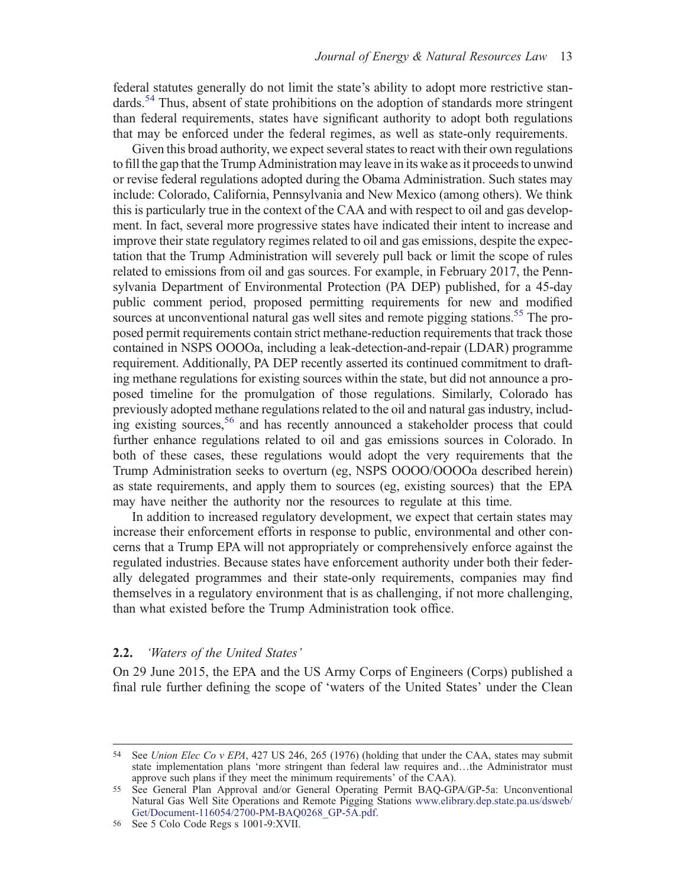federal statutes generally do not limit the state's ability to adopt more restrictive standards.<sup>54</sup> Thus, absent of state prohibitions on the adoption of standards more stringent than federal requirements, states have significant authority to adopt both regulations that may be enforced under the federal regimes, as well as state-only requirements.

Given this broad authority, we expect several states to react with their own regulations to fill the gap that the Trump Administration may leave in its wake as it proceeds to unwind or revise federal regulations adopted during the Obama Administration. Such states may include: Colorado, California, Pennsylvania and New Mexico (among others). We think this is particularly true in the context of the CAA and with respect to oil and gas development. In fact, several more progressive states have indicated their intent to increase and improve their state regulatory regimes related to oil and gas emissions, despite the expectation that the Trump Administration will severely pull back or limit the scope of rules related to emissions from oil and gas sources. For example, in February 2017, the Pennsylvania Department of Environmental Protection (PA DEP) published, for a 45-day public comment period, proposed permitting requirements for new and modified sources at unconventional natural gas well sites and remote pigging stations.<sup>55</sup> The proposed permit requirements contain strict methane-reduction requirements that track those contained in NSPS OOOOa, including a leak-detection-and-repair (LDAR) programme requirement. Additionally, PA DEP recently asserted its continued commitment to drafting methane regulations for existing sources within the state, but did not announce a proposed timeline for the promulgation of those regulations. Similarly, Colorado has previously adopted methane regulations related to the oil and natural gas industry, including existing sources,  $56$  and has recently announced a stakeholder process that could further enhance regulations related to oil and gas emissions sources in Colorado. In both of these cases, these regulations would adopt the very requirements that the Trump Administration seeks to overturn (eg, NSPS OOOO/OOOOa described herein) as state requirements, and apply them to sources (eg, existing sources) that the EPA may have neither the authority nor the resources to regulate at this time.

In addition to increased regulatory development, we expect that certain states may increase their enforcement efforts in response to public, environmental and other concerns that a Trump EPA will not appropriately or comprehensively enforce against the regulated industries. Because states have enforcement authority under both their federally delegated programmes and their state-only requirements, companies may find themselves in a regulatory environment that is as challenging, if not more challenging, than what existed before the Trump Administration took office.

#### 2.2. 'Waters of the United States'

On 29 June 2015, the EPA and the US Army Corps of Engineers (Corps) published a final rule further defining the scope of 'waters of the United States' under the Clean

<sup>54</sup> See Union Elec Co v EPA, 427 US 246, 265 (1976) (holding that under the CAA, states may submit state implementation plans 'more stringent than federal law requires and...the Administrator must approve such plans if they meet the minimum requirements' of the CAA).

<sup>55</sup> See General Plan Approval and/or General Operating Permit BAQ-GPA/GP-5a: Unconventional Natural Gas Well Site Operations and Remote Pigging Stations www.elibrary.dep.state.pa.us/dsweb/ Get/Document-116054/2700-PM-BAQ0268\_GP-5A.pdf.

<sup>56</sup> See 5 Colo Code Regs s 1001-9:XVII.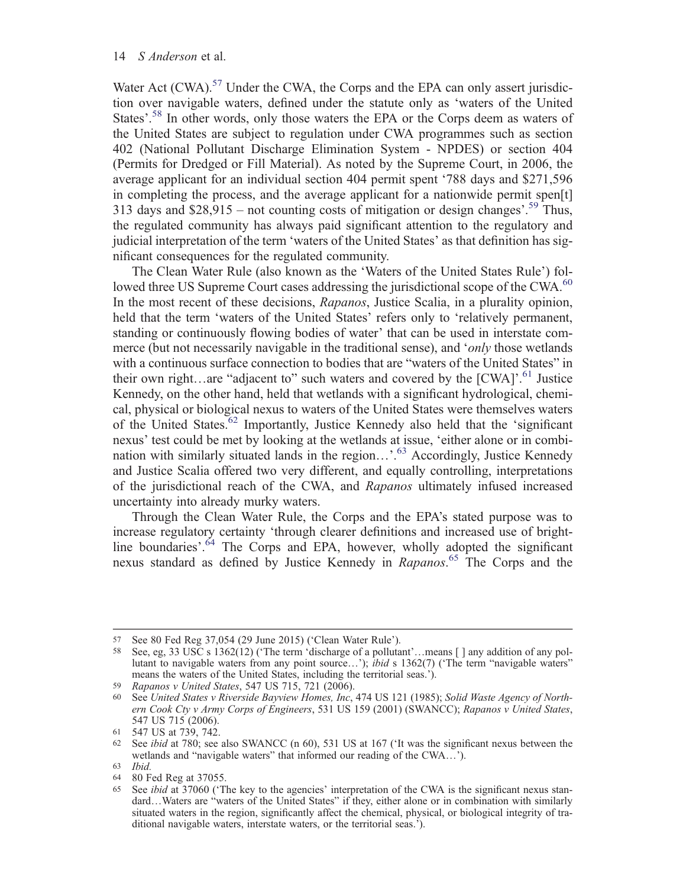#### 14 S *Anderson* et al.

Water Act  $(CWA)$ .<sup>57</sup> Under the CWA, the Corps and the EPA can only assert jurisdiction over navigable waters, defined under the statute only as 'waters of the United States'.<sup>58</sup> In other words, only those waters the EPA or the Corps deem as waters of the United States are subject to regulation under CWA programmes such as section 402 (National Pollutant Discharge Elimination System - NPDES) or section 404 (Permits for Dredged or Fill Material). As noted by the Supreme Court, in 2006, the average applicant for an individual section 404 permit spent '788 days and \$271,596 in completing the process, and the average applicant for a nationwide permit spen[t] 313 days and \$28,915 – not counting costs of mitigation or design changes'. <sup>59</sup> Thus, the regulated community has always paid significant attention to the regulatory and judicial interpretation of the term 'waters of the United States' as that definition has significant consequences for the regulated community.

The Clean Water Rule (also known as the 'Waters of the United States Rule') followed three US Supreme Court cases addressing the jurisdictional scope of the CWA.<sup>60</sup> In the most recent of these decisions, Rapanos, Justice Scalia, in a plurality opinion, held that the term 'waters of the United States' refers only to 'relatively permanent, standing or continuously flowing bodies of water' that can be used in interstate commerce (but not necessarily navigable in the traditional sense), and '*only* those wetlands with a continuous surface connection to bodies that are "waters of the United States" in their own right...are "adjacent to" such waters and covered by the [CWA]'.<sup>61</sup> Justice Kennedy, on the other hand, held that wetlands with a significant hydrological, chemical, physical or biological nexus to waters of the United States were themselves waters of the United States.62 Importantly, Justice Kennedy also held that the 'significant nexus' test could be met by looking at the wetlands at issue, 'either alone or in combination with similarly situated lands in the region...'.<sup>63</sup> Accordingly, Justice Kennedy and Justice Scalia offered two very different, and equally controlling, interpretations of the jurisdictional reach of the CWA, and Rapanos ultimately infused increased uncertainty into already murky waters.

Through the Clean Water Rule, the Corps and the EPA's stated purpose was to increase regulatory certainty 'through clearer definitions and increased use of brightline boundaries'.<sup>64</sup> The Corps and EPA, however, wholly adopted the significant nexus standard as defined by Justice Kennedy in Rapanos.<sup>65</sup> The Corps and the

<sup>57</sup> See 80 Fed Reg 37,054 (29 June 2015) ('Clean Water Rule').

<sup>58</sup> See, eg, 33 USC s 1362(12) ('The term 'discharge of a pollutant'…means [ ] any addition of any pollutant to navigable waters from any point source…'); ibid s 1362(7) ('The term "navigable waters" means the waters of the United States, including the territorial seas.').

<sup>59</sup> Rapanos v United States, 547 US 715, 721 (2006).

<sup>60</sup> See United States v Riverside Bayview Homes, Inc, 474 US 121 (1985); Solid Waste Agency of Northern Cook Cty v Army Corps of Engineers, 531 US 159 (2001) (SWANCC); Rapanos v United States, 547 US 715 (2006).

<sup>61</sup> 547 US at 739, 742.

<sup>62</sup> See ibid at 780; see also SWANCC (n 60), 531 US at 167 ('It was the significant nexus between the wetlands and "navigable waters" that informed our reading of the CWA…').

<sup>63</sup> Ibid.

<sup>64</sup> 80 Fed Reg at 37055.

See *ibid* at 37060 ('The key to the agencies' interpretation of the CWA is the significant nexus standard…Waters are "waters of the United States" if they, either alone or in combination with similarly situated waters in the region, significantly affect the chemical, physical, or biological integrity of traditional navigable waters, interstate waters, or the territorial seas.').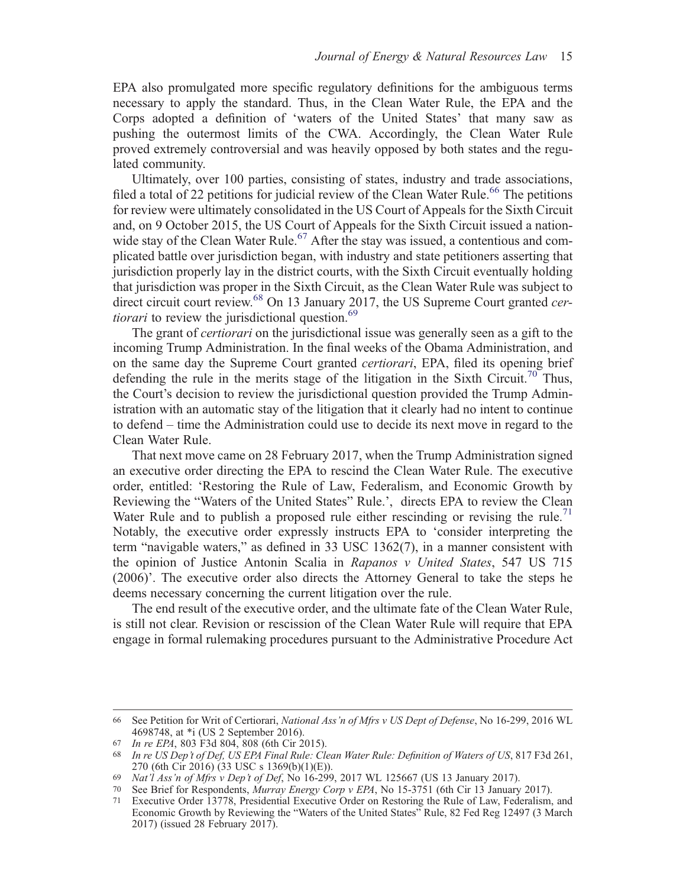EPA also promulgated more specific regulatory definitions for the ambiguous terms necessary to apply the standard. Thus, in the Clean Water Rule, the EPA and the Corps adopted a definition of 'waters of the United States' that many saw as pushing the outermost limits of the CWA. Accordingly, the Clean Water Rule proved extremely controversial and was heavily opposed by both states and the regulated community.

Ultimately, over 100 parties, consisting of states, industry and trade associations, filed a total of 22 petitions for judicial review of the Clean Water Rule.<sup>66</sup> The petitions for review were ultimately consolidated in the US Court of Appeals for the Sixth Circuit and, on 9 October 2015, the US Court of Appeals for the Sixth Circuit issued a nationwide stay of the Clean Water Rule.<sup>67</sup> After the stay was issued, a contentious and complicated battle over jurisdiction began, with industry and state petitioners asserting that jurisdiction properly lay in the district courts, with the Sixth Circuit eventually holding that jurisdiction was proper in the Sixth Circuit, as the Clean Water Rule was subject to direct circuit court review.<sup>68</sup> On 13 January 2017, the US Supreme Court granted *cer*tiorari to review the jurisdictional question.<sup>69</sup>

The grant of *certiorari* on the jurisdictional issue was generally seen as a gift to the incoming Trump Administration. In the final weeks of the Obama Administration, and on the same day the Supreme Court granted certiorari, EPA, filed its opening brief defending the rule in the merits stage of the litigation in the Sixth Circuit.<sup>70</sup> Thus, the Court's decision to review the jurisdictional question provided the Trump Administration with an automatic stay of the litigation that it clearly had no intent to continue to defend – time the Administration could use to decide its next move in regard to the Clean Water Rule.

That next move came on 28 February 2017, when the Trump Administration signed an executive order directing the EPA to rescind the Clean Water Rule. The executive order, entitled: 'Restoring the Rule of Law, Federalism, and Economic Growth by Reviewing the "Waters of the United States" Rule.', directs EPA to review the Clean Water Rule and to publish a proposed rule either rescinding or revising the rule.<sup>71</sup> Notably, the executive order expressly instructs EPA to 'consider interpreting the term "navigable waters," as defined in 33 USC 1362(7), in a manner consistent with the opinion of Justice Antonin Scalia in Rapanos v United States, 547 US 715 (2006)'. The executive order also directs the Attorney General to take the steps he deems necessary concerning the current litigation over the rule.

The end result of the executive order, and the ultimate fate of the Clean Water Rule, is still not clear. Revision or rescission of the Clean Water Rule will require that EPA engage in formal rulemaking procedures pursuant to the Administrative Procedure Act

<sup>66</sup> See Petition for Writ of Certiorari, National Ass'n of Mfrs v US Dept of Defense, No 16-299, 2016 WL 4698748, at \*i (US 2 September 2016).

<sup>67</sup> In re EPA, 803 F3d 804, 808 (6th Cir 2015).

<sup>68</sup> In re US Dep't of Def, US EPA Final Rule: Clean Water Rule: Definition of Waters of US, 817 F3d 261, 270 (6th Cir 2016) (33 USC s 1369(b)(1)(E)).

<sup>69</sup> Nat'l Ass'n of Mfrs v Dep't of Def, No 16-299, 2017 WL 125667 (US 13 January 2017).

<sup>70</sup> See Brief for Respondents, Murray Energy Corp v EPA, No 15-3751 (6th Cir 13 January 2017).

<sup>71</sup> Executive Order 13778, Presidential Executive Order on Restoring the Rule of Law, Federalism, and Economic Growth by Reviewing the "Waters of the United States" Rule, 82 Fed Reg 12497 (3 March 2017) (issued 28 February 2017).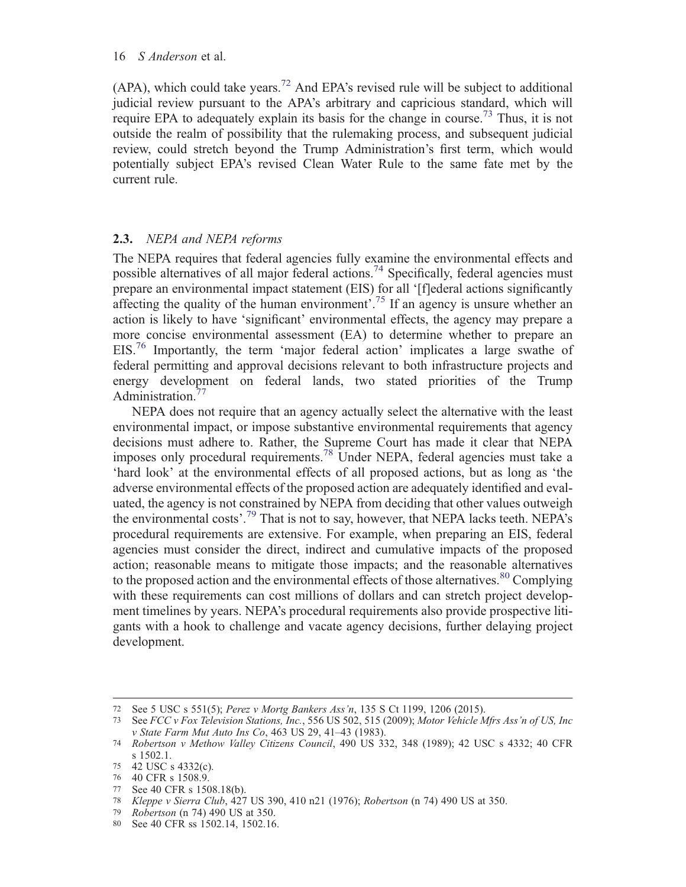(APA), which could take years.<sup>72</sup> And EPA's revised rule will be subject to additional judicial review pursuant to the APA's arbitrary and capricious standard, which will require EPA to adequately explain its basis for the change in course.<sup>73</sup> Thus, it is not outside the realm of possibility that the rulemaking process, and subsequent judicial review, could stretch beyond the Trump Administration's first term, which would potentially subject EPA's revised Clean Water Rule to the same fate met by the current rule.

## 2.3. NEPA and NEPA reforms

The NEPA requires that federal agencies fully examine the environmental effects and possible alternatives of all major federal actions.<sup>74</sup> Specifically, federal agencies must prepare an environmental impact statement (EIS) for all '[f]ederal actions significantly affecting the quality of the human environment<sup>5.75</sup> If an agency is unsure whether an action is likely to have 'significant' environmental effects, the agency may prepare a more concise environmental assessment (EA) to determine whether to prepare an EIS.76 Importantly, the term 'major federal action' implicates a large swathe of federal permitting and approval decisions relevant to both infrastructure projects and energy development on federal lands, two stated priorities of the Trump Administration.<sup>77</sup>

NEPA does not require that an agency actually select the alternative with the least environmental impact, or impose substantive environmental requirements that agency decisions must adhere to. Rather, the Supreme Court has made it clear that NEPA imposes only procedural requirements.<sup>78</sup> Under NEPA, federal agencies must take a 'hard look' at the environmental effects of all proposed actions, but as long as 'the adverse environmental effects of the proposed action are adequately identified and evaluated, the agency is not constrained by NEPA from deciding that other values outweigh the environmental costs'. <sup>79</sup> That is not to say, however, that NEPA lacks teeth. NEPA's procedural requirements are extensive. For example, when preparing an EIS, federal agencies must consider the direct, indirect and cumulative impacts of the proposed action; reasonable means to mitigate those impacts; and the reasonable alternatives to the proposed action and the environmental effects of those alternatives.<sup>80</sup> Complying with these requirements can cost millions of dollars and can stretch project development timelines by years. NEPA's procedural requirements also provide prospective litigants with a hook to challenge and vacate agency decisions, further delaying project development.

<sup>72</sup> See 5 USC s 551(5); Perez v Mortg Bankers Ass'n, 135 S Ct 1199, 1206 (2015).

<sup>73</sup> See FCC v Fox Television Stations, Inc., 556 US 502, 515 (2009); Motor Vehicle Mfrs Ass'n of US, Inc v State Farm Mut Auto Ins Co, 463 US 29, 41–43 (1983).

<sup>74</sup> Robertson v Methow Valley Citizens Council, 490 US 332, 348 (1989); 42 USC s 4332; 40 CFR s 1502.1.

<sup>75</sup> 42 USC s 4332(c).

<sup>76</sup> 40 CFR s 1508.9.

<sup>77</sup> See 40 CFR s 1508.18(b).

<sup>78</sup> Kleppe v Sierra Club, 427 US 390, 410 n21 (1976); Robertson (n 74) 490 US at 350.

<sup>79</sup> Robertson (n 74) 490 US at 350.

<sup>80</sup> See 40 CFR ss 1502.14, 1502.16.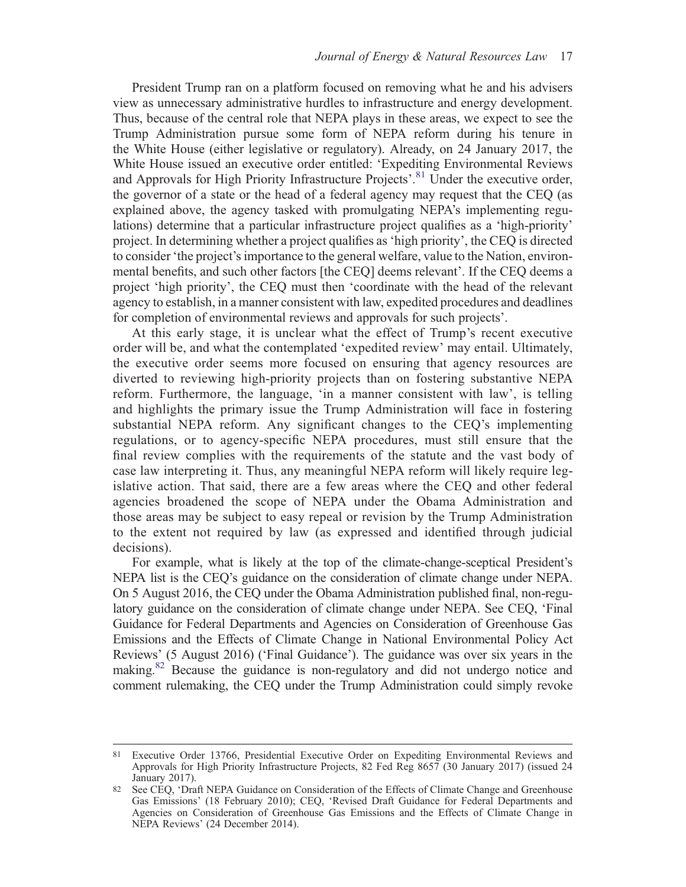President Trump ran on a platform focused on removing what he and his advisers view as unnecessary administrative hurdles to infrastructure and energy development. Thus, because of the central role that NEPA plays in these areas, we expect to see the Trump Administration pursue some form of NEPA reform during his tenure in the White House (either legislative or regulatory). Already, on 24 January 2017, the White House issued an executive order entitled: 'Expediting Environmental Reviews and Approvals for High Priority Infrastructure Projects'.<sup>81</sup> Under the executive order, the governor of a state or the head of a federal agency may request that the CEQ (as explained above, the agency tasked with promulgating NEPA's implementing regulations) determine that a particular infrastructure project qualifies as a 'high-priority' project. In determining whether a project qualifies as 'high priority', the CEQ is directed to consider 'the project's importance to the general welfare, value to the Nation, environmental benefits, and such other factors [the CEQ] deems relevant'. If the CEQ deems a project 'high priority', the CEQ must then 'coordinate with the head of the relevant agency to establish, in a manner consistent with law, expedited procedures and deadlines for completion of environmental reviews and approvals for such projects'.

At this early stage, it is unclear what the effect of Trump's recent executive order will be, and what the contemplated 'expedited review' may entail. Ultimately, the executive order seems more focused on ensuring that agency resources are diverted to reviewing high-priority projects than on fostering substantive NEPA reform. Furthermore, the language, 'in a manner consistent with law', is telling and highlights the primary issue the Trump Administration will face in fostering substantial NEPA reform. Any significant changes to the CEQ's implementing regulations, or to agency-specific NEPA procedures, must still ensure that the final review complies with the requirements of the statute and the vast body of case law interpreting it. Thus, any meaningful NEPA reform will likely require legislative action. That said, there are a few areas where the CEQ and other federal agencies broadened the scope of NEPA under the Obama Administration and those areas may be subject to easy repeal or revision by the Trump Administration to the extent not required by law (as expressed and identified through judicial decisions).

For example, what is likely at the top of the climate-change-sceptical President's NEPA list is the CEQ's guidance on the consideration of climate change under NEPA. On 5 August 2016, the CEQ under the Obama Administration published final, non-regulatory guidance on the consideration of climate change under NEPA. See CEQ, 'Final Guidance for Federal Departments and Agencies on Consideration of Greenhouse Gas Emissions and the Effects of Climate Change in National Environmental Policy Act Reviews' (5 August 2016) ('Final Guidance'). The guidance was over six years in the making.<sup>82</sup> Because the guidance is non-regulatory and did not undergo notice and comment rulemaking, the CEQ under the Trump Administration could simply revoke

<sup>81</sup> Executive Order 13766, Presidential Executive Order on Expediting Environmental Reviews and Approvals for High Priority Infrastructure Projects, 82 Fed Reg 8657 (30 January 2017) (issued 24 January 2017).

<sup>82</sup> See CEQ, 'Draft NEPA Guidance on Consideration of the Effects of Climate Change and Greenhouse Gas Emissions' (18 February 2010); CEQ, 'Revised Draft Guidance for Federal Departments and Agencies on Consideration of Greenhouse Gas Emissions and the Effects of Climate Change in NEPA Reviews' (24 December 2014).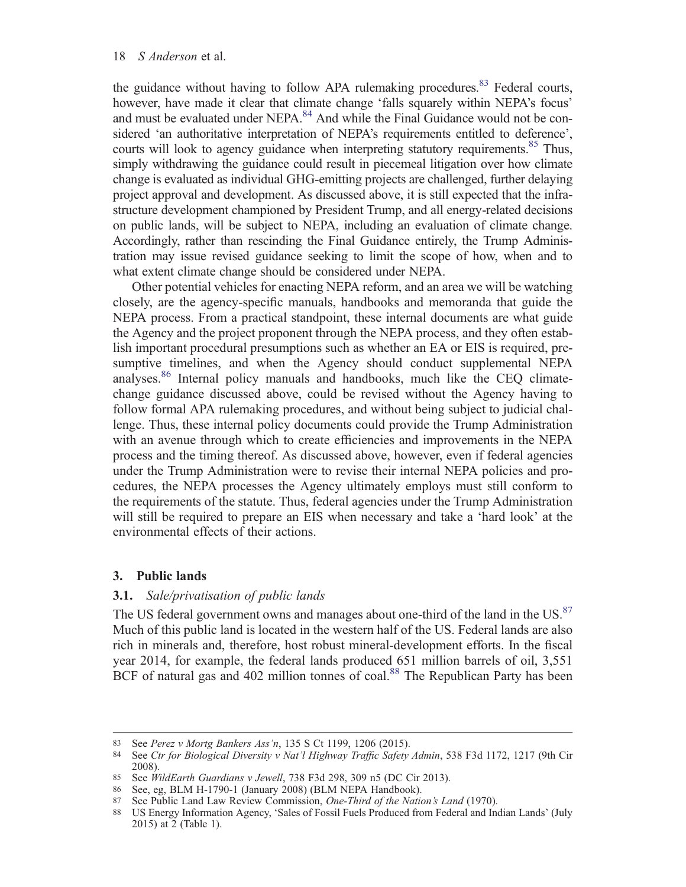#### 18 S Anderson et al.

the guidance without having to follow APA rulemaking procedures.<sup>83</sup> Federal courts, however, have made it clear that climate change 'falls squarely within NEPA's focus' and must be evaluated under NEPA.<sup>84</sup> And while the Final Guidance would not be considered 'an authoritative interpretation of NEPA's requirements entitled to deference', courts will look to agency guidance when interpreting statutory requirements.<sup>85</sup> Thus, simply withdrawing the guidance could result in piecemeal litigation over how climate change is evaluated as individual GHG-emitting projects are challenged, further delaying project approval and development. As discussed above, it is still expected that the infrastructure development championed by President Trump, and all energy-related decisions on public lands, will be subject to NEPA, including an evaluation of climate change. Accordingly, rather than rescinding the Final Guidance entirely, the Trump Administration may issue revised guidance seeking to limit the scope of how, when and to what extent climate change should be considered under NEPA.

Other potential vehicles for enacting NEPA reform, and an area we will be watching closely, are the agency-specific manuals, handbooks and memoranda that guide the NEPA process. From a practical standpoint, these internal documents are what guide the Agency and the project proponent through the NEPA process, and they often establish important procedural presumptions such as whether an EA or EIS is required, presumptive timelines, and when the Agency should conduct supplemental NEPA analyses.<sup>86</sup> Internal policy manuals and handbooks, much like the CEQ climatechange guidance discussed above, could be revised without the Agency having to follow formal APA rulemaking procedures, and without being subject to judicial challenge. Thus, these internal policy documents could provide the Trump Administration with an avenue through which to create efficiencies and improvements in the NEPA process and the timing thereof. As discussed above, however, even if federal agencies under the Trump Administration were to revise their internal NEPA policies and procedures, the NEPA processes the Agency ultimately employs must still conform to the requirements of the statute. Thus, federal agencies under the Trump Administration will still be required to prepare an EIS when necessary and take a 'hard look' at the environmental effects of their actions.

## 3. Public lands

## **3.1.** Sale/privatisation of public lands

The US federal government owns and manages about one-third of the land in the US.<sup>87</sup> Much of this public land is located in the western half of the US. Federal lands are also rich in minerals and, therefore, host robust mineral-development efforts. In the fiscal year 2014, for example, the federal lands produced 651 million barrels of oil, 3,551 BCF of natural gas and 402 million tonnes of coal.<sup>88</sup> The Republican Party has been

<sup>83</sup> See Perez v Mortg Bankers Ass'n, 135 S Ct 1199, 1206 (2015).

<sup>84</sup> See Ctr for Biological Diversity v Nat'l Highway Traffic Safety Admin, 538 F3d 1172, 1217 (9th Cir 2008).

<sup>85</sup> See WildEarth Guardians v Jewell, 738 F3d 298, 309 n5 (DC Cir 2013).

<sup>86</sup> See, eg, BLM H-1790-1 (January 2008) (BLM NEPA Handbook).

<sup>87</sup> See Public Land Law Review Commission, One-Third of the Nation's Land (1970).

<sup>88</sup> US Energy Information Agency, 'Sales of Fossil Fuels Produced from Federal and Indian Lands' (July 2015) at 2 (Table 1).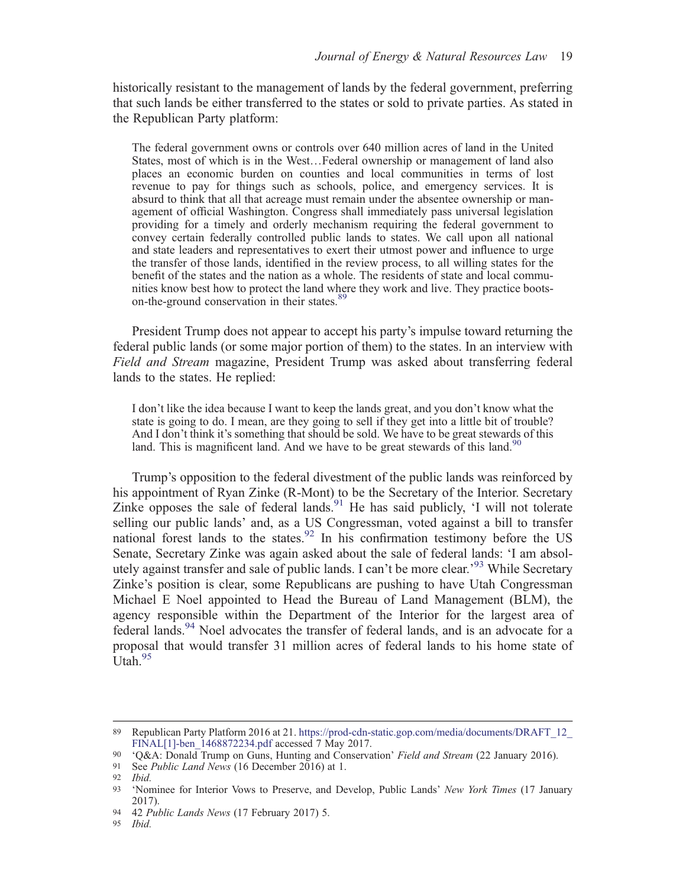historically resistant to the management of lands by the federal government, preferring that such lands be either transferred to the states or sold to private parties. As stated in the Republican Party platform:

The federal government owns or controls over 640 million acres of land in the United States, most of which is in the West…Federal ownership or management of land also places an economic burden on counties and local communities in terms of lost revenue to pay for things such as schools, police, and emergency services. It is absurd to think that all that acreage must remain under the absentee ownership or management of official Washington. Congress shall immediately pass universal legislation providing for a timely and orderly mechanism requiring the federal government to convey certain federally controlled public lands to states. We call upon all national and state leaders and representatives to exert their utmost power and influence to urge the transfer of those lands, identified in the review process, to all willing states for the benefit of the states and the nation as a whole. The residents of state and local communities know best how to protect the land where they work and live. They practice bootson-the-ground conservation in their states.<sup>89</sup>

President Trump does not appear to accept his party's impulse toward returning the federal public lands (or some major portion of them) to the states. In an interview with Field and Stream magazine, President Trump was asked about transferring federal lands to the states. He replied:

I don't like the idea because I want to keep the lands great, and you don't know what the state is going to do. I mean, are they going to sell if they get into a little bit of trouble? And I don't think it's something that should be sold. We have to be great stewards of this land. This is magnificent land. And we have to be great stewards of this land.<sup>90</sup>

Trump's opposition to the federal divestment of the public lands was reinforced by his appointment of Ryan Zinke (R-Mont) to be the Secretary of the Interior. Secretary Zinke opposes the sale of federal lands.  $91$  He has said publicly, 'I will not tolerate selling our public lands' and, as a US Congressman, voted against a bill to transfer national forest lands to the states.<sup>92</sup> In his confirmation testimony before the US Senate, Secretary Zinke was again asked about the sale of federal lands: 'I am absolutely against transfer and sale of public lands. I can't be more clear.<sup>93</sup> While Secretary Zinke's position is clear, some Republicans are pushing to have Utah Congressman Michael E Noel appointed to Head the Bureau of Land Management (BLM), the agency responsible within the Department of the Interior for the largest area of federal lands.<sup>94</sup> Noel advocates the transfer of federal lands, and is an advocate for a proposal that would transfer 31 million acres of federal lands to his home state of Utah.<sup>95</sup>

<sup>89</sup> Republican Party Platform 2016 at 21. https://prod-cdn-static.gop.com/media/documents/DRAFT\_12\_ FINAL[1]-ben\_1468872234.pdf accessed 7 May 2017.

<sup>90</sup> 'Q&A: Donald Trump on Guns, Hunting and Conservation' Field and Stream (22 January 2016).

<sup>91</sup> See Public Land News (16 December 2016) at 1.

<sup>92</sup> Ibid.

<sup>93</sup> 'Nominee for Interior Vows to Preserve, and Develop, Public Lands' New York Times (17 January 2017).

<sup>94</sup> 42 Public Lands News (17 February 2017) 5.

<sup>95</sup> Ibid.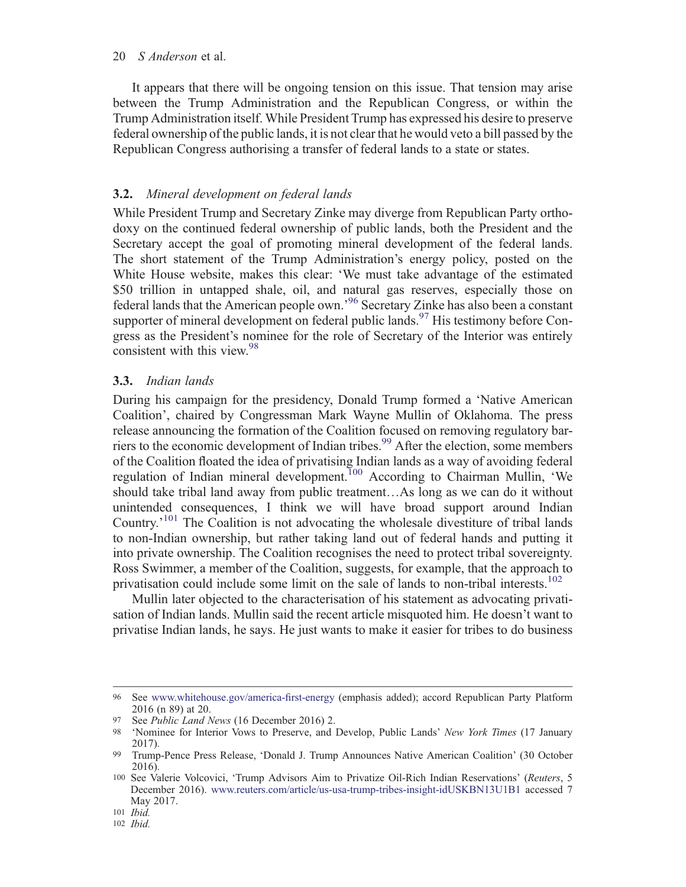#### 20 *S Anderson* et al.

It appears that there will be ongoing tension on this issue. That tension may arise between the Trump Administration and the Republican Congress, or within the Trump Administration itself. While President Trump has expressed his desire to preserve federal ownership of the public lands, it is not clear that he would veto a bill passed by the Republican Congress authorising a transfer of federal lands to a state or states.

#### 3.2. Mineral development on federal lands

While President Trump and Secretary Zinke may diverge from Republican Party orthodoxy on the continued federal ownership of public lands, both the President and the Secretary accept the goal of promoting mineral development of the federal lands. The short statement of the Trump Administration's energy policy, posted on the White House website, makes this clear: 'We must take advantage of the estimated \$50 trillion in untapped shale, oil, and natural gas reserves, especially those on federal lands that the American people own.' <sup>96</sup> Secretary Zinke has also been a constant supporter of mineral development on federal public lands.<sup>97</sup> His testimony before Congress as the President's nominee for the role of Secretary of the Interior was entirely consistent with this view.<sup>98</sup>

#### 3.3. Indian lands

During his campaign for the presidency, Donald Trump formed a 'Native American Coalition', chaired by Congressman Mark Wayne Mullin of Oklahoma. The press release announcing the formation of the Coalition focused on removing regulatory barriers to the economic development of Indian tribes.<sup>99</sup> After the election, some members of the Coalition floated the idea of privatising Indian lands as a way of avoiding federal regulation of Indian mineral development.<sup>100</sup> According to Chairman Mullin, 'We should take tribal land away from public treatment…As long as we can do it without unintended consequences, I think we will have broad support around Indian Country.<sup>'101</sup> The Coalition is not advocating the wholesale divestiture of tribal lands to non-Indian ownership, but rather taking land out of federal hands and putting it into private ownership. The Coalition recognises the need to protect tribal sovereignty. Ross Swimmer, a member of the Coalition, suggests, for example, that the approach to privatisation could include some limit on the sale of lands to non-tribal interests.<sup>102</sup>

Mullin later objected to the characterisation of his statement as advocating privatisation of Indian lands. Mullin said the recent article misquoted him. He doesn't want to privatise Indian lands, he says. He just wants to make it easier for tribes to do business

<sup>96</sup> See www.whitehouse.gov/america-first-energy (emphasis added); accord Republican Party Platform 2016 (n 89) at 20.

<sup>97</sup> See Public Land News (16 December 2016) 2.

<sup>98 &#</sup>x27;Nominee for Interior Vows to Preserve, and Develop, Public Lands' New York Times (17 January 2017).

<sup>99</sup> Trump-Pence Press Release, 'Donald J. Trump Announces Native American Coalition' (30 October 2016).

<sup>100</sup> See Valerie Volcovici, 'Trump Advisors Aim to Privatize Oil-Rich Indian Reservations' (Reuters, 5 December 2016). www.reuters.com/article/us-usa-trump-tribes-insight-idUSKBN13U1B1 accessed 7 May 2017.

<sup>101</sup> Ibid.

<sup>102</sup> Ibid.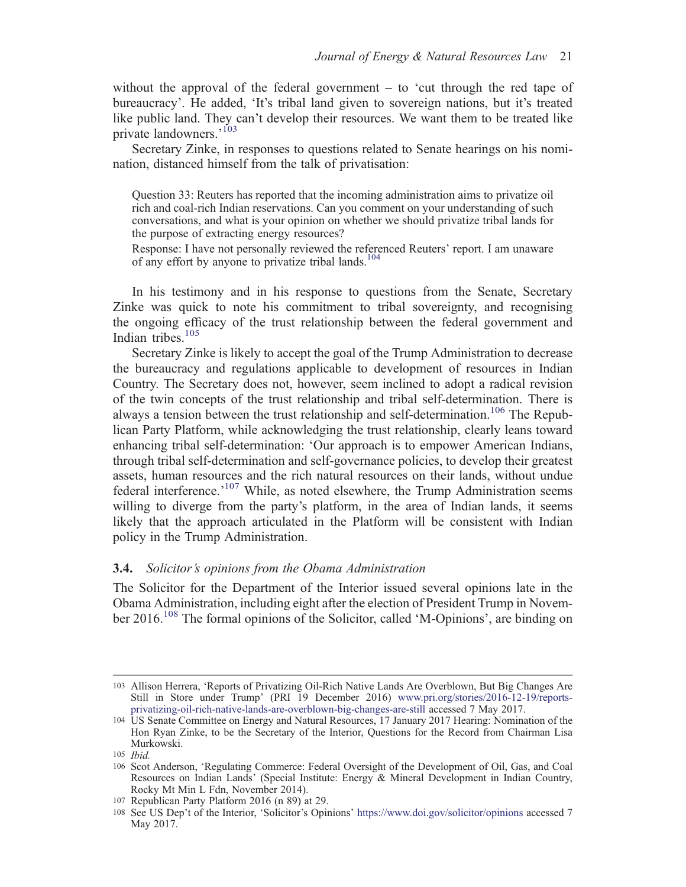without the approval of the federal government – to 'cut through the red tape of bureaucracy'. He added, 'It's tribal land given to sovereign nations, but it's treated like public land. They can't develop their resources. We want them to be treated like private landowners.'<sup>103</sup>

Secretary Zinke, in responses to questions related to Senate hearings on his nomination, distanced himself from the talk of privatisation:

Question 33: Reuters has reported that the incoming administration aims to privatize oil rich and coal-rich Indian reservations. Can you comment on your understanding of such conversations, and what is your opinion on whether we should privatize tribal lands for the purpose of extracting energy resources?

Response: I have not personally reviewed the referenced Reuters' report. I am unaware of any effort by anyone to privatize tribal lands.<sup>104</sup>

In his testimony and in his response to questions from the Senate, Secretary Zinke was quick to note his commitment to tribal sovereignty, and recognising the ongoing efficacy of the trust relationship between the federal government and Indian tribes.<sup>105</sup>

Secretary Zinke is likely to accept the goal of the Trump Administration to decrease the bureaucracy and regulations applicable to development of resources in Indian Country. The Secretary does not, however, seem inclined to adopt a radical revision of the twin concepts of the trust relationship and tribal self-determination. There is always a tension between the trust relationship and self-determination.<sup>106</sup> The Republican Party Platform, while acknowledging the trust relationship, clearly leans toward enhancing tribal self-determination: 'Our approach is to empower American Indians, through tribal self-determination and self-governance policies, to develop their greatest assets, human resources and the rich natural resources on their lands, without undue federal interference.<sup>107</sup> While, as noted elsewhere, the Trump Administration seems willing to diverge from the party's platform, in the area of Indian lands, it seems likely that the approach articulated in the Platform will be consistent with Indian policy in the Trump Administration.

#### 3.4. Solicitor's opinions from the Obama Administration

The Solicitor for the Department of the Interior issued several opinions late in the Obama Administration, including eight after the election of President Trump in November 2016.<sup>108</sup> The formal opinions of the Solicitor, called 'M-Opinions', are binding on

<sup>103</sup> Allison Herrera, 'Reports of Privatizing Oil-Rich Native Lands Are Overblown, But Big Changes Are Still in Store under Trump' (PRI 19 December 2016) www.pri.org/stories/2016-12-19/reportsprivatizing-oil-rich-native-lands-are-overblown-big-changes-are-still accessed 7 May 2017.

<sup>104</sup> US Senate Committee on Energy and Natural Resources, 17 January 2017 Hearing: Nomination of the Hon Ryan Zinke, to be the Secretary of the Interior, Questions for the Record from Chairman Lisa Murkowski.

<sup>105</sup> Ibid.

<sup>106</sup> Scot Anderson, 'Regulating Commerce: Federal Oversight of the Development of Oil, Gas, and Coal Resources on Indian Lands' (Special Institute: Energy & Mineral Development in Indian Country, Rocky Mt Min L Fdn, November 2014).

<sup>107</sup> Republican Party Platform 2016 (n 89) at 29.

<sup>108</sup> See US Dep't of the Interior, 'Solicitor's Opinions' https://www.doi.gov/solicitor/opinions accessed 7 May 2017.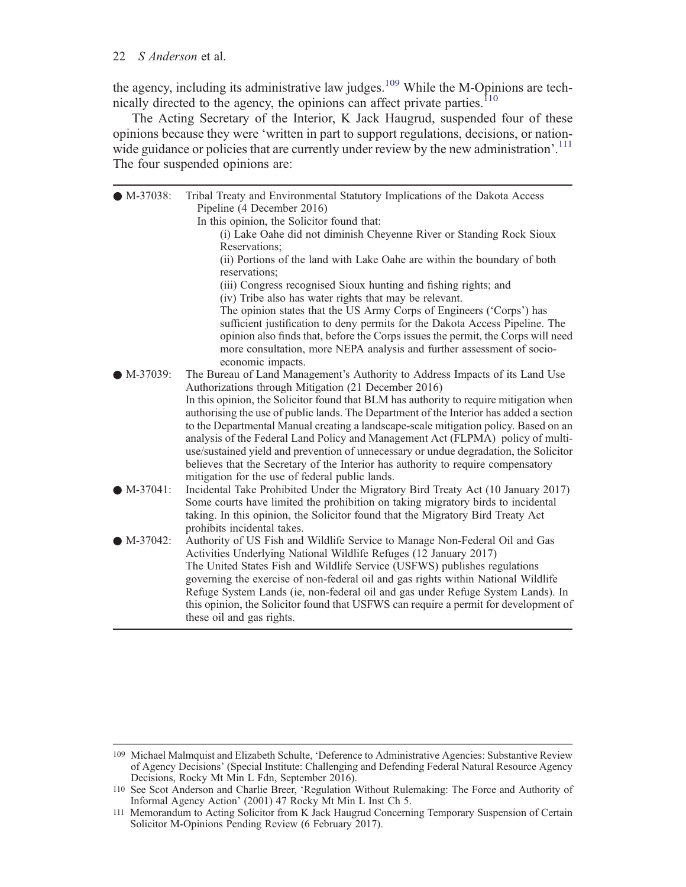#### 22 S Anderson et al.

the agency, including its administrative law judges.<sup>109</sup> While the M-Opinions are technically directed to the agency, the opinions can affect private parties.<sup>110</sup>

The Acting Secretary of the Interior, K Jack Haugrud, suspended four of these opinions because they were 'written in part to support regulations, decisions, or nationwide guidance or policies that are currently under review by the new administration'.<sup>111</sup> The four suspended opinions are:

| $\bullet$ M-37038: | Tribal Treaty and Environmental Statutory Implications of the Dakota Access<br>Pipeline (4 December 2016)                                                                                                                                                                                                                                                                                                                                                                                                                                                                                     |
|--------------------|-----------------------------------------------------------------------------------------------------------------------------------------------------------------------------------------------------------------------------------------------------------------------------------------------------------------------------------------------------------------------------------------------------------------------------------------------------------------------------------------------------------------------------------------------------------------------------------------------|
|                    | In this opinion, the Solicitor found that:                                                                                                                                                                                                                                                                                                                                                                                                                                                                                                                                                    |
|                    | (i) Lake Oahe did not diminish Cheyenne River or Standing Rock Sioux                                                                                                                                                                                                                                                                                                                                                                                                                                                                                                                          |
|                    | Reservations;                                                                                                                                                                                                                                                                                                                                                                                                                                                                                                                                                                                 |
|                    | (ii) Portions of the land with Lake Oahe are within the boundary of both<br>reservations;                                                                                                                                                                                                                                                                                                                                                                                                                                                                                                     |
|                    | (iii) Congress recognised Sioux hunting and fishing rights; and                                                                                                                                                                                                                                                                                                                                                                                                                                                                                                                               |
|                    | (iv) Tribe also has water rights that may be relevant.                                                                                                                                                                                                                                                                                                                                                                                                                                                                                                                                        |
|                    | The opinion states that the US Army Corps of Engineers ('Corps') has<br>sufficient justification to deny permits for the Dakota Access Pipeline. The<br>opinion also finds that, before the Corps issues the permit, the Corps will need<br>more consultation, more NEPA analysis and further assessment of socio-<br>economic impacts.                                                                                                                                                                                                                                                       |
| M-37039:           | The Bureau of Land Management's Authority to Address Impacts of its Land Use                                                                                                                                                                                                                                                                                                                                                                                                                                                                                                                  |
|                    | Authorizations through Mitigation (21 December 2016)                                                                                                                                                                                                                                                                                                                                                                                                                                                                                                                                          |
|                    | In this opinion, the Solicitor found that BLM has authority to require mitigation when<br>authorising the use of public lands. The Department of the Interior has added a section<br>to the Departmental Manual creating a landscape-scale mitigation policy. Based on an<br>analysis of the Federal Land Policy and Management Act (FLPMA) policy of multi-<br>use/sustained yield and prevention of unnecessary or undue degradation, the Solicitor<br>believes that the Secretary of the Interior has authority to require compensatory<br>mitigation for the use of federal public lands. |
| M-37041:           | Incidental Take Prohibited Under the Migratory Bird Treaty Act (10 January 2017)<br>Some courts have limited the prohibition on taking migratory birds to incidental<br>taking. In this opinion, the Solicitor found that the Migratory Bird Treaty Act<br>prohibits incidental takes.                                                                                                                                                                                                                                                                                                        |
| M-37042:           | Authority of US Fish and Wildlife Service to Manage Non-Federal Oil and Gas<br>Activities Underlying National Wildlife Refuges (12 January 2017)                                                                                                                                                                                                                                                                                                                                                                                                                                              |
|                    | The United States Fish and Wildlife Service (USFWS) publishes regulations<br>governing the exercise of non-federal oil and gas rights within National Wildlife<br>Refuge System Lands (ie, non-federal oil and gas under Refuge System Lands). In<br>this opinion, the Solicitor found that USFWS can require a permit for development of                                                                                                                                                                                                                                                     |
|                    | these oil and gas rights.                                                                                                                                                                                                                                                                                                                                                                                                                                                                                                                                                                     |

<sup>109</sup> Michael Malmquist and Elizabeth Schulte, 'Deference to Administrative Agencies: Substantive Review of Agency Decisions' (Special Institute: Challenging and Defending Federal Natural Resource Agency Decisions, Rocky Mt Min L Fdn, September 2016).

<sup>110</sup> See Scot Anderson and Charlie Breer, 'Regulation Without Rulemaking: The Force and Authority of Informal Agency Action' (2001) 47 Rocky Mt Min L Inst Ch 5.

<sup>111</sup> Memorandum to Acting Solicitor from K Jack Haugrud Concerning Temporary Suspension of Certain Solicitor M-Opinions Pending Review (6 February 2017).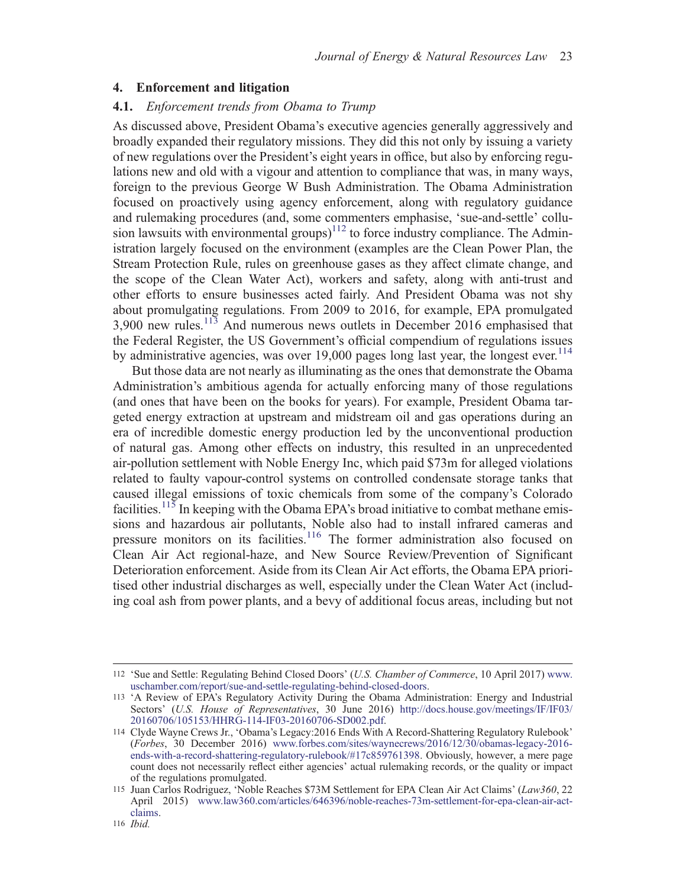#### 4. Enforcement and litigation

#### 4.1. Enforcement trends from Obama to Trump

As discussed above, President Obama's executive agencies generally aggressively and broadly expanded their regulatory missions. They did this not only by issuing a variety of new regulations over the President's eight years in office, but also by enforcing regulations new and old with a vigour and attention to compliance that was, in many ways, foreign to the previous George W Bush Administration. The Obama Administration focused on proactively using agency enforcement, along with regulatory guidance and rulemaking procedures (and, some commenters emphasise, 'sue-and-settle' collusion lawsuits with environmental groups)<sup>112</sup> to force industry compliance. The Administration largely focused on the environment (examples are the Clean Power Plan, the Stream Protection Rule, rules on greenhouse gases as they affect climate change, and the scope of the Clean Water Act), workers and safety, along with anti-trust and other efforts to ensure businesses acted fairly. And President Obama was not shy about promulgating regulations. From 2009 to 2016, for example, EPA promulgated 3,900 new rules.<sup>113</sup> And numerous news outlets in December 2016 emphasised that the Federal Register, the US Government's official compendium of regulations issues by administrative agencies, was over 19,000 pages long last year, the longest ever.<sup>114</sup>

But those data are not nearly as illuminating as the ones that demonstrate the Obama Administration's ambitious agenda for actually enforcing many of those regulations (and ones that have been on the books for years). For example, President Obama targeted energy extraction at upstream and midstream oil and gas operations during an era of incredible domestic energy production led by the unconventional production of natural gas. Among other effects on industry, this resulted in an unprecedented air-pollution settlement with Noble Energy Inc, which paid \$73m for alleged violations related to faulty vapour-control systems on controlled condensate storage tanks that caused illegal emissions of toxic chemicals from some of the company's Colorado facilities.<sup>115</sup> In keeping with the Obama EPA's broad initiative to combat methane emissions and hazardous air pollutants, Noble also had to install infrared cameras and pressure monitors on its facilities.<sup>116</sup> The former administration also focused on Clean Air Act regional-haze, and New Source Review/Prevention of Significant Deterioration enforcement. Aside from its Clean Air Act efforts, the Obama EPA prioritised other industrial discharges as well, especially under the Clean Water Act (including coal ash from power plants, and a bevy of additional focus areas, including but not

<sup>112</sup> 'Sue and Settle: Regulating Behind Closed Doors' (U.S. Chamber of Commerce, 10 April 2017) www. uschamber.com/report/sue-and-settle-regulating-behind-closed-doors.

<sup>113</sup> 'A Review of EPA's Regulatory Activity During the Obama Administration: Energy and Industrial Sectors' (U.S. House of Representatives, 30 June 2016) http://docs.house.gov/meetings/IF/IF03/ 20160706/105153/HHRG-114-IF03-20160706-SD002.pdf.

<sup>114</sup> Clyde Wayne Crews Jr., 'Obama's Legacy:2016 Ends With A Record-Shattering Regulatory Rulebook' (Forbes, 30 December 2016) www.forbes.com/sites/waynecrews/2016/12/30/obamas-legacy-2016 ends-with-a-record-shattering-regulatory-rulebook/#17c859761398. Obviously, however, a mere page count does not necessarily reflect either agencies' actual rulemaking records, or the quality or impact of the regulations promulgated.

<sup>115</sup> Juan Carlos Rodriguez, 'Noble Reaches \$73M Settlement for EPA Clean Air Act Claims' (Law360, 22 April 2015) www.law360.com/articles/646396/noble-reaches-73m-settlement-for-epa-clean-air-actclaims.

<sup>116</sup> Ibid.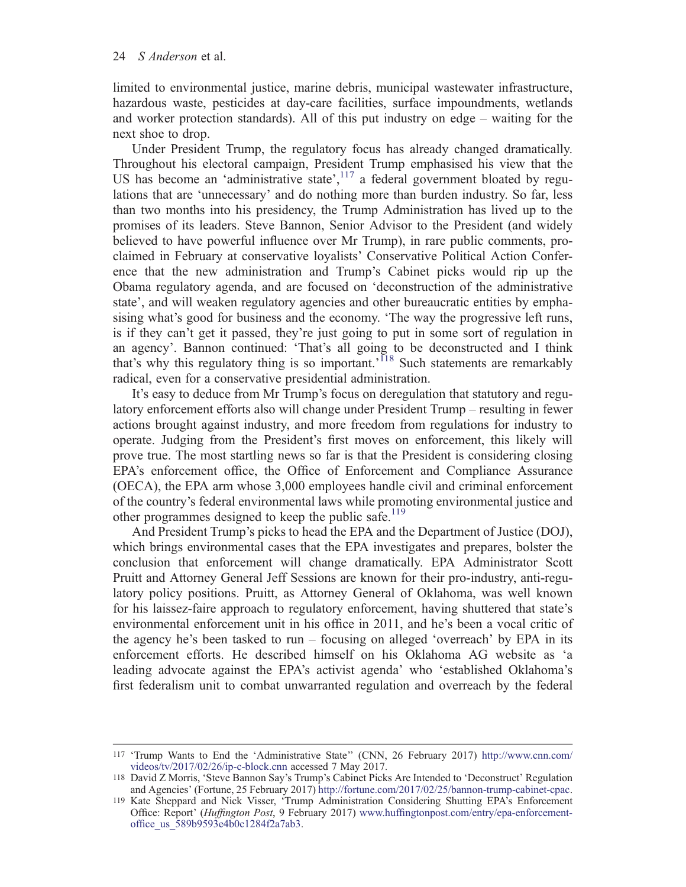limited to environmental justice, marine debris, municipal wastewater infrastructure, hazardous waste, pesticides at day-care facilities, surface impoundments, wetlands and worker protection standards). All of this put industry on edge – waiting for the next shoe to drop.

Under President Trump, the regulatory focus has already changed dramatically. Throughout his electoral campaign, President Trump emphasised his view that the US has become an 'administrative state', <sup>117</sup> a federal government bloated by regulations that are 'unnecessary' and do nothing more than burden industry. So far, less than two months into his presidency, the Trump Administration has lived up to the promises of its leaders. Steve Bannon, Senior Advisor to the President (and widely believed to have powerful influence over Mr Trump), in rare public comments, proclaimed in February at conservative loyalists' Conservative Political Action Conference that the new administration and Trump's Cabinet picks would rip up the Obama regulatory agenda, and are focused on 'deconstruction of the administrative state', and will weaken regulatory agencies and other bureaucratic entities by emphasising what's good for business and the economy. 'The way the progressive left runs, is if they can't get it passed, they're just going to put in some sort of regulation in an agency'. Bannon continued: 'That's all going to be deconstructed and I think that's why this regulatory thing is so important.'<sup>118</sup> Such statements are remarkably radical, even for a conservative presidential administration.

It's easy to deduce from Mr Trump's focus on deregulation that statutory and regulatory enforcement efforts also will change under President Trump – resulting in fewer actions brought against industry, and more freedom from regulations for industry to operate. Judging from the President's first moves on enforcement, this likely will prove true. The most startling news so far is that the President is considering closing EPA's enforcement office, the Office of Enforcement and Compliance Assurance (OECA), the EPA arm whose 3,000 employees handle civil and criminal enforcement of the country's federal environmental laws while promoting environmental justice and other programmes designed to keep the public safe.<sup>119</sup>

And President Trump's picks to head the EPA and the Department of Justice (DOJ), which brings environmental cases that the EPA investigates and prepares, bolster the conclusion that enforcement will change dramatically. EPA Administrator Scott Pruitt and Attorney General Jeff Sessions are known for their pro-industry, anti-regulatory policy positions. Pruitt, as Attorney General of Oklahoma, was well known for his laissez-faire approach to regulatory enforcement, having shuttered that state's environmental enforcement unit in his office in 2011, and he's been a vocal critic of the agency he's been tasked to run – focusing on alleged 'overreach' by EPA in its enforcement efforts. He described himself on his Oklahoma AG website as 'a leading advocate against the EPA's activist agenda' who 'established Oklahoma's first federalism unit to combat unwarranted regulation and overreach by the federal

<sup>117</sup> 'Trump Wants to End the 'Administrative State'' (CNN, 26 February 2017) http://www.cnn.com/ videos/tv/2017/02/26/ip-c-block.cnn accessed 7 May 2017.

<sup>118</sup> David Z Morris, 'Steve Bannon Say's Trump's Cabinet Picks Are Intended to 'Deconstruct' Regulation and Agencies' (Fortune, 25 February 2017) http://fortune.com/2017/02/25/bannon-trump-cabinet-cpac.

<sup>119</sup> Kate Sheppard and Nick Visser, 'Trump Administration Considering Shutting EPA's Enforcement Office: Report' (Huffington Post, 9 February 2017) www.huffingtonpost.com/entry/epa-enforcementoffice\_us\_589b9593e4b0c1284f2a7ab3.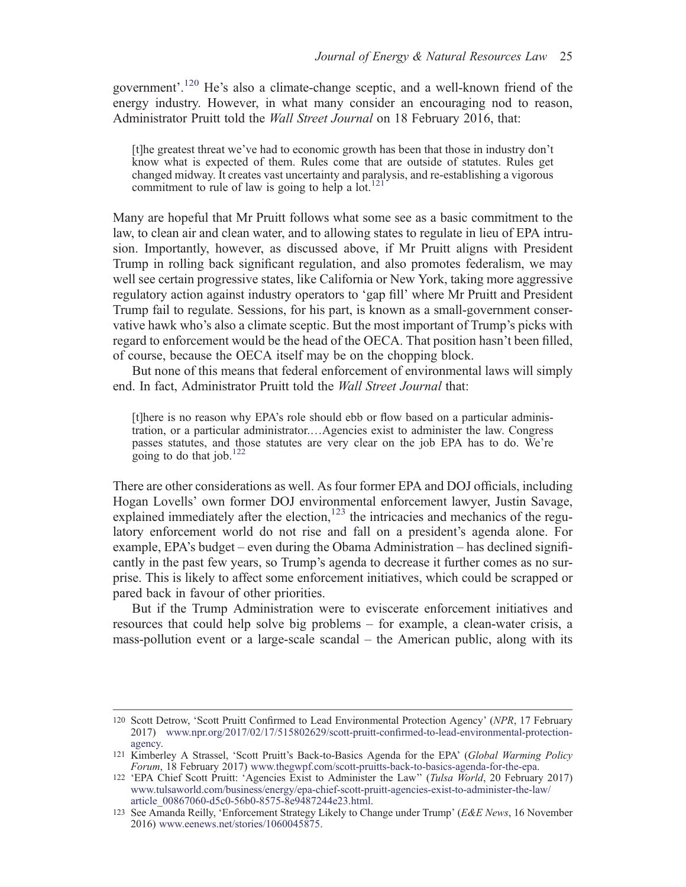government'. <sup>120</sup> He's also a climate-change sceptic, and a well-known friend of the energy industry. However, in what many consider an encouraging nod to reason, Administrator Pruitt told the Wall Street Journal on 18 February 2016, that:

[t]he greatest threat we've had to economic growth has been that those in industry don't know what is expected of them. Rules come that are outside of statutes. Rules get changed midway. It creates vast uncertainty and paralysis, and re-establishing a vigorous commitment to rule of law is going to help a  $\mathrm{lot.}^{121}$ 

Many are hopeful that Mr Pruitt follows what some see as a basic commitment to the law, to clean air and clean water, and to allowing states to regulate in lieu of EPA intrusion. Importantly, however, as discussed above, if Mr Pruitt aligns with President Trump in rolling back significant regulation, and also promotes federalism, we may well see certain progressive states, like California or New York, taking more aggressive regulatory action against industry operators to 'gap fill' where Mr Pruitt and President Trump fail to regulate. Sessions, for his part, is known as a small-government conservative hawk who's also a climate sceptic. But the most important of Trump's picks with regard to enforcement would be the head of the OECA. That position hasn't been filled, of course, because the OECA itself may be on the chopping block.

But none of this means that federal enforcement of environmental laws will simply end. In fact, Administrator Pruitt told the Wall Street Journal that:

[t]here is no reason why EPA's role should ebb or flow based on a particular administration, or a particular administrator.…Agencies exist to administer the law. Congress passes statutes, and those statutes are very clear on the job EPA has to do. We're going to do that job.122

There are other considerations as well. As four former EPA and DOJ officials, including Hogan Lovells' own former DOJ environmental enforcement lawyer, Justin Savage, explained immediately after the election, $123$  the intricacies and mechanics of the regulatory enforcement world do not rise and fall on a president's agenda alone. For example, EPA's budget – even during the Obama Administration – has declined significantly in the past few years, so Trump's agenda to decrease it further comes as no surprise. This is likely to affect some enforcement initiatives, which could be scrapped or pared back in favour of other priorities.

But if the Trump Administration were to eviscerate enforcement initiatives and resources that could help solve big problems – for example, a clean-water crisis, a mass-pollution event or a large-scale scandal – the American public, along with its

<sup>120</sup> Scott Detrow, 'Scott Pruitt Confirmed to Lead Environmental Protection Agency' (NPR, 17 February 2017) www.npr.org/2017/02/17/515802629/scott-pruitt-confirmed-to-lead-environmental-protectionagency.

<sup>121</sup> Kimberley A Strassel, 'Scott Pruitt's Back-to-Basics Agenda for the EPA' (Global Warming Policy Forum, 18 February 2017) www.thegwpf.com/scott-pruitts-back-to-basics-agenda-for-the-epa.

<sup>122</sup> 'EPA Chief Scott Pruitt: 'Agencies Exist to Administer the Law'' (Tulsa World, 20 February 2017) www.tulsaworld.com/business/energy/epa-chief-scott-pruitt-agencies-exist-to-administer-the-law/ article\_00867060-d5c0-56b0-8575-8e9487244e23.html.

<sup>123</sup> See Amanda Reilly, 'Enforcement Strategy Likely to Change under Trump' (E&E News, 16 November 2016) www.eenews.net/stories/1060045875.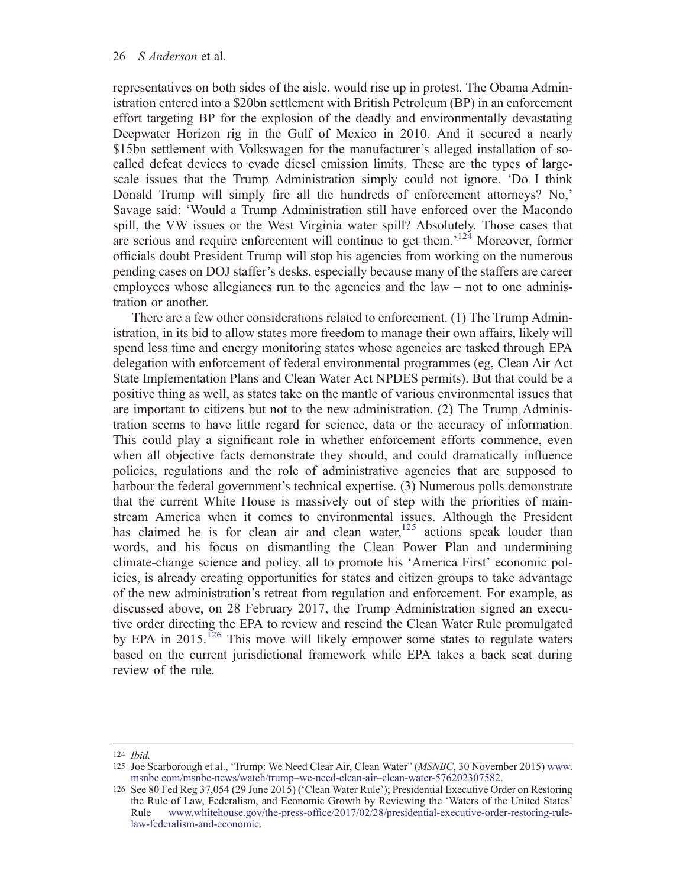representatives on both sides of the aisle, would rise up in protest. The Obama Administration entered into a \$20bn settlement with British Petroleum (BP) in an enforcement effort targeting BP for the explosion of the deadly and environmentally devastating Deepwater Horizon rig in the Gulf of Mexico in 2010. And it secured a nearly \$15bn settlement with Volkswagen for the manufacturer's alleged installation of socalled defeat devices to evade diesel emission limits. These are the types of largescale issues that the Trump Administration simply could not ignore. 'Do I think Donald Trump will simply fire all the hundreds of enforcement attorneys? No,' Savage said: 'Would a Trump Administration still have enforced over the Macondo spill, the VW issues or the West Virginia water spill? Absolutely. Those cases that are serious and require enforcement will continue to get them.<sup>124</sup> Moreover, former officials doubt President Trump will stop his agencies from working on the numerous pending cases on DOJ staffer's desks, especially because many of the staffers are career employees whose allegiances run to the agencies and the law – not to one administration or another.

There are a few other considerations related to enforcement. (1) The Trump Administration, in its bid to allow states more freedom to manage their own affairs, likely will spend less time and energy monitoring states whose agencies are tasked through EPA delegation with enforcement of federal environmental programmes (eg, Clean Air Act State Implementation Plans and Clean Water Act NPDES permits). But that could be a positive thing as well, as states take on the mantle of various environmental issues that are important to citizens but not to the new administration. (2) The Trump Administration seems to have little regard for science, data or the accuracy of information. This could play a significant role in whether enforcement efforts commence, even when all objective facts demonstrate they should, and could dramatically influence policies, regulations and the role of administrative agencies that are supposed to harbour the federal government's technical expertise. (3) Numerous polls demonstrate that the current White House is massively out of step with the priorities of mainstream America when it comes to environmental issues. Although the President has claimed he is for clean air and clean water, $125$  actions speak louder than words, and his focus on dismantling the Clean Power Plan and undermining climate-change science and policy, all to promote his 'America First' economic policies, is already creating opportunities for states and citizen groups to take advantage of the new administration's retreat from regulation and enforcement. For example, as discussed above, on 28 February 2017, the Trump Administration signed an executive order directing the EPA to review and rescind the Clean Water Rule promulgated by EPA in  $2015$ .<sup>126</sup> This move will likely empower some states to regulate waters based on the current jurisdictional framework while EPA takes a back seat during review of the rule.

<sup>124</sup> Ibid.

<sup>125</sup> Joe Scarborough et al., 'Trump: We Need Clear Air, Clean Water" (MSNBC, 30 November 2015) www. msnbc.com/msnbc-news/watch/trump–we-need-clean-air–clean-water-576202307582.

<sup>126</sup> See 80 Fed Reg 37,054 (29 June 2015) ('Clean Water Rule'); Presidential Executive Order on Restoring the Rule of Law, Federalism, and Economic Growth by Reviewing the 'Waters of the United States' Rule www.whitehouse.gov/the-press-office/2017/02/28/presidential-executive-order-restoring-rulelaw-federalism-and-economic.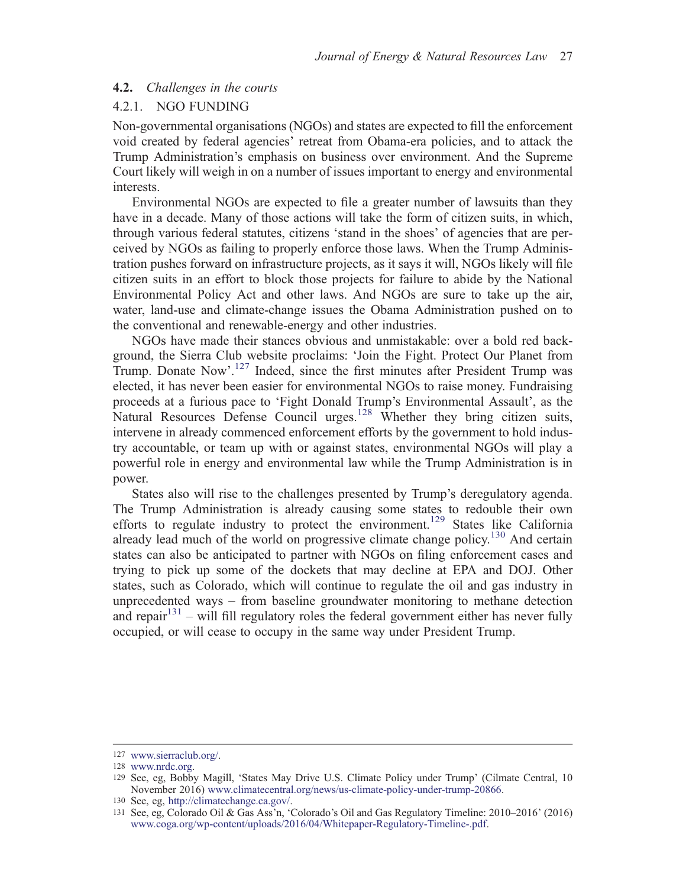#### 4.2. Challenges in the courts

#### 4.2.1. NGO FUNDING

Non-governmental organisations (NGOs) and states are expected to fill the enforcement void created by federal agencies' retreat from Obama-era policies, and to attack the Trump Administration's emphasis on business over environment. And the Supreme Court likely will weigh in on a number of issues important to energy and environmental interests.

Environmental NGOs are expected to file a greater number of lawsuits than they have in a decade. Many of those actions will take the form of citizen suits, in which, through various federal statutes, citizens 'stand in the shoes' of agencies that are perceived by NGOs as failing to properly enforce those laws. When the Trump Administration pushes forward on infrastructure projects, as it says it will, NGOs likely will file citizen suits in an effort to block those projects for failure to abide by the National Environmental Policy Act and other laws. And NGOs are sure to take up the air, water, land-use and climate-change issues the Obama Administration pushed on to the conventional and renewable-energy and other industries.

NGOs have made their stances obvious and unmistakable: over a bold red background, the Sierra Club website proclaims: 'Join the Fight. Protect Our Planet from Trump. Donate Now'.<sup>127</sup> Indeed, since the first minutes after President Trump was elected, it has never been easier for environmental NGOs to raise money. Fundraising proceeds at a furious pace to 'Fight Donald Trump's Environmental Assault', as the Natural Resources Defense Council urges.<sup>128</sup> Whether they bring citizen suits, intervene in already commenced enforcement efforts by the government to hold industry accountable, or team up with or against states, environmental NGOs will play a powerful role in energy and environmental law while the Trump Administration is in power.

States also will rise to the challenges presented by Trump's deregulatory agenda. The Trump Administration is already causing some states to redouble their own efforts to regulate industry to protect the environment.<sup>129</sup> States like California already lead much of the world on progressive climate change policy.<sup>130</sup> And certain states can also be anticipated to partner with NGOs on filing enforcement cases and trying to pick up some of the dockets that may decline at EPA and DOJ. Other states, such as Colorado, which will continue to regulate the oil and gas industry in unprecedented ways – from baseline groundwater monitoring to methane detection and repair $131$  – will fill regulatory roles the federal government either has never fully occupied, or will cease to occupy in the same way under President Trump.

<sup>127</sup> www.sierraclub.org/.

<sup>128</sup> www.nrdc.org.

<sup>129</sup> See, eg, Bobby Magill, 'States May Drive U.S. Climate Policy under Trump' (Cilmate Central, 10 November 2016) www.climatecentral.org/news/us-climate-policy-under-trump-20866.

<sup>130</sup> See, eg, http://climatechange.ca.gov/.

<sup>131</sup> See, eg, Colorado Oil & Gas Ass'n, 'Colorado's Oil and Gas Regulatory Timeline: 2010–2016' (2016) www.coga.org/wp-content/uploads/2016/04/Whitepaper-Regulatory-Timeline-.pdf.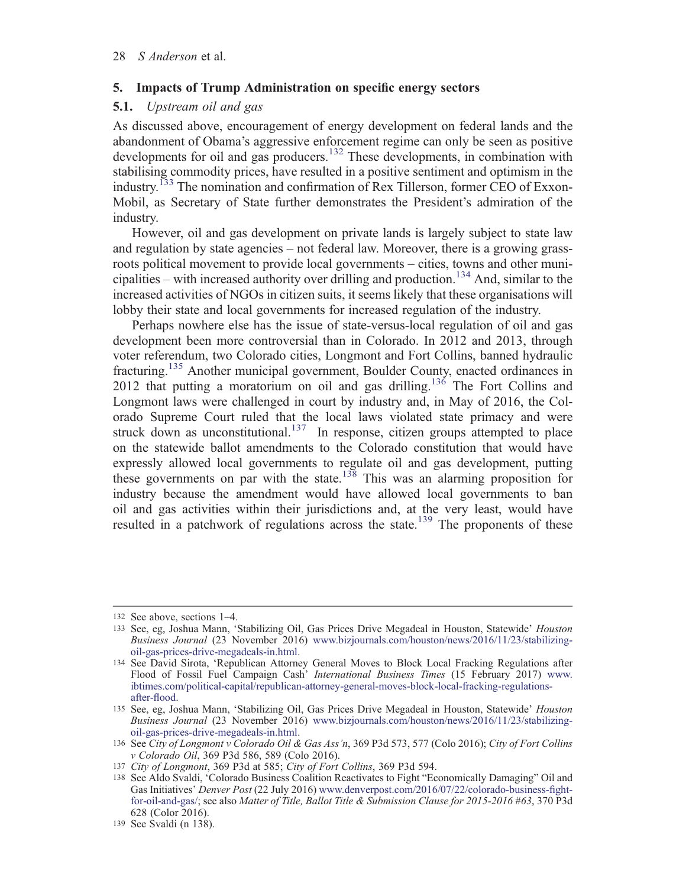#### 5. Impacts of Trump Administration on specific energy sectors

#### 5.1. Upstream oil and gas

As discussed above, encouragement of energy development on federal lands and the abandonment of Obama's aggressive enforcement regime can only be seen as positive developments for oil and gas producers.<sup>132</sup> These developments, in combination with stabilising commodity prices, have resulted in a positive sentiment and optimism in the industry.<sup>133</sup> The nomination and confirmation of Rex Tillerson, former CEO of Exxon-Mobil, as Secretary of State further demonstrates the President's admiration of the industry.

However, oil and gas development on private lands is largely subject to state law and regulation by state agencies – not federal law. Moreover, there is a growing grassroots political movement to provide local governments – cities, towns and other municipalities – with increased authority over drilling and production.<sup>134</sup> And, similar to the increased activities of NGOs in citizen suits, it seems likely that these organisations will lobby their state and local governments for increased regulation of the industry.

Perhaps nowhere else has the issue of state-versus-local regulation of oil and gas development been more controversial than in Colorado. In 2012 and 2013, through voter referendum, two Colorado cities, Longmont and Fort Collins, banned hydraulic fracturing.135 Another municipal government, Boulder County, enacted ordinances in 2012 that putting a moratorium on oil and gas drilling.136 The Fort Collins and Longmont laws were challenged in court by industry and, in May of 2016, the Colorado Supreme Court ruled that the local laws violated state primacy and were struck down as unconstitutional.<sup>137</sup> In response, citizen groups attempted to place on the statewide ballot amendments to the Colorado constitution that would have expressly allowed local governments to regulate oil and gas development, putting these governments on par with the state.<sup>138</sup> This was an alarming proposition for industry because the amendment would have allowed local governments to ban oil and gas activities within their jurisdictions and, at the very least, would have resulted in a patchwork of regulations across the state.<sup>139</sup> The proponents of these

<sup>132</sup> See above, sections 1–4.

<sup>133</sup> See, eg, Joshua Mann, 'Stabilizing Oil, Gas Prices Drive Megadeal in Houston, Statewide' Houston Business Journal (23 November 2016) www.bizjournals.com/houston/news/2016/11/23/stabilizingoil-gas-prices-drive-megadeals-in.html.

<sup>134</sup> See David Sirota, 'Republican Attorney General Moves to Block Local Fracking Regulations after Flood of Fossil Fuel Campaign Cash' International Business Times (15 February 2017) www. ibtimes.com/political-capital/republican-attorney-general-moves-block-local-fracking-regulationsafter-flood.

<sup>135</sup> See, eg, Joshua Mann, 'Stabilizing Oil, Gas Prices Drive Megadeal in Houston, Statewide' Houston Business Journal (23 November 2016) www.bizjournals.com/houston/news/2016/11/23/stabilizingoil-gas-prices-drive-megadeals-in.html.

<sup>136</sup> See City of Longmont v Colorado Oil & Gas Ass'n, 369 P3d 573, 577 (Colo 2016); City of Fort Collins v Colorado Oil, 369 P3d 586, 589 (Colo 2016).

<sup>137</sup> City of Longmont, 369 P3d at 585; City of Fort Collins, 369 P3d 594.

<sup>138</sup> See Aldo Svaldi, 'Colorado Business Coalition Reactivates to Fight "Economically Damaging" Oil and Gas Initiatives' Denver Post (22 July 2016) www.denverpost.com/2016/07/22/colorado-business-fightfor-oil-and-gas/; see also Matter of Title, Ballot Title & Submission Clause for 2015-2016 #63, 370 P3d 628 (Color 2016).

<sup>139</sup> See Svaldi (n 138).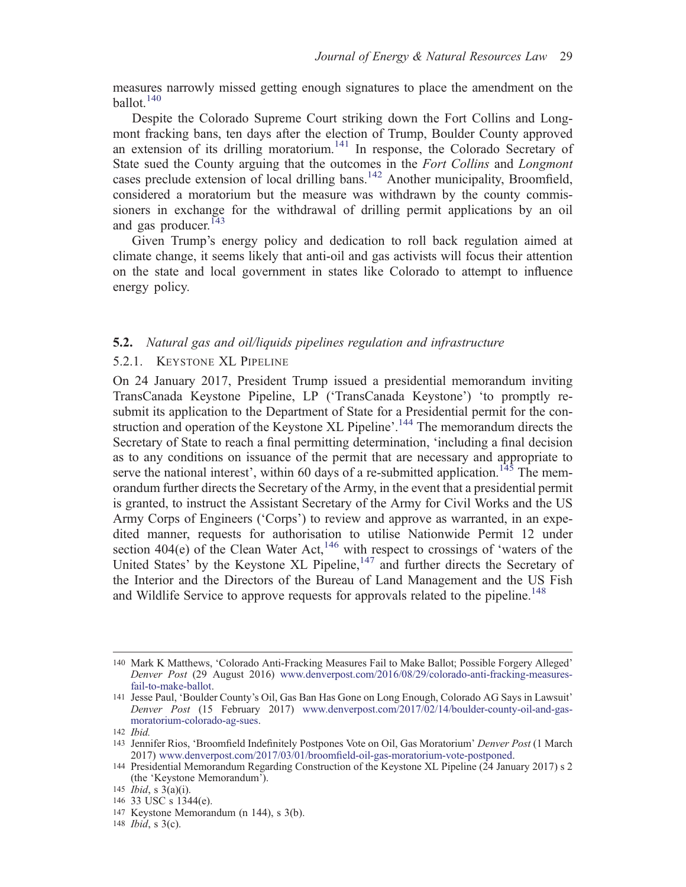measures narrowly missed getting enough signatures to place the amendment on the ballot. $140$ 

Despite the Colorado Supreme Court striking down the Fort Collins and Longmont fracking bans, ten days after the election of Trump, Boulder County approved an extension of its drilling moratorium.<sup>141</sup> In response, the Colorado Secretary of State sued the County arguing that the outcomes in the Fort Collins and Longmont cases preclude extension of local drilling bans.142 Another municipality, Broomfield, considered a moratorium but the measure was withdrawn by the county commissioners in exchange for the withdrawal of drilling permit applications by an oil and gas producer. $143$ 

Given Trump's energy policy and dedication to roll back regulation aimed at climate change, it seems likely that anti-oil and gas activists will focus their attention on the state and local government in states like Colorado to attempt to influence energy policy.

#### 5.2. Natural gas and oil/liquids pipelines regulation and infrastructure

#### 5.2.1. KEYSTONE XL PIPELINE

On 24 January 2017, President Trump issued a presidential memorandum inviting TransCanada Keystone Pipeline, LP ('TransCanada Keystone') 'to promptly resubmit its application to the Department of State for a Presidential permit for the construction and operation of the Keystone XL Pipeline'.<sup>144</sup> The memorandum directs the Secretary of State to reach a final permitting determination, 'including a final decision as to any conditions on issuance of the permit that are necessary and appropriate to serve the national interest', within 60 days of a re-submitted application.<sup>145</sup> The memorandum further directs the Secretary of the Army, in the event that a presidential permit is granted, to instruct the Assistant Secretary of the Army for Civil Works and the US Army Corps of Engineers ('Corps') to review and approve as warranted, in an expedited manner, requests for authorisation to utilise Nationwide Permit 12 under section 404 $(e)$  of the Clean Water Act,<sup>146</sup> with respect to crossings of 'waters of the United States' by the Keystone XL Pipeline,<sup>147</sup> and further directs the Secretary of the Interior and the Directors of the Bureau of Land Management and the US Fish and Wildlife Service to approve requests for approvals related to the pipeline.<sup>148</sup>

148 Ibid, s 3(c).

<sup>140</sup> Mark K Matthews, 'Colorado Anti-Fracking Measures Fail to Make Ballot; Possible Forgery Alleged' Denver Post (29 August 2016) www.denverpost.com/2016/08/29/colorado-anti-fracking-measuresfail-to-make-ballot.

<sup>141</sup> Jesse Paul, 'Boulder County's Oil, Gas Ban Has Gone on Long Enough, Colorado AG Says in Lawsuit' Denver Post (15 February 2017) www.denverpost.com/2017/02/14/boulder-county-oil-and-gasmoratorium-colorado-ag-sues.

<sup>142</sup> Ibid.

<sup>143</sup> Jennifer Rios, 'Broomfield Indefinitely Postpones Vote on Oil, Gas Moratorium' Denver Post (1 March 2017) www.denverpost.com/2017/03/01/broomfield-oil-gas-moratorium-vote-postponed.

<sup>144</sup> Presidential Memorandum Regarding Construction of the Keystone XL Pipeline (24 January 2017) s 2 (the 'Keystone Memorandum').

<sup>145</sup> *Ibid*, s  $3(a)(i)$ .

<sup>146</sup> 33 USC s 1344(e).

<sup>147</sup> Keystone Memorandum (n 144), s 3(b).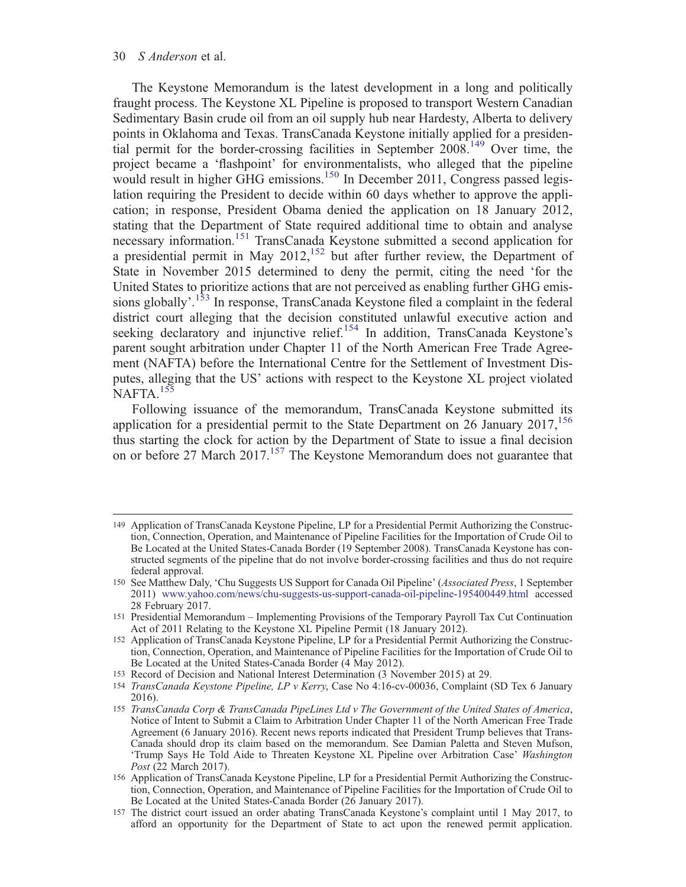The Keystone Memorandum is the latest development in a long and politically fraught process. The Keystone XL Pipeline is proposed to transport Western Canadian Sedimentary Basin crude oil from an oil supply hub near Hardesty, Alberta to delivery points in Oklahoma and Texas. TransCanada Keystone initially applied for a presidential permit for the border-crossing facilities in September 2008.149 Over time, the project became a 'flashpoint' for environmentalists, who alleged that the pipeline would result in higher GHG emissions.<sup>150</sup> In December 2011, Congress passed legislation requiring the President to decide within 60 days whether to approve the application; in response, President Obama denied the application on 18 January 2012, stating that the Department of State required additional time to obtain and analyse necessary information.<sup>151</sup> TransCanada Keystone submitted a second application for a presidential permit in May 2012,<sup>152</sup> but after further review, the Department of State in November 2015 determined to deny the permit, citing the need 'for the United States to prioritize actions that are not perceived as enabling further GHG emissions globally'.<sup>153</sup> In response, TransCanada Keystone filed a complaint in the federal district court alleging that the decision constituted unlawful executive action and seeking declaratory and injunctive relief.<sup>154</sup> In addition, TransCanada Keystone's parent sought arbitration under Chapter 11 of the North American Free Trade Agreement (NAFTA) before the International Centre for the Settlement of Investment Disputes, alleging that the US' actions with respect to the Keystone XL project violated NAFTA<sup>155</sup>

Following issuance of the memorandum, TransCanada Keystone submitted its application for a presidential permit to the State Department on 26 January  $2017$ ,  $156$ thus starting the clock for action by the Department of State to issue a final decision on or before 27 March 2017.<sup>157</sup> The Keystone Memorandum does not guarantee that

<sup>149</sup> Application of TransCanada Keystone Pipeline, LP for a Presidential Permit Authorizing the Construction, Connection, Operation, and Maintenance of Pipeline Facilities for the Importation of Crude Oil to Be Located at the United States-Canada Border (19 September 2008). TransCanada Keystone has constructed segments of the pipeline that do not involve border-crossing facilities and thus do not require federal approval.

<sup>150</sup> See Matthew Daly, 'Chu Suggests US Support for Canada Oil Pipeline' (Associated Press, 1 September 2011) www.yahoo.com/news/chu-suggests-us-support-canada-oil-pipeline-195400449.html accessed 28 February 2017.

<sup>151</sup> Presidential Memorandum – Implementing Provisions of the Temporary Payroll Tax Cut Continuation Act of 2011 Relating to the Keystone XL Pipeline Permit (18 January 2012).

<sup>152</sup> Application of TransCanada Keystone Pipeline, LP for a Presidential Permit Authorizing the Construction, Connection, Operation, and Maintenance of Pipeline Facilities for the Importation of Crude Oil to Be Located at the United States-Canada Border (4 May 2012).

<sup>153</sup> Record of Decision and National Interest Determination (3 November 2015) at 29.

<sup>154</sup> TransCanada Keystone Pipeline, LP v Kerry, Case No 4:16-cv-00036, Complaint (SD Tex 6 January 2016).

<sup>155</sup> TransCanada Corp & TransCanada PipeLines Ltd v The Government of the United States of America, Notice of Intent to Submit a Claim to Arbitration Under Chapter 11 of the North American Free Trade Agreement (6 January 2016). Recent news reports indicated that President Trump believes that Trans-Canada should drop its claim based on the memorandum. See Damian Paletta and Steven Mufson, 'Trump Says He Told Aide to Threaten Keystone XL Pipeline over Arbitration Case' Washington Post (22 March 2017).

<sup>156</sup> Application of TransCanada Keystone Pipeline, LP for a Presidential Permit Authorizing the Construction, Connection, Operation, and Maintenance of Pipeline Facilities for the Importation of Crude Oil to Be Located at the United States-Canada Border (26 January 2017).

<sup>157</sup> The district court issued an order abating TransCanada Keystone's complaint until 1 May 2017, to afford an opportunity for the Department of State to act upon the renewed permit application.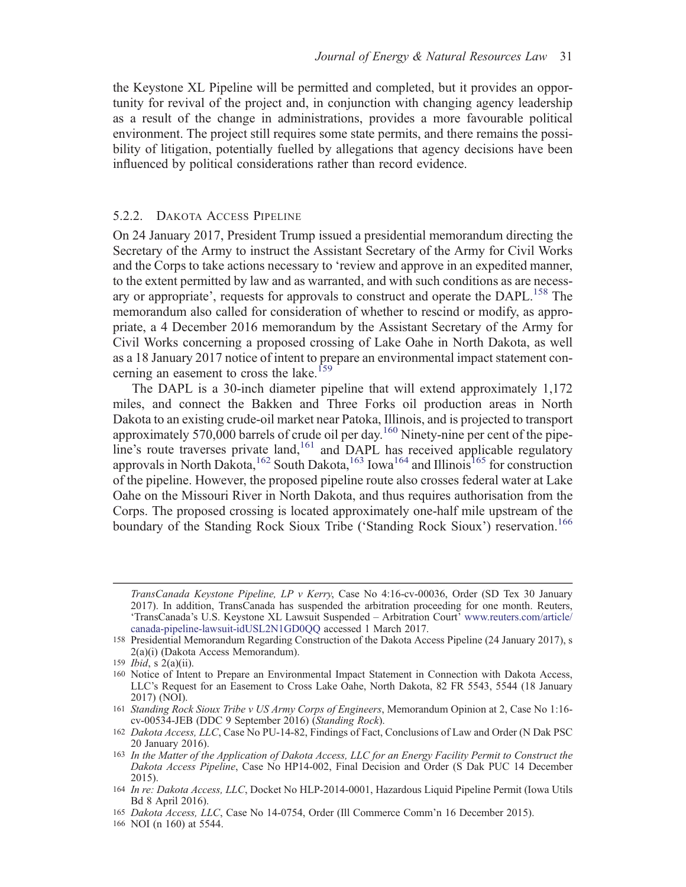the Keystone XL Pipeline will be permitted and completed, but it provides an opportunity for revival of the project and, in conjunction with changing agency leadership as a result of the change in administrations, provides a more favourable political environment. The project still requires some state permits, and there remains the possibility of litigation, potentially fuelled by allegations that agency decisions have been influenced by political considerations rather than record evidence.

#### 5.2.2. DAKOTA ACCESS PIPELINE

On 24 January 2017, President Trump issued a presidential memorandum directing the Secretary of the Army to instruct the Assistant Secretary of the Army for Civil Works and the Corps to take actions necessary to 'review and approve in an expedited manner, to the extent permitted by law and as warranted, and with such conditions as are necessary or appropriate', requests for approvals to construct and operate the DAPL.<sup>158</sup> The memorandum also called for consideration of whether to rescind or modify, as appropriate, a 4 December 2016 memorandum by the Assistant Secretary of the Army for Civil Works concerning a proposed crossing of Lake Oahe in North Dakota, as well as a 18 January 2017 notice of intent to prepare an environmental impact statement concerning an easement to cross the lake.<sup>159</sup>

The DAPL is a 30-inch diameter pipeline that will extend approximately 1,172 miles, and connect the Bakken and Three Forks oil production areas in North Dakota to an existing crude-oil market near Patoka, Illinois, and is projected to transport approximately 570,000 barrels of crude oil per day.<sup>160</sup> Ninety-nine per cent of the pipeline's route traverses private land,<sup>161</sup> and DAPL has received applicable regulatory approvals in North Dakota,<sup>162</sup> South Dakota,<sup>163</sup> Iowa<sup>164</sup> and Illinois<sup>165</sup> for construction of the pipeline. However, the proposed pipeline route also crosses federal water at Lake Oahe on the Missouri River in North Dakota, and thus requires authorisation from the Corps. The proposed crossing is located approximately one-half mile upstream of the boundary of the Standing Rock Sioux Tribe ('Standing Rock Sioux') reservation.<sup>166</sup>

TransCanada Keystone Pipeline, LP v Kerry, Case No 4:16-cv-00036, Order (SD Tex 30 January 2017). In addition, TransCanada has suspended the arbitration proceeding for one month. Reuters, 'TransCanada's U.S. Keystone XL Lawsuit Suspended – Arbitration Court' www.reuters.com/article/ canada-pipeline-lawsuit-idUSL2N1GD0QQ accessed 1 March 2017.

<sup>158</sup> Presidential Memorandum Regarding Construction of the Dakota Access Pipeline (24 January 2017), s 2(a)(i) (Dakota Access Memorandum).

<sup>159</sup> Ibid, s 2(a)(ii).

<sup>160</sup> Notice of Intent to Prepare an Environmental Impact Statement in Connection with Dakota Access, LLC's Request for an Easement to Cross Lake Oahe, North Dakota, 82 FR 5543, 5544 (18 January 2017) (NOI).

<sup>161</sup> Standing Rock Sioux Tribe v US Army Corps of Engineers, Memorandum Opinion at 2, Case No 1:16 cv-00534-JEB (DDC 9 September 2016) (Standing Rock).

<sup>162</sup> Dakota Access, LLC, Case No PU-14-82, Findings of Fact, Conclusions of Law and Order (N Dak PSC 20 January 2016).

<sup>163</sup> In the Matter of the Application of Dakota Access, LLC for an Energy Facility Permit to Construct the Dakota Access Pipeline, Case No HP14-002, Final Decision and Order (S Dak PUC 14 December 2015).

<sup>164</sup> In re: Dakota Access, LLC, Docket No HLP-2014-0001, Hazardous Liquid Pipeline Permit (Iowa Utils Bd 8 April 2016).

<sup>165</sup> Dakota Access, LLC, Case No 14-0754, Order (Ill Commerce Comm'n 16 December 2015).

<sup>166</sup> NOI (n 160) at 5544.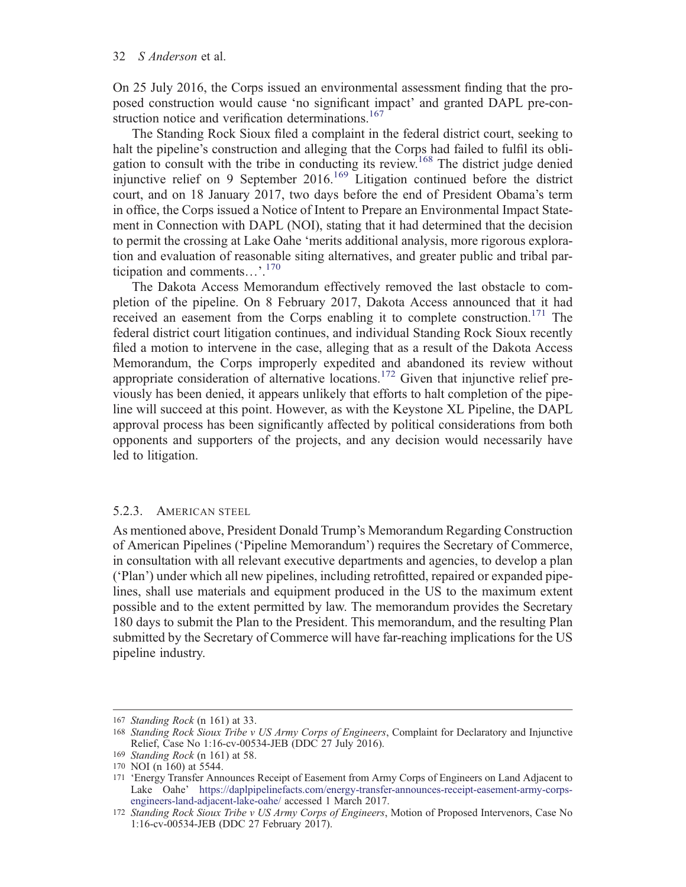On 25 July 2016, the Corps issued an environmental assessment finding that the proposed construction would cause 'no significant impact' and granted DAPL pre-construction notice and verification determinations.<sup>167</sup>

The Standing Rock Sioux filed a complaint in the federal district court, seeking to halt the pipeline's construction and alleging that the Corps had failed to fulfil its obligation to consult with the tribe in conducting its review.168 The district judge denied injunctive relief on 9 September 2016.169 Litigation continued before the district court, and on 18 January 2017, two days before the end of President Obama's term in office, the Corps issued a Notice of Intent to Prepare an Environmental Impact Statement in Connection with DAPL (NOI), stating that it had determined that the decision to permit the crossing at Lake Oahe 'merits additional analysis, more rigorous exploration and evaluation of reasonable siting alternatives, and greater public and tribal participation and comments…'. 170

The Dakota Access Memorandum effectively removed the last obstacle to completion of the pipeline. On 8 February 2017, Dakota Access announced that it had received an easement from the Corps enabling it to complete construction.<sup>171</sup> The federal district court litigation continues, and individual Standing Rock Sioux recently filed a motion to intervene in the case, alleging that as a result of the Dakota Access Memorandum, the Corps improperly expedited and abandoned its review without appropriate consideration of alternative locations.<sup>172</sup> Given that injunctive relief previously has been denied, it appears unlikely that efforts to halt completion of the pipeline will succeed at this point. However, as with the Keystone XL Pipeline, the DAPL approval process has been significantly affected by political considerations from both opponents and supporters of the projects, and any decision would necessarily have led to litigation.

#### 5.2.3. AMERICAN STEEL

As mentioned above, President Donald Trump's Memorandum Regarding Construction of American Pipelines ('Pipeline Memorandum') requires the Secretary of Commerce, in consultation with all relevant executive departments and agencies, to develop a plan ('Plan') under which all new pipelines, including retrofitted, repaired or expanded pipelines, shall use materials and equipment produced in the US to the maximum extent possible and to the extent permitted by law. The memorandum provides the Secretary 180 days to submit the Plan to the President. This memorandum, and the resulting Plan submitted by the Secretary of Commerce will have far-reaching implications for the US pipeline industry.

<sup>167</sup> Standing Rock (n 161) at 33.

<sup>168</sup> Standing Rock Sioux Tribe v US Army Corps of Engineers, Complaint for Declaratory and Injunctive Relief, Case No 1:16-cv-00534-JEB (DDC 27 July 2016).

<sup>169</sup> Standing Rock (n 161) at 58.

<sup>170</sup> NOI (n 160) at 5544.

<sup>171</sup> 'Energy Transfer Announces Receipt of Easement from Army Corps of Engineers on Land Adjacent to Lake Oahe' https://daplpipelinefacts.com/energy-transfer-announces-receipt-easement-army-corpsengineers-land-adjacent-lake-oahe/ accessed 1 March 2017.

<sup>172</sup> Standing Rock Sioux Tribe v US Army Corps of Engineers, Motion of Proposed Intervenors, Case No 1:16-cv-00534-JEB (DDC 27 February 2017).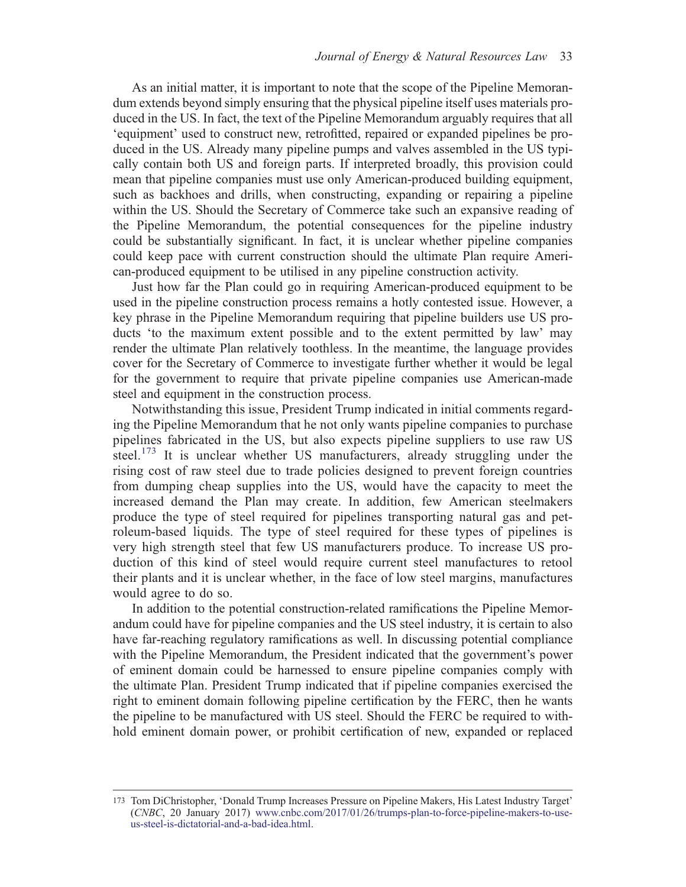As an initial matter, it is important to note that the scope of the Pipeline Memorandum extends beyond simply ensuring that the physical pipeline itself uses materials produced in the US. In fact, the text of the Pipeline Memorandum arguably requires that all 'equipment' used to construct new, retrofitted, repaired or expanded pipelines be produced in the US. Already many pipeline pumps and valves assembled in the US typically contain both US and foreign parts. If interpreted broadly, this provision could mean that pipeline companies must use only American-produced building equipment, such as backhoes and drills, when constructing, expanding or repairing a pipeline within the US. Should the Secretary of Commerce take such an expansive reading of the Pipeline Memorandum, the potential consequences for the pipeline industry could be substantially significant. In fact, it is unclear whether pipeline companies could keep pace with current construction should the ultimate Plan require American-produced equipment to be utilised in any pipeline construction activity.

Just how far the Plan could go in requiring American-produced equipment to be used in the pipeline construction process remains a hotly contested issue. However, a key phrase in the Pipeline Memorandum requiring that pipeline builders use US products 'to the maximum extent possible and to the extent permitted by law' may render the ultimate Plan relatively toothless. In the meantime, the language provides cover for the Secretary of Commerce to investigate further whether it would be legal for the government to require that private pipeline companies use American-made steel and equipment in the construction process.

Notwithstanding this issue, President Trump indicated in initial comments regarding the Pipeline Memorandum that he not only wants pipeline companies to purchase pipelines fabricated in the US, but also expects pipeline suppliers to use raw US steel.<sup>173</sup> It is unclear whether US manufacturers, already struggling under the rising cost of raw steel due to trade policies designed to prevent foreign countries from dumping cheap supplies into the US, would have the capacity to meet the increased demand the Plan may create. In addition, few American steelmakers produce the type of steel required for pipelines transporting natural gas and petroleum-based liquids. The type of steel required for these types of pipelines is very high strength steel that few US manufacturers produce. To increase US production of this kind of steel would require current steel manufactures to retool their plants and it is unclear whether, in the face of low steel margins, manufactures would agree to do so.

In addition to the potential construction-related ramifications the Pipeline Memorandum could have for pipeline companies and the US steel industry, it is certain to also have far-reaching regulatory ramifications as well. In discussing potential compliance with the Pipeline Memorandum, the President indicated that the government's power of eminent domain could be harnessed to ensure pipeline companies comply with the ultimate Plan. President Trump indicated that if pipeline companies exercised the right to eminent domain following pipeline certification by the FERC, then he wants the pipeline to be manufactured with US steel. Should the FERC be required to withhold eminent domain power, or prohibit certification of new, expanded or replaced

<sup>173</sup> Tom DiChristopher, 'Donald Trump Increases Pressure on Pipeline Makers, His Latest Industry Target' (CNBC, 20 January 2017) www.cnbc.com/2017/01/26/trumps-plan-to-force-pipeline-makers-to-useus-steel-is-dictatorial-and-a-bad-idea.html.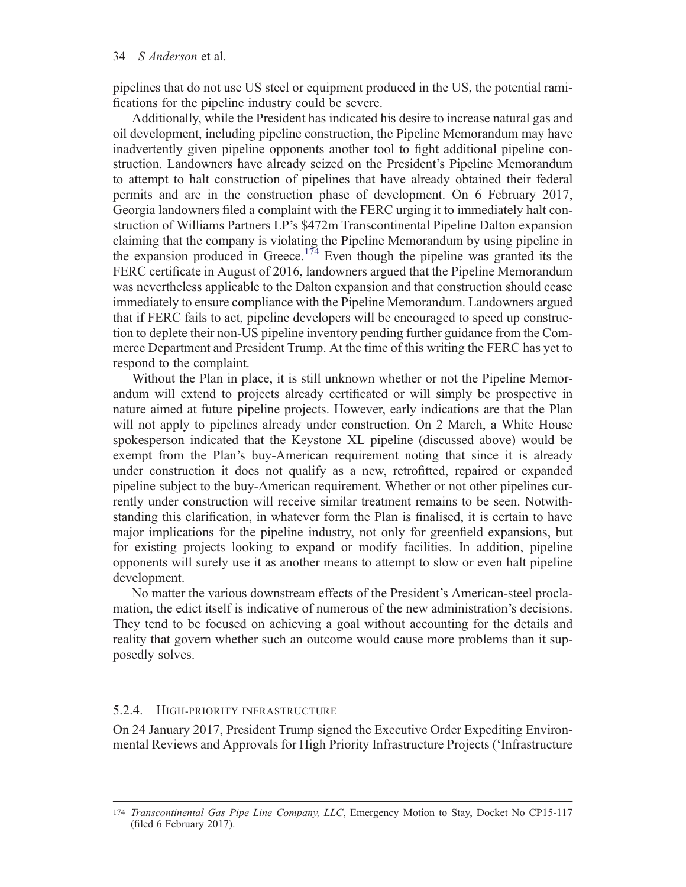pipelines that do not use US steel or equipment produced in the US, the potential ramifications for the pipeline industry could be severe.

Additionally, while the President has indicated his desire to increase natural gas and oil development, including pipeline construction, the Pipeline Memorandum may have inadvertently given pipeline opponents another tool to fight additional pipeline construction. Landowners have already seized on the President's Pipeline Memorandum to attempt to halt construction of pipelines that have already obtained their federal permits and are in the construction phase of development. On 6 February 2017, Georgia landowners filed a complaint with the FERC urging it to immediately halt construction of Williams Partners LP's \$472m Transcontinental Pipeline Dalton expansion claiming that the company is violating the Pipeline Memorandum by using pipeline in the expansion produced in Greece.<sup>174</sup> Even though the pipeline was granted its the FERC certificate in August of 2016, landowners argued that the Pipeline Memorandum was nevertheless applicable to the Dalton expansion and that construction should cease immediately to ensure compliance with the Pipeline Memorandum. Landowners argued that if FERC fails to act, pipeline developers will be encouraged to speed up construction to deplete their non-US pipeline inventory pending further guidance from the Commerce Department and President Trump. At the time of this writing the FERC has yet to respond to the complaint.

Without the Plan in place, it is still unknown whether or not the Pipeline Memorandum will extend to projects already certificated or will simply be prospective in nature aimed at future pipeline projects. However, early indications are that the Plan will not apply to pipelines already under construction. On 2 March, a White House spokesperson indicated that the Keystone XL pipeline (discussed above) would be exempt from the Plan's buy-American requirement noting that since it is already under construction it does not qualify as a new, retrofitted, repaired or expanded pipeline subject to the buy-American requirement. Whether or not other pipelines currently under construction will receive similar treatment remains to be seen. Notwithstanding this clarification, in whatever form the Plan is finalised, it is certain to have major implications for the pipeline industry, not only for greenfield expansions, but for existing projects looking to expand or modify facilities. In addition, pipeline opponents will surely use it as another means to attempt to slow or even halt pipeline development.

No matter the various downstream effects of the President's American-steel proclamation, the edict itself is indicative of numerous of the new administration's decisions. They tend to be focused on achieving a goal without accounting for the details and reality that govern whether such an outcome would cause more problems than it supposedly solves.

#### 5.2.4. HIGH-PRIORITY INFRASTRUCTURE

On 24 January 2017, President Trump signed the Executive Order Expediting Environmental Reviews and Approvals for High Priority Infrastructure Projects ('Infrastructure

<sup>174</sup> Transcontinental Gas Pipe Line Company, LLC, Emergency Motion to Stay, Docket No CP15-117 (filed 6 February 2017).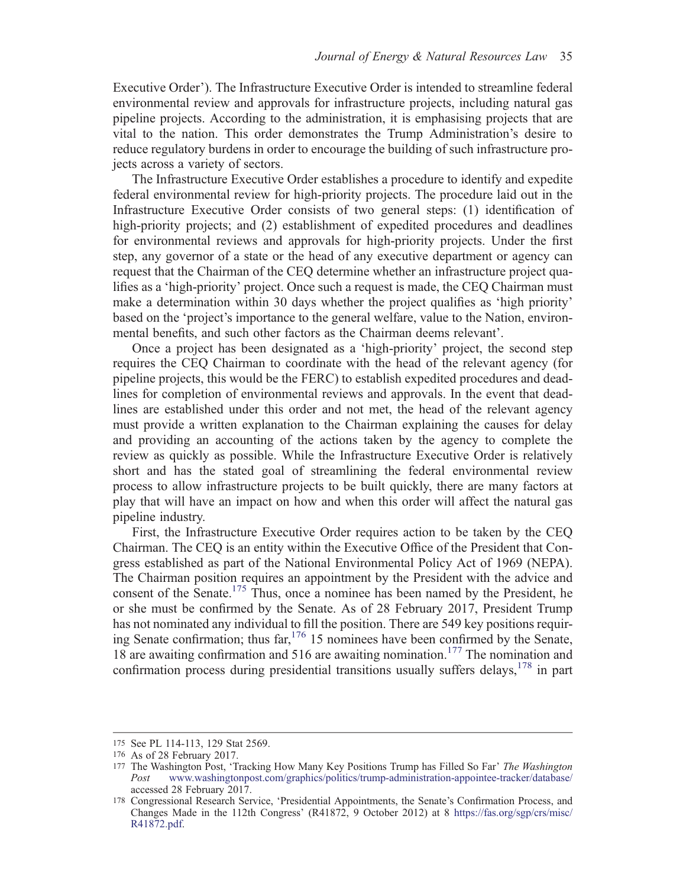Executive Order'). The Infrastructure Executive Order is intended to streamline federal environmental review and approvals for infrastructure projects, including natural gas pipeline projects. According to the administration, it is emphasising projects that are vital to the nation. This order demonstrates the Trump Administration's desire to reduce regulatory burdens in order to encourage the building of such infrastructure projects across a variety of sectors.

The Infrastructure Executive Order establishes a procedure to identify and expedite federal environmental review for high-priority projects. The procedure laid out in the Infrastructure Executive Order consists of two general steps: (1) identification of high-priority projects; and (2) establishment of expedited procedures and deadlines for environmental reviews and approvals for high-priority projects. Under the first step, any governor of a state or the head of any executive department or agency can request that the Chairman of the CEQ determine whether an infrastructure project qualifies as a 'high-priority' project. Once such a request is made, the CEQ Chairman must make a determination within 30 days whether the project qualifies as 'high priority' based on the 'project's importance to the general welfare, value to the Nation, environmental benefits, and such other factors as the Chairman deems relevant'.

Once a project has been designated as a 'high-priority' project, the second step requires the CEQ Chairman to coordinate with the head of the relevant agency (for pipeline projects, this would be the FERC) to establish expedited procedures and deadlines for completion of environmental reviews and approvals. In the event that deadlines are established under this order and not met, the head of the relevant agency must provide a written explanation to the Chairman explaining the causes for delay and providing an accounting of the actions taken by the agency to complete the review as quickly as possible. While the Infrastructure Executive Order is relatively short and has the stated goal of streamlining the federal environmental review process to allow infrastructure projects to be built quickly, there are many factors at play that will have an impact on how and when this order will affect the natural gas pipeline industry.

First, the Infrastructure Executive Order requires action to be taken by the CEQ Chairman. The CEQ is an entity within the Executive Office of the President that Congress established as part of the National Environmental Policy Act of 1969 (NEPA). The Chairman position requires an appointment by the President with the advice and consent of the Senate.175 Thus, once a nominee has been named by the President, he or she must be confirmed by the Senate. As of 28 February 2017, President Trump has not nominated any individual to fill the position. There are 549 key positions requiring Senate confirmation; thus  $far<sub>1</sub><sup>176</sup> 15$  nominees have been confirmed by the Senate, 18 are awaiting confirmation and 516 are awaiting nomination.177 The nomination and confirmation process during presidential transitions usually suffers delays,  $178$  in part

<sup>175</sup> See PL 114-113, 129 Stat 2569.

<sup>176</sup> As of 28 February 2017.

<sup>177</sup> The Washington Post, 'Tracking How Many Key Positions Trump has Filled So Far' The Washington Post www.washingtonpost.com/graphics/politics/trump-administration-appointee-tracker/database/ accessed 28 February 2017.

<sup>178</sup> Congressional Research Service, 'Presidential Appointments, the Senate's Confirmation Process, and Changes Made in the 112th Congress' (R41872, 9 October 2012) at 8 https://fas.org/sgp/crs/misc/ R41872.pdf.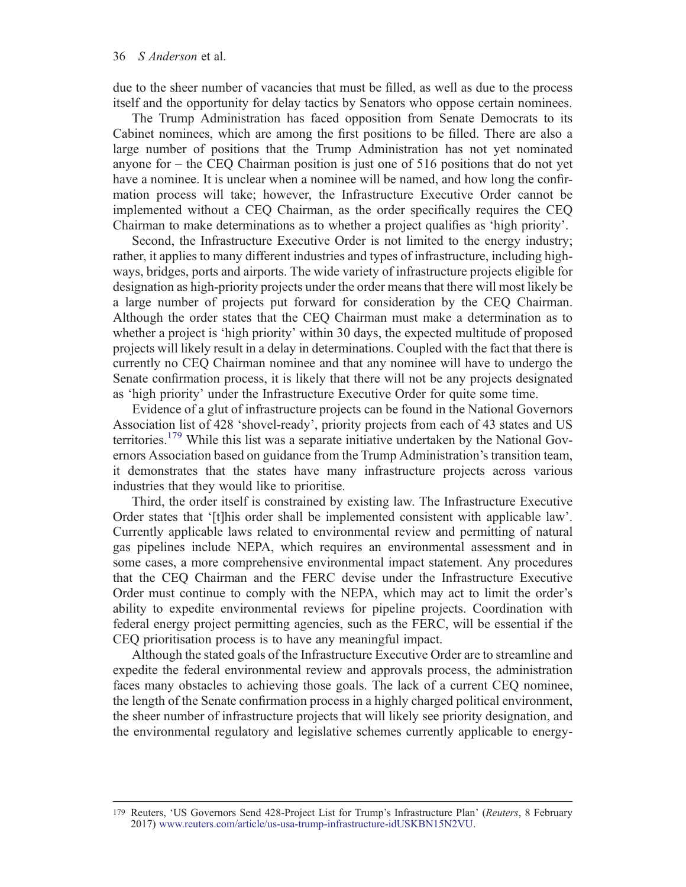due to the sheer number of vacancies that must be filled, as well as due to the process itself and the opportunity for delay tactics by Senators who oppose certain nominees.

The Trump Administration has faced opposition from Senate Democrats to its Cabinet nominees, which are among the first positions to be filled. There are also a large number of positions that the Trump Administration has not yet nominated anyone for – the CEQ Chairman position is just one of 516 positions that do not yet have a nominee. It is unclear when a nominee will be named, and how long the confirmation process will take; however, the Infrastructure Executive Order cannot be implemented without a CEQ Chairman, as the order specifically requires the CEQ Chairman to make determinations as to whether a project qualifies as 'high priority'.

Second, the Infrastructure Executive Order is not limited to the energy industry; rather, it applies to many different industries and types of infrastructure, including highways, bridges, ports and airports. The wide variety of infrastructure projects eligible for designation as high-priority projects under the order means that there will most likely be a large number of projects put forward for consideration by the CEQ Chairman. Although the order states that the CEQ Chairman must make a determination as to whether a project is 'high priority' within 30 days, the expected multitude of proposed projects will likely result in a delay in determinations. Coupled with the fact that there is currently no CEQ Chairman nominee and that any nominee will have to undergo the Senate confirmation process, it is likely that there will not be any projects designated as 'high priority' under the Infrastructure Executive Order for quite some time.

Evidence of a glut of infrastructure projects can be found in the National Governors Association list of 428 'shovel-ready', priority projects from each of 43 states and US territories.<sup>179</sup> While this list was a separate initiative undertaken by the National Governors Association based on guidance from the Trump Administration's transition team, it demonstrates that the states have many infrastructure projects across various industries that they would like to prioritise.

Third, the order itself is constrained by existing law. The Infrastructure Executive Order states that '[t]his order shall be implemented consistent with applicable law'. Currently applicable laws related to environmental review and permitting of natural gas pipelines include NEPA, which requires an environmental assessment and in some cases, a more comprehensive environmental impact statement. Any procedures that the CEQ Chairman and the FERC devise under the Infrastructure Executive Order must continue to comply with the NEPA, which may act to limit the order's ability to expedite environmental reviews for pipeline projects. Coordination with federal energy project permitting agencies, such as the FERC, will be essential if the CEQ prioritisation process is to have any meaningful impact.

Although the stated goals of the Infrastructure Executive Order are to streamline and expedite the federal environmental review and approvals process, the administration faces many obstacles to achieving those goals. The lack of a current CEQ nominee, the length of the Senate confirmation process in a highly charged political environment, the sheer number of infrastructure projects that will likely see priority designation, and the environmental regulatory and legislative schemes currently applicable to energy-

<sup>179</sup> Reuters, 'US Governors Send 428-Project List for Trump's Infrastructure Plan' (Reuters, 8 February 2017) www.reuters.com/article/us-usa-trump-infrastructure-idUSKBN15N2VU.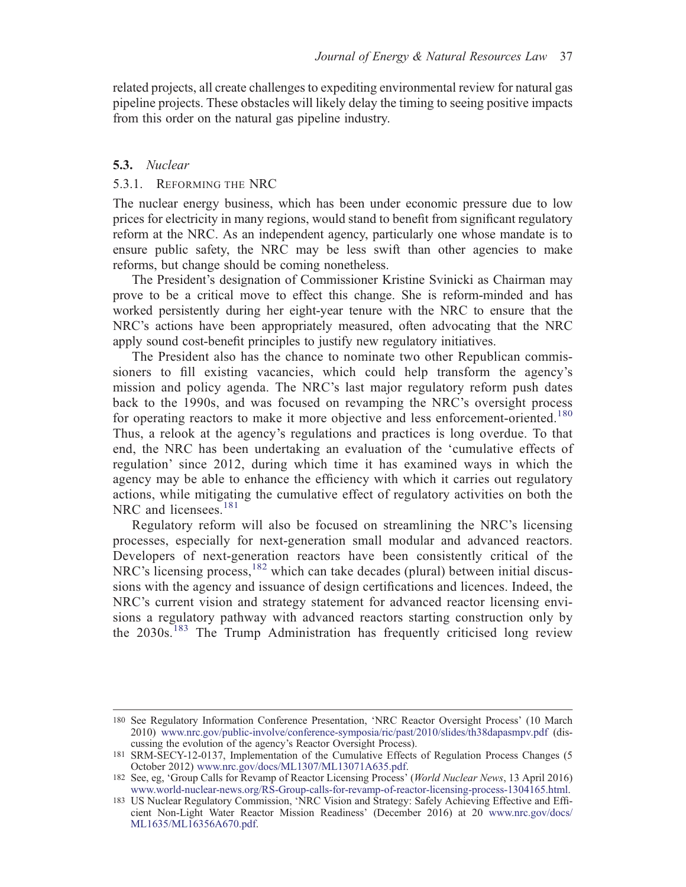related projects, all create challenges to expediting environmental review for natural gas pipeline projects. These obstacles will likely delay the timing to seeing positive impacts from this order on the natural gas pipeline industry.

## 5.3. Nuclear

## 5.3.1. REFORMING THE NRC

The nuclear energy business, which has been under economic pressure due to low prices for electricity in many regions, would stand to benefit from significant regulatory reform at the NRC. As an independent agency, particularly one whose mandate is to ensure public safety, the NRC may be less swift than other agencies to make reforms, but change should be coming nonetheless.

The President's designation of Commissioner Kristine Svinicki as Chairman may prove to be a critical move to effect this change. She is reform-minded and has worked persistently during her eight-year tenure with the NRC to ensure that the NRC's actions have been appropriately measured, often advocating that the NRC apply sound cost-benefit principles to justify new regulatory initiatives.

The President also has the chance to nominate two other Republican commissioners to fill existing vacancies, which could help transform the agency's mission and policy agenda. The NRC's last major regulatory reform push dates back to the 1990s, and was focused on revamping the NRC's oversight process for operating reactors to make it more objective and less enforcement-oriented.<sup>180</sup> Thus, a relook at the agency's regulations and practices is long overdue. To that end, the NRC has been undertaking an evaluation of the 'cumulative effects of regulation' since 2012, during which time it has examined ways in which the agency may be able to enhance the efficiency with which it carries out regulatory actions, while mitigating the cumulative effect of regulatory activities on both the NRC and licensees.<sup>181</sup>

Regulatory reform will also be focused on streamlining the NRC's licensing processes, especially for next-generation small modular and advanced reactors. Developers of next-generation reactors have been consistently critical of the  $NRC's$  licensing process, $182$  which can take decades (plural) between initial discussions with the agency and issuance of design certifications and licences. Indeed, the NRC's current vision and strategy statement for advanced reactor licensing envisions a regulatory pathway with advanced reactors starting construction only by the 2030s.<sup>183</sup> The Trump Administration has frequently criticised long review

<sup>180</sup> See Regulatory Information Conference Presentation, 'NRC Reactor Oversight Process' (10 March 2010) www.nrc.gov/public-involve/conference-symposia/ric/past/2010/slides/th38dapasmpv.pdf (discussing the evolution of the agency's Reactor Oversight Process).

<sup>181</sup> SRM-SECY-12-0137, Implementation of the Cumulative Effects of Regulation Process Changes (5 October 2012) www.nrc.gov/docs/ML1307/ML13071A635.pdf.

<sup>182</sup> See, eg, 'Group Calls for Revamp of Reactor Licensing Process' (World Nuclear News, 13 April 2016) www.world-nuclear-news.org/RS-Group-calls-for-revamp-of-reactor-licensing-process-1304165.html.

<sup>183</sup> US Nuclear Regulatory Commission, 'NRC Vision and Strategy: Safely Achieving Effective and Efficient Non-Light Water Reactor Mission Readiness' (December 2016) at 20 www.nrc.gov/docs/ ML1635/ML16356A670.pdf.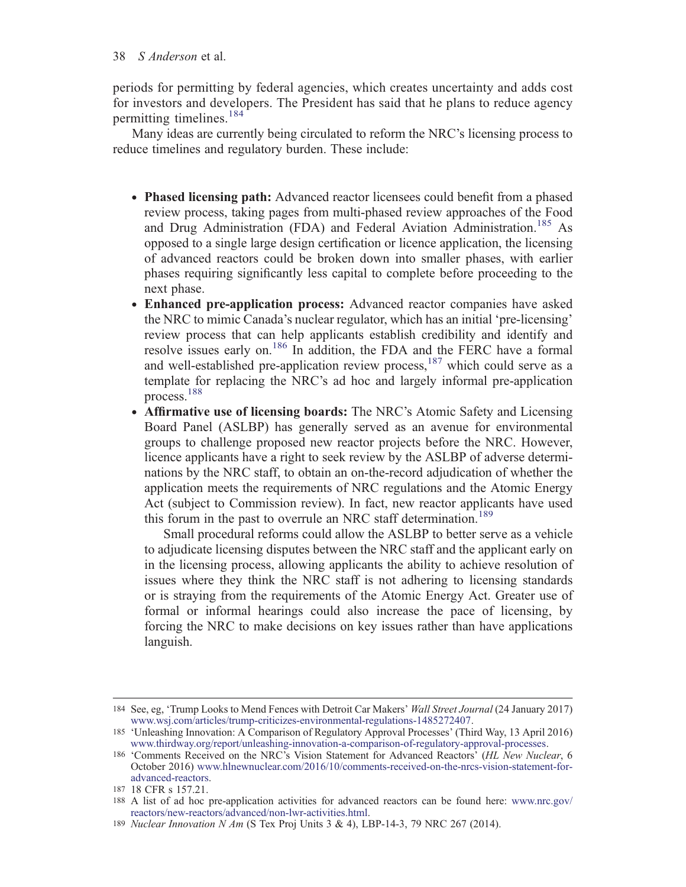periods for permitting by federal agencies, which creates uncertainty and adds cost for investors and developers. The President has said that he plans to reduce agency permitting timelines.<sup>184</sup>

Many ideas are currently being circulated to reform the NRC's licensing process to reduce timelines and regulatory burden. These include:

- . Phased licensing path: Advanced reactor licensees could benefit from a phased review process, taking pages from multi-phased review approaches of the Food and Drug Administration (FDA) and Federal Aviation Administration.<sup>185</sup> As opposed to a single large design certification or licence application, the licensing of advanced reactors could be broken down into smaller phases, with earlier phases requiring significantly less capital to complete before proceeding to the next phase.
- . Enhanced pre-application process: Advanced reactor companies have asked the NRC to mimic Canada's nuclear regulator, which has an initial 'pre-licensing' review process that can help applicants establish credibility and identify and resolve issues early on.186 In addition, the FDA and the FERC have a formal and well-established pre-application review process, $187$  which could serve as a template for replacing the NRC's ad hoc and largely informal pre-application process.188
- . Affirmative use of licensing boards: The NRC's Atomic Safety and Licensing Board Panel (ASLBP) has generally served as an avenue for environmental groups to challenge proposed new reactor projects before the NRC. However, licence applicants have a right to seek review by the ASLBP of adverse determinations by the NRC staff, to obtain an on-the-record adjudication of whether the application meets the requirements of NRC regulations and the Atomic Energy Act (subject to Commission review). In fact, new reactor applicants have used this forum in the past to overrule an NRC staff determination.<sup>189</sup>

Small procedural reforms could allow the ASLBP to better serve as a vehicle to adjudicate licensing disputes between the NRC staff and the applicant early on in the licensing process, allowing applicants the ability to achieve resolution of issues where they think the NRC staff is not adhering to licensing standards or is straying from the requirements of the Atomic Energy Act. Greater use of formal or informal hearings could also increase the pace of licensing, by forcing the NRC to make decisions on key issues rather than have applications languish.

<sup>184</sup> See, eg, 'Trump Looks to Mend Fences with Detroit Car Makers' Wall Street Journal (24 January 2017) www.wsj.com/articles/trump-criticizes-environmental-regulations-1485272407.

<sup>185</sup> 'Unleashing Innovation: A Comparison of Regulatory Approval Processes' (Third Way, 13 April 2016) www.thirdway.org/report/unleashing-innovation-a-comparison-of-regulatory-approval-processes.

<sup>186</sup> 'Comments Received on the NRC's Vision Statement for Advanced Reactors' (HL New Nuclear, 6 October 2016) www.hlnewnuclear.com/2016/10/comments-received-on-the-nrcs-vision-statement-foradvanced-reactors.

<sup>187</sup> 18 CFR s 157.21.

<sup>188</sup> A list of ad hoc pre-application activities for advanced reactors can be found here: www.nrc.gov/ reactors/new-reactors/advanced/non-lwr-activities.html.

<sup>189</sup> Nuclear Innovation N Am (S Tex Proj Units 3 & 4), LBP-14-3, 79 NRC 267 (2014).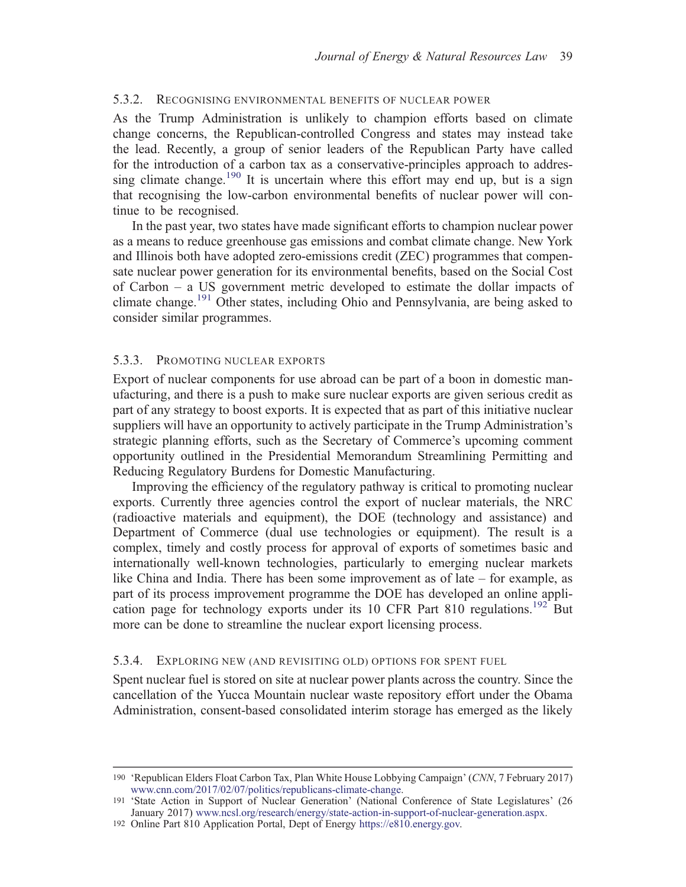#### 5.3.2. RECOGNISING ENVIRONMENTAL BENEFITS OF NUCLEAR POWER

As the Trump Administration is unlikely to champion efforts based on climate change concerns, the Republican-controlled Congress and states may instead take the lead. Recently, a group of senior leaders of the Republican Party have called for the introduction of a carbon tax as a conservative-principles approach to addressing climate change.<sup>190</sup> It is uncertain where this effort may end up, but is a sign that recognising the low-carbon environmental benefits of nuclear power will continue to be recognised.

In the past year, two states have made significant efforts to champion nuclear power as a means to reduce greenhouse gas emissions and combat climate change. New York and Illinois both have adopted zero-emissions credit (ZEC) programmes that compensate nuclear power generation for its environmental benefits, based on the Social Cost of Carbon – a US government metric developed to estimate the dollar impacts of climate change.191 Other states, including Ohio and Pennsylvania, are being asked to consider similar programmes.

#### 5.3.3. PROMOTING NUCLEAR EXPORTS

Export of nuclear components for use abroad can be part of a boon in domestic manufacturing, and there is a push to make sure nuclear exports are given serious credit as part of any strategy to boost exports. It is expected that as part of this initiative nuclear suppliers will have an opportunity to actively participate in the Trump Administration's strategic planning efforts, such as the Secretary of Commerce's upcoming comment opportunity outlined in the Presidential Memorandum Streamlining Permitting and Reducing Regulatory Burdens for Domestic Manufacturing.

Improving the efficiency of the regulatory pathway is critical to promoting nuclear exports. Currently three agencies control the export of nuclear materials, the NRC (radioactive materials and equipment), the DOE (technology and assistance) and Department of Commerce (dual use technologies or equipment). The result is a complex, timely and costly process for approval of exports of sometimes basic and internationally well-known technologies, particularly to emerging nuclear markets like China and India. There has been some improvement as of late – for example, as part of its process improvement programme the DOE has developed an online application page for technology exports under its 10 CFR Part 810 regulations.<sup>192</sup> But more can be done to streamline the nuclear export licensing process.

#### 5.3.4. EXPLORING NEW (AND REVISITING OLD) OPTIONS FOR SPENT FUEL

Spent nuclear fuel is stored on site at nuclear power plants across the country. Since the cancellation of the Yucca Mountain nuclear waste repository effort under the Obama Administration, consent-based consolidated interim storage has emerged as the likely

<sup>190</sup> 'Republican Elders Float Carbon Tax, Plan White House Lobbying Campaign' (CNN, 7 February 2017) www.cnn.com/2017/02/07/politics/republicans-climate-change.

<sup>191</sup> 'State Action in Support of Nuclear Generation' (National Conference of State Legislatures' (26 January 2017) www.ncsl.org/research/energy/state-action-in-support-of-nuclear-generation.aspx.

<sup>192</sup> Online Part 810 Application Portal, Dept of Energy https://e810.energy.gov.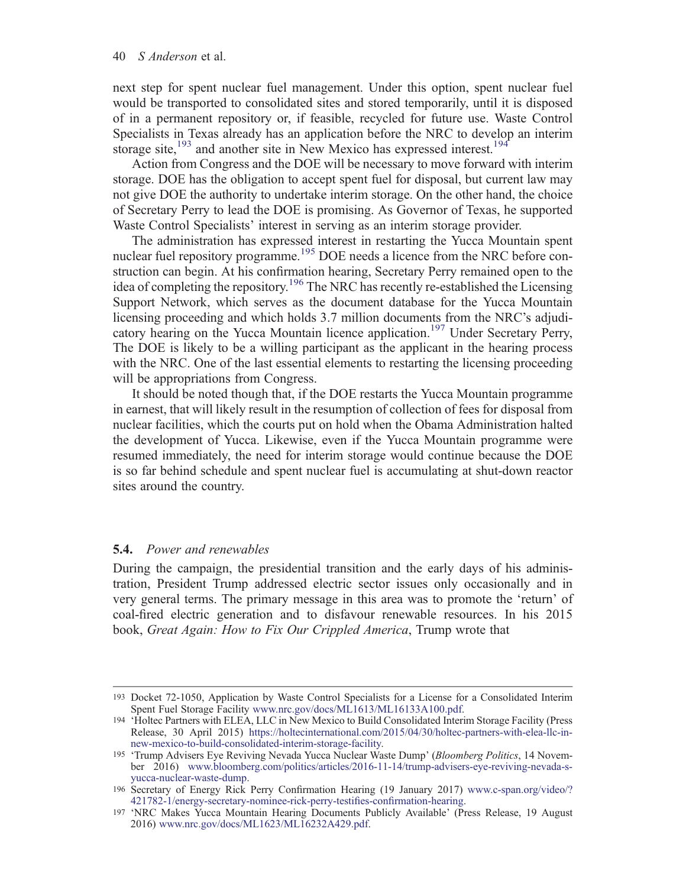next step for spent nuclear fuel management. Under this option, spent nuclear fuel would be transported to consolidated sites and stored temporarily, until it is disposed of in a permanent repository or, if feasible, recycled for future use. Waste Control Specialists in Texas already has an application before the NRC to develop an interim storage site, $193$  and another site in New Mexico has expressed interest.<sup>194</sup>

Action from Congress and the DOE will be necessary to move forward with interim storage. DOE has the obligation to accept spent fuel for disposal, but current law may not give DOE the authority to undertake interim storage. On the other hand, the choice of Secretary Perry to lead the DOE is promising. As Governor of Texas, he supported Waste Control Specialists' interest in serving as an interim storage provider.

The administration has expressed interest in restarting the Yucca Mountain spent nuclear fuel repository programme.<sup>195</sup> DOE needs a licence from the NRC before construction can begin. At his confirmation hearing, Secretary Perry remained open to the idea of completing the repository.196 The NRC has recently re-established the Licensing Support Network, which serves as the document database for the Yucca Mountain licensing proceeding and which holds 3.7 million documents from the NRC's adjudicatory hearing on the Yucca Mountain licence application.<sup>197</sup> Under Secretary Perry, The DOE is likely to be a willing participant as the applicant in the hearing process with the NRC. One of the last essential elements to restarting the licensing proceeding will be appropriations from Congress.

It should be noted though that, if the DOE restarts the Yucca Mountain programme in earnest, that will likely result in the resumption of collection of fees for disposal from nuclear facilities, which the courts put on hold when the Obama Administration halted the development of Yucca. Likewise, even if the Yucca Mountain programme were resumed immediately, the need for interim storage would continue because the DOE is so far behind schedule and spent nuclear fuel is accumulating at shut-down reactor sites around the country.

## 5.4. Power and renewables

During the campaign, the presidential transition and the early days of his administration, President Trump addressed electric sector issues only occasionally and in very general terms. The primary message in this area was to promote the 'return' of coal-fired electric generation and to disfavour renewable resources. In his 2015 book, Great Again: How to Fix Our Crippled America, Trump wrote that

<sup>193</sup> Docket 72-1050, Application by Waste Control Specialists for a License for a Consolidated Interim Spent Fuel Storage Facility www.nrc.gov/docs/ML1613/ML16133A100.pdf.

<sup>194</sup> 'Holtec Partners with ELEA, LLC in New Mexico to Build Consolidated Interim Storage Facility (Press Release, 30 April 2015) https://holtecinternational.com/2015/04/30/holtec-partners-with-elea-llc-innew-mexico-to-build-consolidated-interim-storage-facility.

<sup>195</sup> 'Trump Advisers Eye Reviving Nevada Yucca Nuclear Waste Dump' (Bloomberg Politics, 14 November 2016) www.bloomberg.com/politics/articles/2016-11-14/trump-advisers-eye-reviving-nevada-syucca-nuclear-waste-dump.

<sup>196</sup> Secretary of Energy Rick Perry Confirmation Hearing (19 January 2017) www.c-span.org/video/? 421782-1/energy-secretary-nominee-rick-perry-testifies-confirmation-hearing.

<sup>197</sup> 'NRC Makes Yucca Mountain Hearing Documents Publicly Available' (Press Release, 19 August 2016) www.nrc.gov/docs/ML1623/ML16232A429.pdf.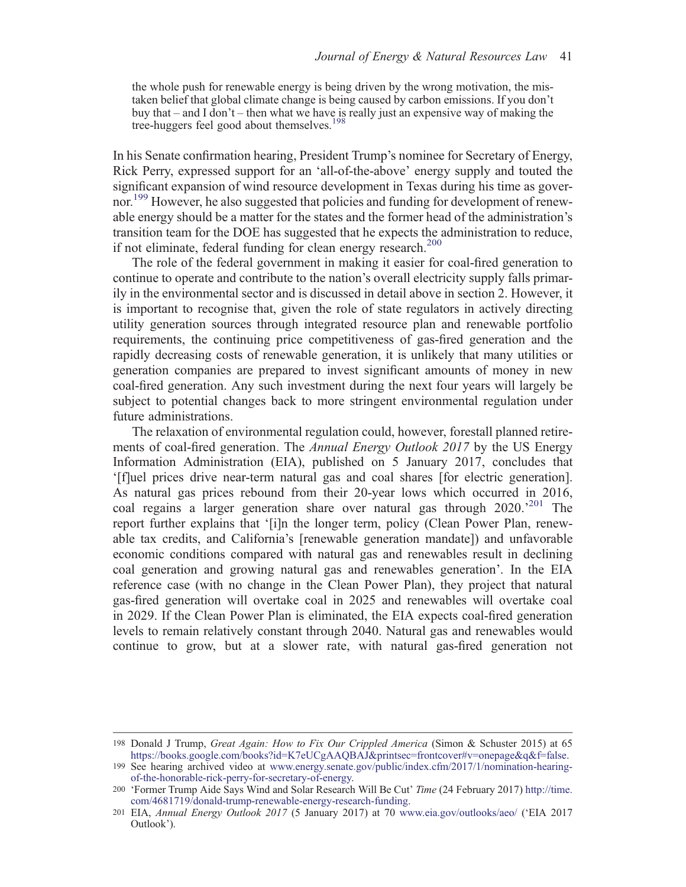the whole push for renewable energy is being driven by the wrong motivation, the mistaken belief that global climate change is being caused by carbon emissions. If you don't buy that – and I don't – then what we have is really just an expensive way of making the tree-huggers feel good about themselves.<sup>198</sup>

In his Senate confirmation hearing, President Trump's nominee for Secretary of Energy, Rick Perry, expressed support for an 'all-of-the-above' energy supply and touted the significant expansion of wind resource development in Texas during his time as governor.<sup>199</sup> However, he also suggested that policies and funding for development of renewable energy should be a matter for the states and the former head of the administration's transition team for the DOE has suggested that he expects the administration to reduce, if not eliminate, federal funding for clean energy research.<sup>200</sup>

The role of the federal government in making it easier for coal-fired generation to continue to operate and contribute to the nation's overall electricity supply falls primarily in the environmental sector and is discussed in detail above in section 2. However, it is important to recognise that, given the role of state regulators in actively directing utility generation sources through integrated resource plan and renewable portfolio requirements, the continuing price competitiveness of gas-fired generation and the rapidly decreasing costs of renewable generation, it is unlikely that many utilities or generation companies are prepared to invest significant amounts of money in new coal-fired generation. Any such investment during the next four years will largely be subject to potential changes back to more stringent environmental regulation under future administrations.

The relaxation of environmental regulation could, however, forestall planned retirements of coal-fired generation. The Annual Energy Outlook 2017 by the US Energy Information Administration (EIA), published on 5 January 2017, concludes that '[f]uel prices drive near-term natural gas and coal shares [for electric generation]. As natural gas prices rebound from their 20-year lows which occurred in 2016, coal regains a larger generation share over natural gas through 2020.<sup>201</sup> The report further explains that '[i]n the longer term, policy (Clean Power Plan, renewable tax credits, and California's [renewable generation mandate]) and unfavorable economic conditions compared with natural gas and renewables result in declining coal generation and growing natural gas and renewables generation'. In the EIA reference case (with no change in the Clean Power Plan), they project that natural gas-fired generation will overtake coal in 2025 and renewables will overtake coal in 2029. If the Clean Power Plan is eliminated, the EIA expects coal-fired generation levels to remain relatively constant through 2040. Natural gas and renewables would continue to grow, but at a slower rate, with natural gas-fired generation not

<sup>198</sup> Donald J Trump, Great Again: How to Fix Our Crippled America (Simon & Schuster 2015) at 65 https://books.google.com/books?id=K7eUCgAAQBAJ&printsec=frontcover#v=onepage&q&f=false.

<sup>199</sup> See hearing archived video at www.energy.senate.gov/public/index.cfm/2017/1/nomination-hearingof-the-honorable-rick-perry-for-secretary-of-energy.

<sup>200</sup> 'Former Trump Aide Says Wind and Solar Research Will Be Cut' Time (24 February 2017) http://time. com/4681719/donald-trump-renewable-energy-research-funding.

<sup>201</sup> EIA, Annual Energy Outlook 2017 (5 January 2017) at 70 www.eia.gov/outlooks/aeo/ ('EIA 2017 Outlook').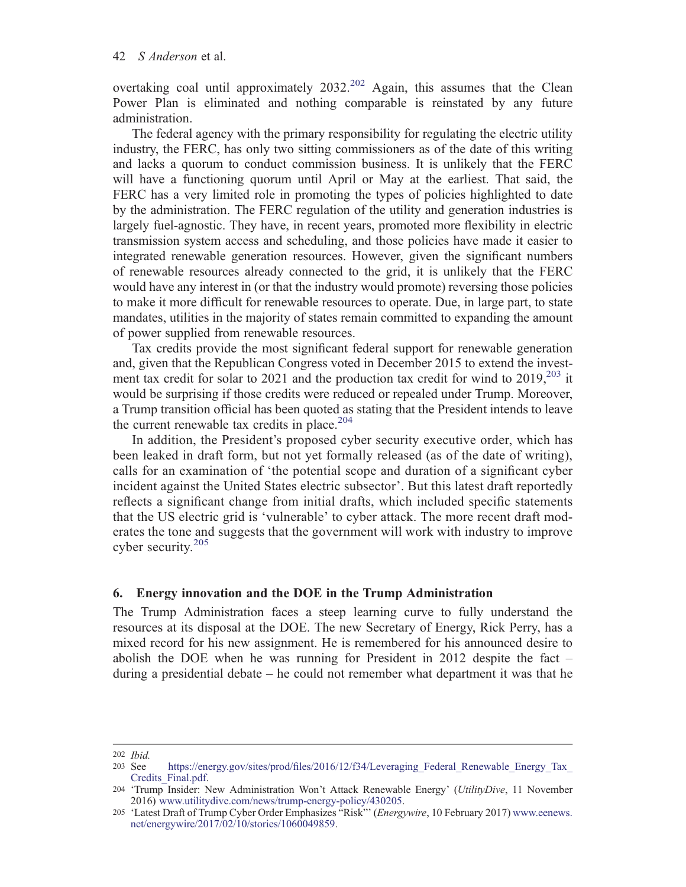overtaking coal until approximately 2032.<sup>202</sup> Again, this assumes that the Clean Power Plan is eliminated and nothing comparable is reinstated by any future administration.

The federal agency with the primary responsibility for regulating the electric utility industry, the FERC, has only two sitting commissioners as of the date of this writing and lacks a quorum to conduct commission business. It is unlikely that the FERC will have a functioning quorum until April or May at the earliest. That said, the FERC has a very limited role in promoting the types of policies highlighted to date by the administration. The FERC regulation of the utility and generation industries is largely fuel-agnostic. They have, in recent years, promoted more flexibility in electric transmission system access and scheduling, and those policies have made it easier to integrated renewable generation resources. However, given the significant numbers of renewable resources already connected to the grid, it is unlikely that the FERC would have any interest in (or that the industry would promote) reversing those policies to make it more difficult for renewable resources to operate. Due, in large part, to state mandates, utilities in the majority of states remain committed to expanding the amount of power supplied from renewable resources.

Tax credits provide the most significant federal support for renewable generation and, given that the Republican Congress voted in December 2015 to extend the investment tax credit for solar to 2021 and the production tax credit for wind to  $2019$ <sup>203</sup> it would be surprising if those credits were reduced or repealed under Trump. Moreover, a Trump transition official has been quoted as stating that the President intends to leave the current renewable tax credits in place. $204$ 

In addition, the President's proposed cyber security executive order, which has been leaked in draft form, but not yet formally released (as of the date of writing), calls for an examination of 'the potential scope and duration of a significant cyber incident against the United States electric subsector'. But this latest draft reportedly reflects a significant change from initial drafts, which included specific statements that the US electric grid is 'vulnerable' to cyber attack. The more recent draft moderates the tone and suggests that the government will work with industry to improve cyber security.<sup>205</sup>

#### 6. Energy innovation and the DOE in the Trump Administration

The Trump Administration faces a steep learning curve to fully understand the resources at its disposal at the DOE. The new Secretary of Energy, Rick Perry, has a mixed record for his new assignment. He is remembered for his announced desire to abolish the DOE when he was running for President in 2012 despite the fact – during a presidential debate – he could not remember what department it was that he

<sup>202</sup> Ibid. https://energy.gov/sites/prod/files/2016/12/f34/Leveraging\_Federal\_Renewable\_Energy\_Tax\_ Credits\_Final.pdf.

<sup>204</sup> 'Trump Insider: New Administration Won't Attack Renewable Energy' (UtilityDive, 11 November 2016) www.utilitydive.com/news/trump-energy-policy/430205.

<sup>205</sup> 'Latest Draft of Trump Cyber Order Emphasizes "Risk"' (Energywire, 10 February 2017) www.eenews. net/energywire/2017/02/10/stories/1060049859.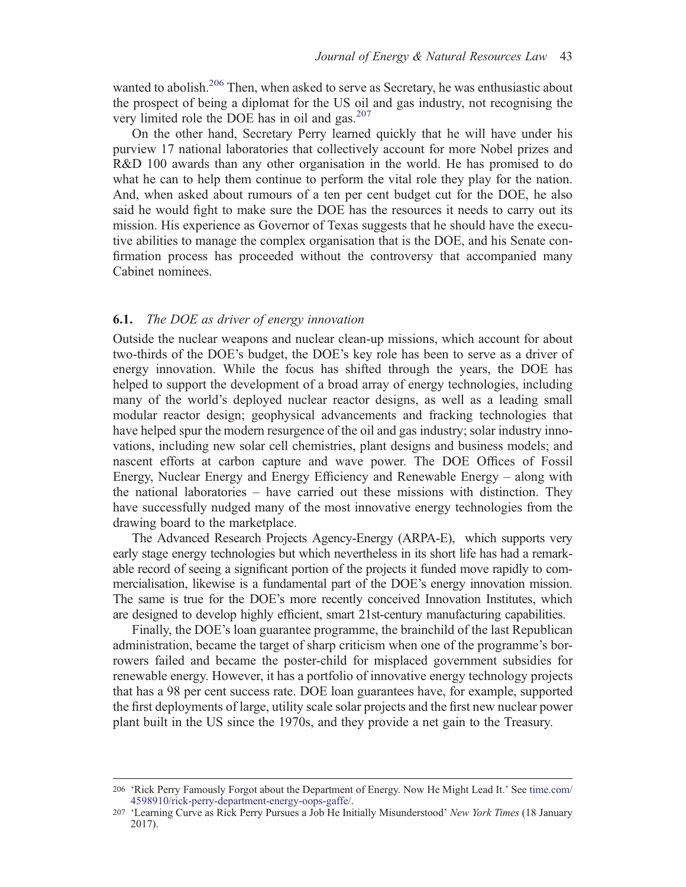wanted to abolish.<sup>206</sup> Then, when asked to serve as Secretary, he was enthusiastic about the prospect of being a diplomat for the US oil and gas industry, not recognising the very limited role the DOE has in oil and gas. $207$ 

On the other hand, Secretary Perry learned quickly that he will have under his purview 17 national laboratories that collectively account for more Nobel prizes and R&D 100 awards than any other organisation in the world. He has promised to do what he can to help them continue to perform the vital role they play for the nation. And, when asked about rumours of a ten per cent budget cut for the DOE, he also said he would fight to make sure the DOE has the resources it needs to carry out its mission. His experience as Governor of Texas suggests that he should have the executive abilities to manage the complex organisation that is the DOE, and his Senate confirmation process has proceeded without the controversy that accompanied many Cabinet nominees.

### **6.1.** The DOE as driver of energy innovation

Outside the nuclear weapons and nuclear clean-up missions, which account for about two-thirds of the DOE's budget, the DOE's key role has been to serve as a driver of energy innovation. While the focus has shifted through the years, the DOE has helped to support the development of a broad array of energy technologies, including many of the world's deployed nuclear reactor designs, as well as a leading small modular reactor design; geophysical advancements and fracking technologies that have helped spur the modern resurgence of the oil and gas industry; solar industry innovations, including new solar cell chemistries, plant designs and business models; and nascent efforts at carbon capture and wave power. The DOE Offices of Fossil Energy, Nuclear Energy and Energy Efficiency and Renewable Energy – along with the national laboratories – have carried out these missions with distinction. They have successfully nudged many of the most innovative energy technologies from the drawing board to the marketplace.

The Advanced Research Projects Agency-Energy (ARPA-E), which supports very early stage energy technologies but which nevertheless in its short life has had a remarkable record of seeing a significant portion of the projects it funded move rapidly to commercialisation, likewise is a fundamental part of the DOE's energy innovation mission. The same is true for the DOE's more recently conceived Innovation Institutes, which are designed to develop highly efficient, smart 21st-century manufacturing capabilities.

Finally, the DOE's loan guarantee programme, the brainchild of the last Republican administration, became the target of sharp criticism when one of the programme's borrowers failed and became the poster-child for misplaced government subsidies for renewable energy. However, it has a portfolio of innovative energy technology projects that has a 98 per cent success rate. DOE loan guarantees have, for example, supported the first deployments of large, utility scale solar projects and the first new nuclear power plant built in the US since the 1970s, and they provide a net gain to the Treasury.

<sup>206</sup> 'Rick Perry Famously Forgot about the Department of Energy. Now He Might Lead It.' See time.com/ 4598910/rick-perry-department-energy-oops-gaffe/.

<sup>207</sup> 'Learning Curve as Rick Perry Pursues a Job He Initially Misunderstood' New York Times (18 January 2017).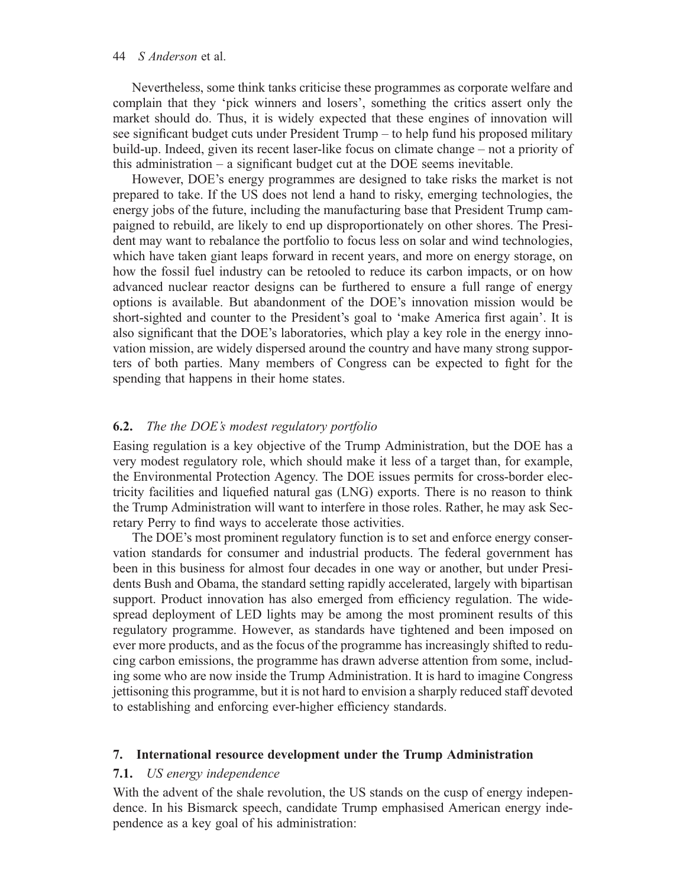Nevertheless, some think tanks criticise these programmes as corporate welfare and complain that they 'pick winners and losers', something the critics assert only the market should do. Thus, it is widely expected that these engines of innovation will see significant budget cuts under President Trump – to help fund his proposed military build-up. Indeed, given its recent laser-like focus on climate change – not a priority of this administration – a significant budget cut at the DOE seems inevitable.

However, DOE's energy programmes are designed to take risks the market is not prepared to take. If the US does not lend a hand to risky, emerging technologies, the energy jobs of the future, including the manufacturing base that President Trump campaigned to rebuild, are likely to end up disproportionately on other shores. The President may want to rebalance the portfolio to focus less on solar and wind technologies, which have taken giant leaps forward in recent years, and more on energy storage, on how the fossil fuel industry can be retooled to reduce its carbon impacts, or on how advanced nuclear reactor designs can be furthered to ensure a full range of energy options is available. But abandonment of the DOE's innovation mission would be short-sighted and counter to the President's goal to 'make America first again'. It is also significant that the DOE's laboratories, which play a key role in the energy innovation mission, are widely dispersed around the country and have many strong supporters of both parties. Many members of Congress can be expected to fight for the spending that happens in their home states.

## **6.2.** The the DOE's modest regulatory portfolio

Easing regulation is a key objective of the Trump Administration, but the DOE has a very modest regulatory role, which should make it less of a target than, for example, the Environmental Protection Agency. The DOE issues permits for cross-border electricity facilities and liquefied natural gas (LNG) exports. There is no reason to think the Trump Administration will want to interfere in those roles. Rather, he may ask Secretary Perry to find ways to accelerate those activities.

The DOE's most prominent regulatory function is to set and enforce energy conservation standards for consumer and industrial products. The federal government has been in this business for almost four decades in one way or another, but under Presidents Bush and Obama, the standard setting rapidly accelerated, largely with bipartisan support. Product innovation has also emerged from efficiency regulation. The widespread deployment of LED lights may be among the most prominent results of this regulatory programme. However, as standards have tightened and been imposed on ever more products, and as the focus of the programme has increasingly shifted to reducing carbon emissions, the programme has drawn adverse attention from some, including some who are now inside the Trump Administration. It is hard to imagine Congress jettisoning this programme, but it is not hard to envision a sharply reduced staff devoted to establishing and enforcing ever-higher efficiency standards.

#### 7. International resource development under the Trump Administration

#### 7.1. US energy independence

With the advent of the shale revolution, the US stands on the cusp of energy independence. In his Bismarck speech, candidate Trump emphasised American energy independence as a key goal of his administration: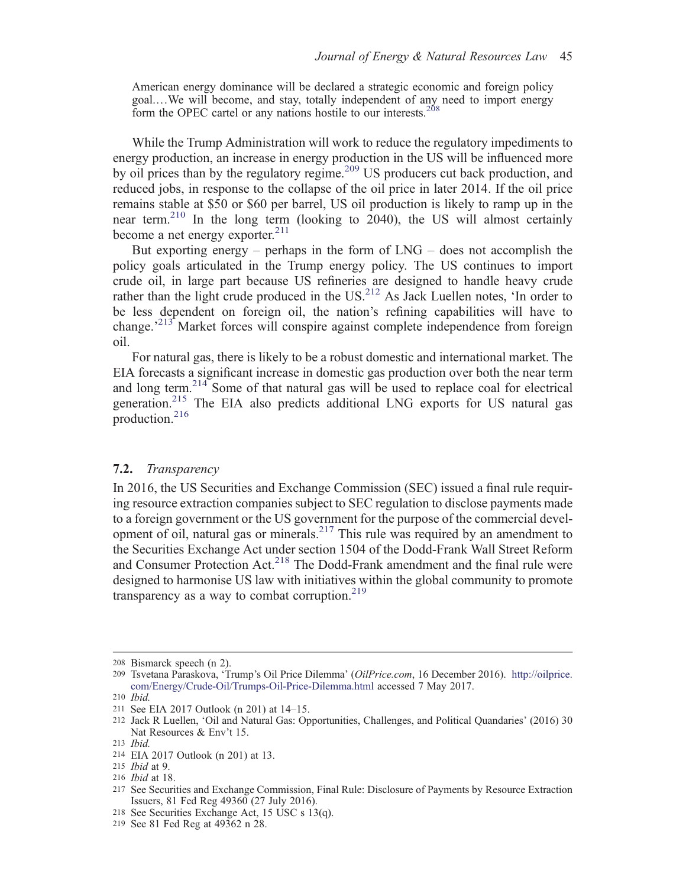American energy dominance will be declared a strategic economic and foreign policy goal....We will become, and stay, totally independent of any need to import energy form the OPEC cartel or any nations hostile to our interests.<sup>2</sup>

While the Trump Administration will work to reduce the regulatory impediments to energy production, an increase in energy production in the US will be influenced more by oil prices than by the regulatory regime.<sup>209</sup> US producers cut back production, and reduced jobs, in response to the collapse of the oil price in later 2014. If the oil price remains stable at \$50 or \$60 per barrel, US oil production is likely to ramp up in the near term.<sup>210</sup> In the long term (looking to 2040), the US will almost certainly become a net energy exporter.<sup>211</sup>

But exporting energy – perhaps in the form of  $LNG -$  does not accomplish the policy goals articulated in the Trump energy policy. The US continues to import crude oil, in large part because US refineries are designed to handle heavy crude rather than the light crude produced in the US.<sup>212</sup> As Jack Luellen notes, 'In order to be less dependent on foreign oil, the nation's refining capabilities will have to change.<sup>213</sup> Market forces will conspire against complete independence from foreign oil.

For natural gas, there is likely to be a robust domestic and international market. The EIA forecasts a significant increase in domestic gas production over both the near term and long term.214 Some of that natural gas will be used to replace coal for electrical generation.<sup>215</sup> The EIA also predicts additional LNG exports for US natural gas production.<sup>216</sup>

#### 7.2. Transparency

In 2016, the US Securities and Exchange Commission (SEC) issued a final rule requiring resource extraction companies subject to SEC regulation to disclose payments made to a foreign government or the US government for the purpose of the commercial development of oil, natural gas or minerals.<sup>217</sup> This rule was required by an amendment to the Securities Exchange Act under section 1504 of the Dodd-Frank Wall Street Reform and Consumer Protection Act.<sup>218</sup> The Dodd-Frank amendment and the final rule were designed to harmonise US law with initiatives within the global community to promote transparency as a way to combat corruption. $219$ 

<sup>208</sup> Bismarck speech (n 2).

<sup>209</sup> Tsvetana Paraskova, 'Trump's Oil Price Dilemma' (OilPrice.com, 16 December 2016). http://oilprice. com/Energy/Crude-Oil/Trumps-Oil-Price-Dilemma.html accessed 7 May 2017.

<sup>210</sup> Ibid.

<sup>211</sup> See EIA 2017 Outlook (n 201) at 14–15.

<sup>212</sup> Jack R Luellen, 'Oil and Natural Gas: Opportunities, Challenges, and Political Quandaries' (2016) 30 Nat Resources & Env't 15.

<sup>213</sup> Ibid.

<sup>214</sup> EIA 2017 Outlook (n 201) at 13.

<sup>215</sup> Ibid at 9.

<sup>216</sup> Ibid at 18.

<sup>217</sup> See Securities and Exchange Commission, Final Rule: Disclosure of Payments by Resource Extraction Issuers, 81 Fed Reg 49360 (27 July 2016).

<sup>218</sup> See Securities Exchange Act, 15 USC s 13(q).

<sup>219</sup> See 81 Fed Reg at 49362 n 28.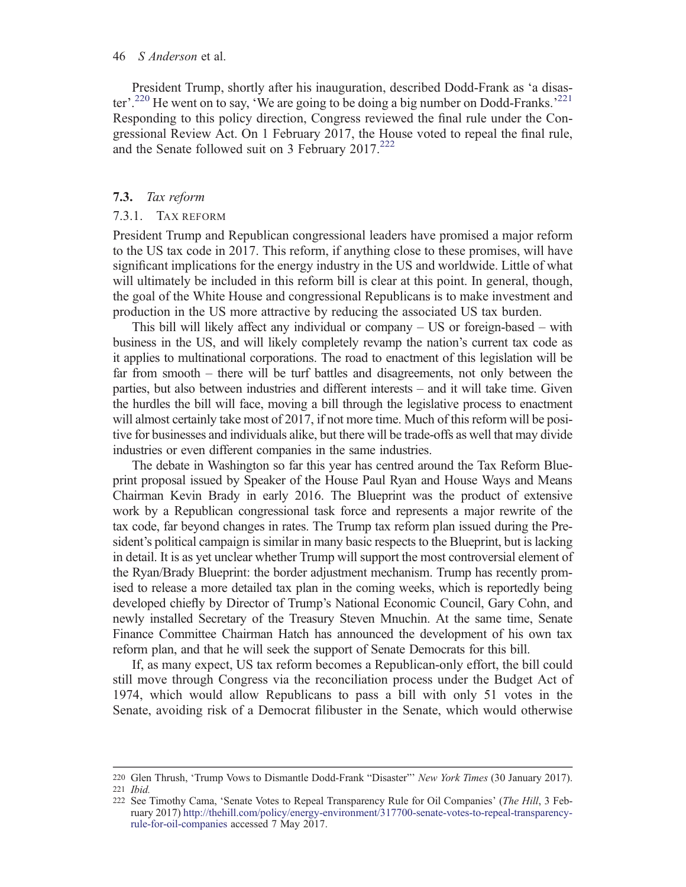#### 46 S Anderson et al.

President Trump, shortly after his inauguration, described Dodd-Frank as 'a disaster'.<sup>220</sup> He went on to say, 'We are going to be doing a big number on Dodd-Franks.'<sup>221</sup> Responding to this policy direction, Congress reviewed the final rule under the Congressional Review Act. On 1 February 2017, the House voted to repeal the final rule, and the Senate followed suit on 3 February  $2017.<sup>222</sup>$ 

#### 7.3. Tax reform

#### 7.3.1. TAX REFORM

President Trump and Republican congressional leaders have promised a major reform to the US tax code in 2017. This reform, if anything close to these promises, will have significant implications for the energy industry in the US and worldwide. Little of what will ultimately be included in this reform bill is clear at this point. In general, though, the goal of the White House and congressional Republicans is to make investment and production in the US more attractive by reducing the associated US tax burden.

This bill will likely affect any individual or company – US or foreign-based – with business in the US, and will likely completely revamp the nation's current tax code as it applies to multinational corporations. The road to enactment of this legislation will be far from smooth – there will be turf battles and disagreements, not only between the parties, but also between industries and different interests – and it will take time. Given the hurdles the bill will face, moving a bill through the legislative process to enactment will almost certainly take most of 2017, if not more time. Much of this reform will be positive for businesses and individuals alike, but there will be trade-offs as well that may divide industries or even different companies in the same industries.

The debate in Washington so far this year has centred around the Tax Reform Blueprint proposal issued by Speaker of the House Paul Ryan and House Ways and Means Chairman Kevin Brady in early 2016. The Blueprint was the product of extensive work by a Republican congressional task force and represents a major rewrite of the tax code, far beyond changes in rates. The Trump tax reform plan issued during the President's political campaign is similar in many basic respects to the Blueprint, but is lacking in detail. It is as yet unclear whether Trump will support the most controversial element of the Ryan/Brady Blueprint: the border adjustment mechanism. Trump has recently promised to release a more detailed tax plan in the coming weeks, which is reportedly being developed chiefly by Director of Trump's National Economic Council, Gary Cohn, and newly installed Secretary of the Treasury Steven Mnuchin. At the same time, Senate Finance Committee Chairman Hatch has announced the development of his own tax reform plan, and that he will seek the support of Senate Democrats for this bill.

If, as many expect, US tax reform becomes a Republican-only effort, the bill could still move through Congress via the reconciliation process under the Budget Act of 1974, which would allow Republicans to pass a bill with only 51 votes in the Senate, avoiding risk of a Democrat filibuster in the Senate, which would otherwise

<sup>220</sup> Glen Thrush, 'Trump Vows to Dismantle Dodd-Frank "Disaster"' New York Times (30 January 2017). 221 Ibid.

<sup>222</sup> See Timothy Cama, 'Senate Votes to Repeal Transparency Rule for Oil Companies' (The Hill, 3 February 2017) http://thehill.com/policy/energy-environment/317700-senate-votes-to-repeal-transparencyrule-for-oil-companies accessed 7 May 2017.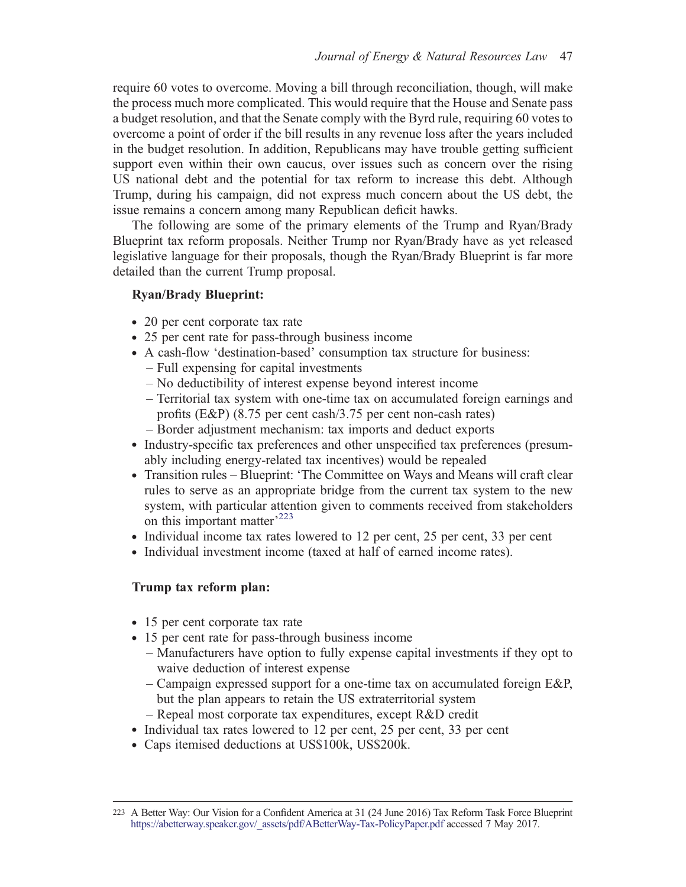require 60 votes to overcome. Moving a bill through reconciliation, though, will make the process much more complicated. This would require that the House and Senate pass a budget resolution, and that the Senate comply with the Byrd rule, requiring 60 votes to overcome a point of order if the bill results in any revenue loss after the years included in the budget resolution. In addition, Republicans may have trouble getting sufficient support even within their own caucus, over issues such as concern over the rising US national debt and the potential for tax reform to increase this debt. Although Trump, during his campaign, did not express much concern about the US debt, the issue remains a concern among many Republican deficit hawks.

The following are some of the primary elements of the Trump and Ryan/Brady Blueprint tax reform proposals. Neither Trump nor Ryan/Brady have as yet released legislative language for their proposals, though the Ryan/Brady Blueprint is far more detailed than the current Trump proposal.

## Ryan/Brady Blueprint:

- . 20 per cent corporate tax rate
- . 25 per cent rate for pass-through business income
- . A cash-flow 'destination-based' consumption tax structure for business: – Full expensing for capital investments
	- No deductibility of interest expense beyond interest income
	- Territorial tax system with one-time tax on accumulated foreign earnings and profits (E&P) (8.75 per cent cash/3.75 per cent non-cash rates)
	- Border adjustment mechanism: tax imports and deduct exports
- . Industry-specific tax preferences and other unspecified tax preferences (presumably including energy-related tax incentives) would be repealed
- . Transition rules Blueprint: 'The Committee on Ways and Means will craft clear rules to serve as an appropriate bridge from the current tax system to the new system, with particular attention given to comments received from stakeholders on this important matter<sup>,223</sup>
- . Individual income tax rates lowered to 12 per cent, 25 per cent, 33 per cent
- . Individual investment income (taxed at half of earned income rates).

## Trump tax reform plan:

- . 15 per cent corporate tax rate
- . 15 per cent rate for pass-through business income
	- Manufacturers have option to fully expense capital investments if they opt to waive deduction of interest expense
	- Campaign expressed support for a one-time tax on accumulated foreign E&P, but the plan appears to retain the US extraterritorial system
	- Repeal most corporate tax expenditures, except R&D credit
- . Individual tax rates lowered to 12 per cent, 25 per cent, 33 per cent
- . Caps itemised deductions at US\$100k, US\$200k.

<sup>223</sup> A Better Way: Our Vision for a Confident America at 31 (24 June 2016) Tax Reform Task Force Blueprint https://abetterway.speaker.gov/\_assets/pdf/ABetterWay-Tax-PolicyPaper.pdf accessed 7 May 2017.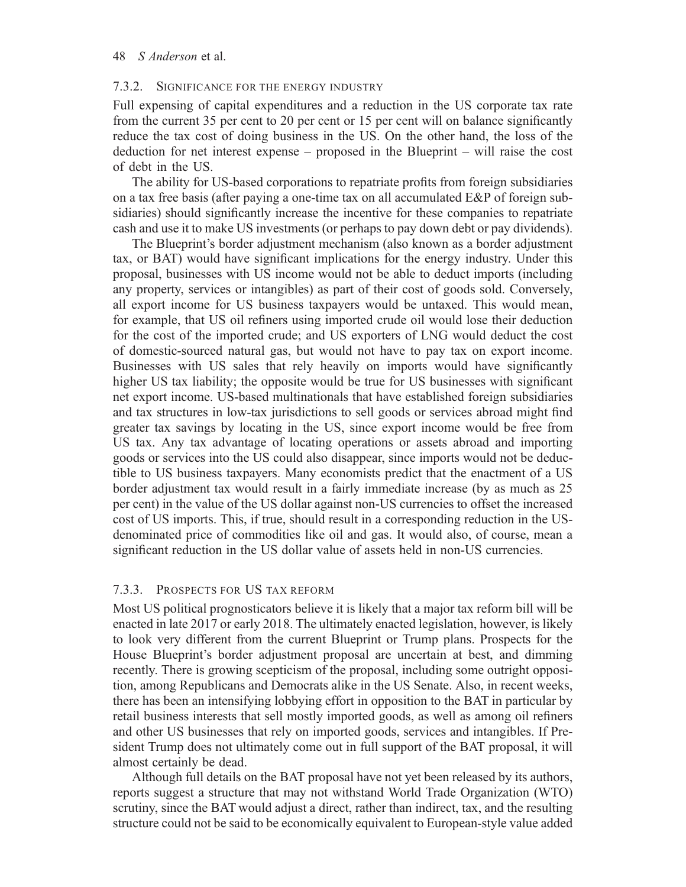## 7.3.2. SIGNIFICANCE FOR THE ENERGY INDUSTRY

Full expensing of capital expenditures and a reduction in the US corporate tax rate from the current 35 per cent to 20 per cent or 15 per cent will on balance significantly reduce the tax cost of doing business in the US. On the other hand, the loss of the deduction for net interest expense – proposed in the Blueprint – will raise the cost of debt in the US.

The ability for US-based corporations to repatriate profits from foreign subsidiaries on a tax free basis (after paying a one-time tax on all accumulated E&P of foreign subsidiaries) should significantly increase the incentive for these companies to repatriate cash and use it to make US investments (or perhaps to pay down debt or pay dividends).

The Blueprint's border adjustment mechanism (also known as a border adjustment tax, or BAT) would have significant implications for the energy industry. Under this proposal, businesses with US income would not be able to deduct imports (including any property, services or intangibles) as part of their cost of goods sold. Conversely, all export income for US business taxpayers would be untaxed. This would mean, for example, that US oil refiners using imported crude oil would lose their deduction for the cost of the imported crude; and US exporters of LNG would deduct the cost of domestic-sourced natural gas, but would not have to pay tax on export income. Businesses with US sales that rely heavily on imports would have significantly higher US tax liability; the opposite would be true for US businesses with significant net export income. US-based multinationals that have established foreign subsidiaries and tax structures in low-tax jurisdictions to sell goods or services abroad might find greater tax savings by locating in the US, since export income would be free from US tax. Any tax advantage of locating operations or assets abroad and importing goods or services into the US could also disappear, since imports would not be deductible to US business taxpayers. Many economists predict that the enactment of a US border adjustment tax would result in a fairly immediate increase (by as much as 25 per cent) in the value of the US dollar against non-US currencies to offset the increased cost of US imports. This, if true, should result in a corresponding reduction in the USdenominated price of commodities like oil and gas. It would also, of course, mean a significant reduction in the US dollar value of assets held in non-US currencies.

## 7.3.3. PROSPECTS FOR US TAX REFORM

Most US political prognosticators believe it is likely that a major tax reform bill will be enacted in late 2017 or early 2018. The ultimately enacted legislation, however, is likely to look very different from the current Blueprint or Trump plans. Prospects for the House Blueprint's border adjustment proposal are uncertain at best, and dimming recently. There is growing scepticism of the proposal, including some outright opposition, among Republicans and Democrats alike in the US Senate. Also, in recent weeks, there has been an intensifying lobbying effort in opposition to the BAT in particular by retail business interests that sell mostly imported goods, as well as among oil refiners and other US businesses that rely on imported goods, services and intangibles. If President Trump does not ultimately come out in full support of the BAT proposal, it will almost certainly be dead.

Although full details on the BAT proposal have not yet been released by its authors, reports suggest a structure that may not withstand World Trade Organization (WTO) scrutiny, since the BAT would adjust a direct, rather than indirect, tax, and the resulting structure could not be said to be economically equivalent to European-style value added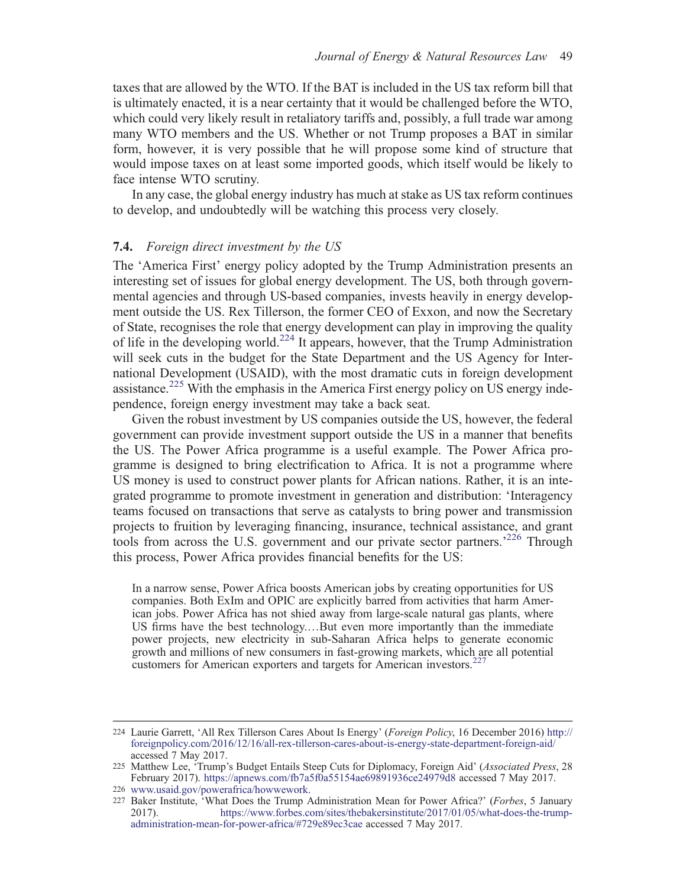taxes that are allowed by the WTO. If the BAT is included in the US tax reform bill that is ultimately enacted, it is a near certainty that it would be challenged before the WTO, which could very likely result in retaliatory tariffs and, possibly, a full trade war among many WTO members and the US. Whether or not Trump proposes a BAT in similar form, however, it is very possible that he will propose some kind of structure that would impose taxes on at least some imported goods, which itself would be likely to face intense WTO scrutiny.

In any case, the global energy industry has much at stake as US tax reform continues to develop, and undoubtedly will be watching this process very closely.

#### 7.4. Foreign direct investment by the US

The 'America First' energy policy adopted by the Trump Administration presents an interesting set of issues for global energy development. The US, both through governmental agencies and through US-based companies, invests heavily in energy development outside the US. Rex Tillerson, the former CEO of Exxon, and now the Secretary of State, recognises the role that energy development can play in improving the quality of life in the developing world.<sup>224</sup> It appears, however, that the Trump Administration will seek cuts in the budget for the State Department and the US Agency for International Development (USAID), with the most dramatic cuts in foreign development assistance.<sup>225</sup> With the emphasis in the America First energy policy on US energy independence, foreign energy investment may take a back seat.

Given the robust investment by US companies outside the US, however, the federal government can provide investment support outside the US in a manner that benefits the US. The Power Africa programme is a useful example. The Power Africa programme is designed to bring electrification to Africa. It is not a programme where US money is used to construct power plants for African nations. Rather, it is an integrated programme to promote investment in generation and distribution: 'Interagency teams focused on transactions that serve as catalysts to bring power and transmission projects to fruition by leveraging financing, insurance, technical assistance, and grant tools from across the U.S. government and our private sector partners.<sup>226</sup> Through this process, Power Africa provides financial benefits for the US:

In a narrow sense, Power Africa boosts American jobs by creating opportunities for US companies. Both ExIm and OPIC are explicitly barred from activities that harm American jobs. Power Africa has not shied away from large-scale natural gas plants, where US firms have the best technology.…But even more importantly than the immediate power projects, new electricity in sub-Saharan Africa helps to generate economic growth and millions of new consumers in fast-growing markets, which are all potential customers for American exporters and targets for American investors.<sup>227</sup>

<sup>224</sup> Laurie Garrett, 'All Rex Tillerson Cares About Is Energy' (Foreign Policy, 16 December 2016) http:// foreignpolicy.com/2016/12/16/all-rex-tillerson-cares-about-is-energy-state-department-foreign-aid/ accessed 7 May 2017.

<sup>225</sup> Matthew Lee, 'Trump's Budget Entails Steep Cuts for Diplomacy, Foreign Aid' (Associated Press, 28 February 2017). https://apnews.com/fb7a5f0a55154ae69891936ce24979d8 accessed 7 May 2017. 226 www.usaid.gov/powerafrica/howwework.

<sup>227</sup> Baker Institute, 'What Does the Trump Administration Mean for Power Africa?' (Forbes, 5 January 2017). https://www.forbes.com/sites/thebakersinstitute/2017/01/05/what-does-the-trumpadministration-mean-for-power-africa/#729e89ec3cae accessed 7 May 2017.